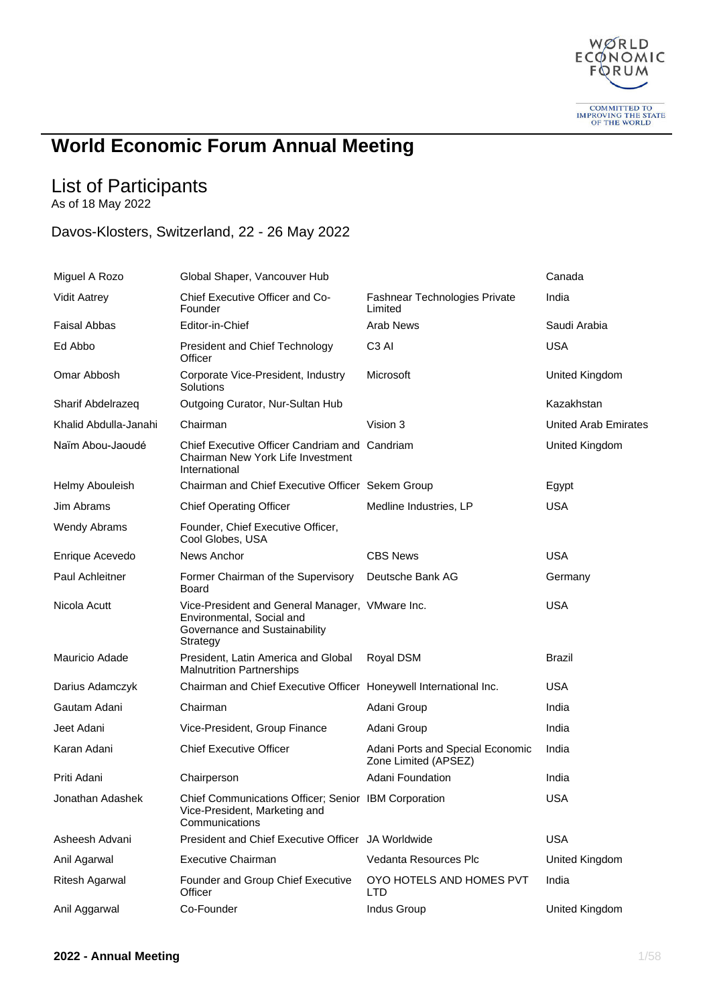

## **World Economic Forum Annual Meeting**

## List of Participants

As of 18 May 2022

## Davos-Klosters, Switzerland, 22 - 26 May 2022

| Miguel A Rozo         | Global Shaper, Vancouver Hub                                                                                              |                                                          | Canada               |
|-----------------------|---------------------------------------------------------------------------------------------------------------------------|----------------------------------------------------------|----------------------|
| <b>Vidit Aatrey</b>   | Chief Executive Officer and Co-<br>Founder                                                                                | <b>Fashnear Technologies Private</b><br>Limited          | India                |
| <b>Faisal Abbas</b>   | Editor-in-Chief                                                                                                           | <b>Arab News</b>                                         | Saudi Arabia         |
| Ed Abbo               | President and Chief Technology<br>Officer                                                                                 | C <sub>3</sub> AI                                        | <b>USA</b>           |
| Omar Abbosh           | Corporate Vice-President, Industry<br>Solutions                                                                           | Microsoft                                                | United Kingdom       |
| Sharif Abdelrazeq     | Outgoing Curator, Nur-Sultan Hub                                                                                          |                                                          | Kazakhstan           |
| Khalid Abdulla-Janahi | Chairman                                                                                                                  | Vision 3                                                 | United Arab Emirates |
| Naïm Abou-Jaoudé      | Chief Executive Officer Candriam and Candriam<br>Chairman New York Life Investment<br>International                       |                                                          | United Kingdom       |
| Helmy Abouleish       | Chairman and Chief Executive Officer Sekem Group                                                                          |                                                          | Egypt                |
| Jim Abrams            | <b>Chief Operating Officer</b>                                                                                            | Medline Industries, LP                                   | <b>USA</b>           |
| <b>Wendy Abrams</b>   | Founder, Chief Executive Officer,<br>Cool Globes, USA                                                                     |                                                          |                      |
| Enrique Acevedo       | News Anchor                                                                                                               | <b>CBS News</b>                                          | <b>USA</b>           |
| Paul Achleitner       | Former Chairman of the Supervisory<br>Board                                                                               | Deutsche Bank AG                                         | Germany              |
| Nicola Acutt          | Vice-President and General Manager, VMware Inc.<br>Environmental, Social and<br>Governance and Sustainability<br>Strategy |                                                          | <b>USA</b>           |
| Mauricio Adade        | President, Latin America and Global<br><b>Malnutrition Partnerships</b>                                                   | Royal DSM                                                | <b>Brazil</b>        |
| Darius Adamczyk       | Chairman and Chief Executive Officer Honeywell International Inc.                                                         |                                                          | <b>USA</b>           |
| Gautam Adani          | Chairman                                                                                                                  | Adani Group                                              | India                |
| Jeet Adani            | Vice-President, Group Finance                                                                                             | Adani Group                                              | India                |
| Karan Adani           | <b>Chief Executive Officer</b>                                                                                            | Adani Ports and Special Economic<br>Zone Limited (APSEZ) | India                |
| Priti Adani           | Chairperson                                                                                                               | Adani Foundation                                         | India                |
| Jonathan Adashek      | Chief Communications Officer; Senior IBM Corporation<br>Vice-President, Marketing and<br>Communications                   |                                                          | <b>USA</b>           |
| Asheesh Advani        | President and Chief Executive Officer JA Worldwide                                                                        |                                                          | <b>USA</b>           |
| Anil Agarwal          | <b>Executive Chairman</b>                                                                                                 | Vedanta Resources Plc                                    | United Kingdom       |
| Ritesh Agarwal        | Founder and Group Chief Executive<br>Officer                                                                              | OYO HOTELS AND HOMES PVT<br><b>LTD</b>                   | India                |
| Anil Aggarwal         | Co-Founder                                                                                                                | Indus Group                                              | United Kingdom       |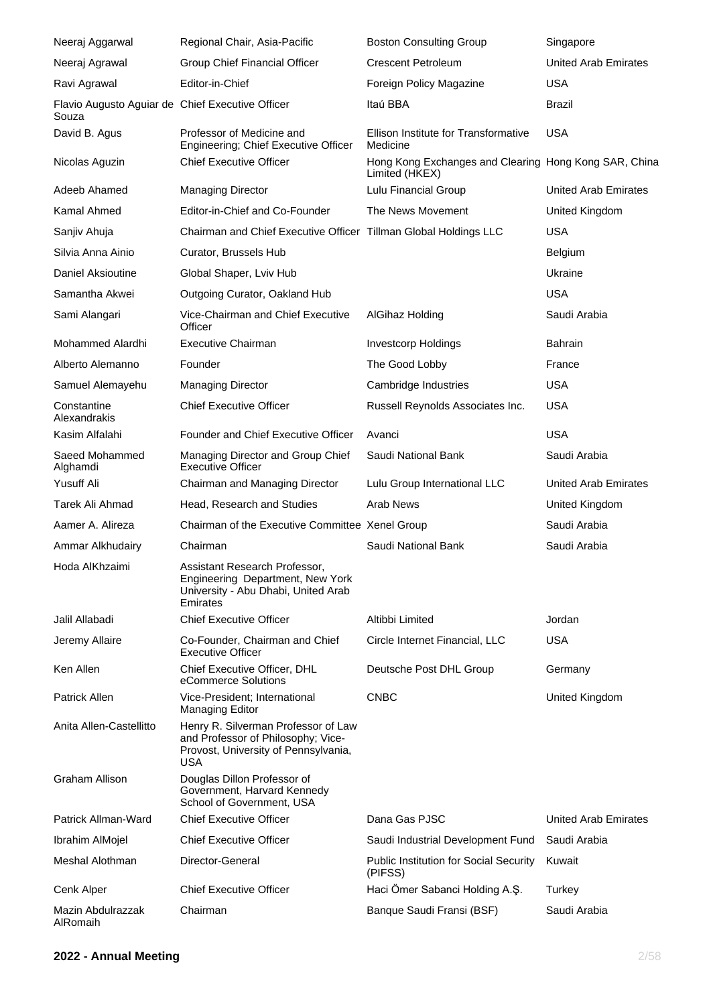| Neeraj Aggarwal                                           | Regional Chair, Asia-Pacific                                                                                                    | <b>Boston Consulting Group</b>                                          | Singapore                   |
|-----------------------------------------------------------|---------------------------------------------------------------------------------------------------------------------------------|-------------------------------------------------------------------------|-----------------------------|
| Neeraj Agrawal                                            | Group Chief Financial Officer                                                                                                   | <b>Crescent Petroleum</b>                                               | United Arab Emirates        |
| Ravi Agrawal                                              | Editor-in-Chief                                                                                                                 | Foreign Policy Magazine                                                 | <b>USA</b>                  |
| Flavio Augusto Aguiar de Chief Executive Officer<br>Souza |                                                                                                                                 | Itaú BBA                                                                | <b>Brazil</b>               |
| David B. Agus                                             | Professor of Medicine and<br>Engineering; Chief Executive Officer                                                               | Ellison Institute for Transformative<br>Medicine                        | <b>USA</b>                  |
| Nicolas Aguzin                                            | <b>Chief Executive Officer</b>                                                                                                  | Hong Kong Exchanges and Clearing Hong Kong SAR, China<br>Limited (HKEX) |                             |
| Adeeb Ahamed                                              | <b>Managing Director</b>                                                                                                        | Lulu Financial Group                                                    | <b>United Arab Emirates</b> |
| Kamal Ahmed                                               | Editor-in-Chief and Co-Founder                                                                                                  | The News Movement                                                       | United Kingdom              |
| Sanjiv Ahuja                                              | Chairman and Chief Executive Officer Tillman Global Holdings LLC                                                                |                                                                         | <b>USA</b>                  |
| Silvia Anna Ainio                                         | Curator, Brussels Hub                                                                                                           |                                                                         | <b>Belgium</b>              |
| Daniel Aksioutine                                         | Global Shaper, Lviv Hub                                                                                                         |                                                                         | Ukraine                     |
| Samantha Akwei                                            | Outgoing Curator, Oakland Hub                                                                                                   |                                                                         | <b>USA</b>                  |
| Sami Alangari                                             | Vice-Chairman and Chief Executive<br>Officer                                                                                    | AlGihaz Holding                                                         | Saudi Arabia                |
| <b>Mohammed Alardhi</b>                                   | <b>Executive Chairman</b>                                                                                                       | <b>Investcorp Holdings</b>                                              | <b>Bahrain</b>              |
| Alberto Alemanno                                          | Founder                                                                                                                         | The Good Lobby                                                          | France                      |
| Samuel Alemayehu                                          | <b>Managing Director</b>                                                                                                        | Cambridge Industries                                                    | <b>USA</b>                  |
| Constantine<br>Alexandrakis                               | <b>Chief Executive Officer</b>                                                                                                  | Russell Reynolds Associates Inc.                                        | <b>USA</b>                  |
| Kasim Alfalahi                                            | Founder and Chief Executive Officer                                                                                             | Avanci                                                                  | <b>USA</b>                  |
| Saeed Mohammed<br>Alghamdi                                | Managing Director and Group Chief<br><b>Executive Officer</b>                                                                   | Saudi National Bank                                                     | Saudi Arabia                |
| Yusuff Ali                                                | Chairman and Managing Director                                                                                                  | Lulu Group International LLC                                            | <b>United Arab Emirates</b> |
| Tarek Ali Ahmad                                           | Head, Research and Studies                                                                                                      | Arab News                                                               | United Kingdom              |
| Aamer A. Alireza                                          | Chairman of the Executive Committee Xenel Group                                                                                 |                                                                         | Saudi Arabia                |
| Ammar Alkhudairy                                          | Chairman                                                                                                                        | Saudi National Bank                                                     | Saudi Arabia                |
| Hoda AlKhzaimi                                            | Assistant Research Professor,<br>Engineering Department, New York<br>University - Abu Dhabi, United Arab<br>Emirates            |                                                                         |                             |
| Jalil Allabadi                                            | <b>Chief Executive Officer</b>                                                                                                  | Altibbi Limited                                                         | Jordan                      |
| Jeremy Allaire                                            | Co-Founder, Chairman and Chief<br><b>Executive Officer</b>                                                                      | Circle Internet Financial, LLC                                          | <b>USA</b>                  |
| Ken Allen                                                 | Chief Executive Officer, DHL<br>eCommerce Solutions                                                                             | Deutsche Post DHL Group                                                 | Germany                     |
| Patrick Allen                                             | Vice-President; International<br><b>Managing Editor</b>                                                                         | <b>CNBC</b>                                                             | United Kingdom              |
| Anita Allen-Castellitto                                   | Henry R. Silverman Professor of Law<br>and Professor of Philosophy; Vice-<br>Provost, University of Pennsylvania,<br><b>USA</b> |                                                                         |                             |
| <b>Graham Allison</b>                                     | Douglas Dillon Professor of<br>Government, Harvard Kennedy<br>School of Government, USA                                         |                                                                         |                             |
| Patrick Allman-Ward                                       | <b>Chief Executive Officer</b>                                                                                                  | Dana Gas PJSC                                                           | United Arab Emirates        |
| Ibrahim AlMojel                                           | <b>Chief Executive Officer</b>                                                                                                  | Saudi Industrial Development Fund                                       | Saudi Arabia                |
| Meshal Alothman                                           | Director-General                                                                                                                | <b>Public Institution for Social Security</b><br>(PIFSS)                | Kuwait                      |
| Cenk Alper                                                | <b>Chief Executive Officer</b>                                                                                                  | Haci Ömer Sabanci Holding A.Ş.                                          | Turkey                      |
| Mazin Abdulrazzak<br>AlRomaih                             | Chairman                                                                                                                        | Banque Saudi Fransi (BSF)                                               | Saudi Arabia                |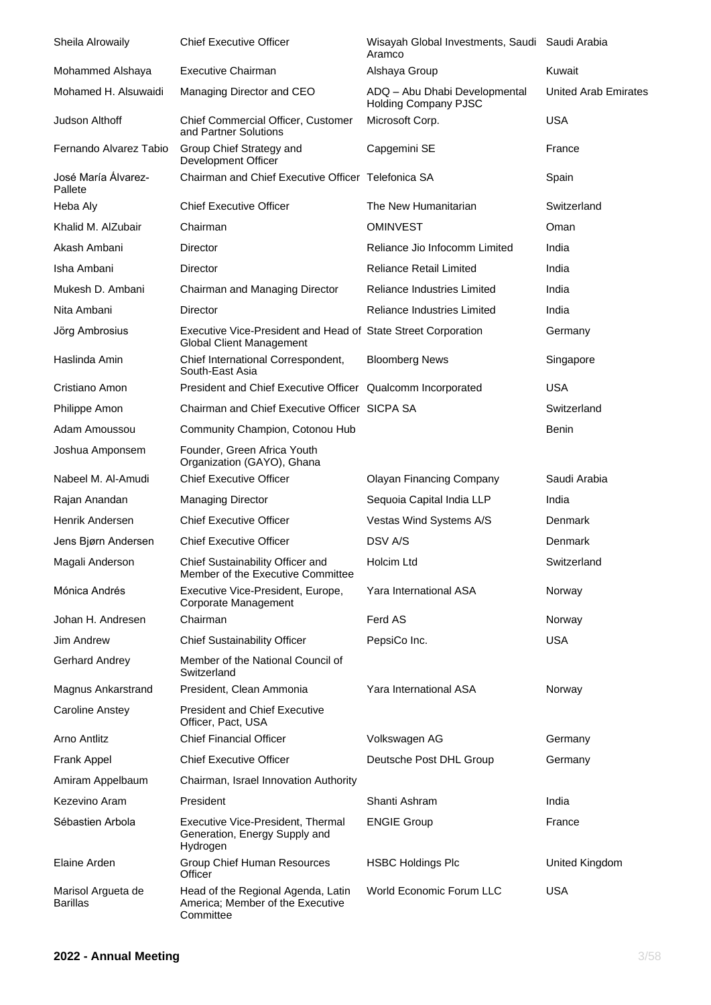| Sheila Alrowaily                      | <b>Chief Executive Officer</b>                                                                   | Wisayah Global Investments, Saudi Saudi Arabia<br>Aramco     |                      |
|---------------------------------------|--------------------------------------------------------------------------------------------------|--------------------------------------------------------------|----------------------|
| Mohammed Alshaya                      | <b>Executive Chairman</b>                                                                        | Alshaya Group                                                | Kuwait               |
| Mohamed H. Alsuwaidi                  | Managing Director and CEO                                                                        | ADQ - Abu Dhabi Developmental<br><b>Holding Company PJSC</b> | United Arab Emirates |
| Judson Althoff                        | Chief Commercial Officer, Customer<br>and Partner Solutions                                      | Microsoft Corp.                                              | <b>USA</b>           |
| Fernando Alvarez Tabio                | Group Chief Strategy and<br>Development Officer                                                  | Capgemini SE                                                 | France               |
| José María Álvarez-<br>Pallete        | Chairman and Chief Executive Officer Telefonica SA                                               |                                                              | Spain                |
| Heba Aly                              | <b>Chief Executive Officer</b>                                                                   | The New Humanitarian                                         | Switzerland          |
| Khalid M. AlZubair                    | Chairman                                                                                         | <b>OMINVEST</b>                                              | Oman                 |
| Akash Ambani                          | Director                                                                                         | Reliance Jio Infocomm Limited                                | India                |
| Isha Ambani                           | Director                                                                                         | <b>Reliance Retail Limited</b>                               | India                |
| Mukesh D. Ambani                      | Chairman and Managing Director                                                                   | Reliance Industries Limited                                  | India                |
| Nita Ambani                           | Director                                                                                         | Reliance Industries Limited                                  | India                |
| Jörg Ambrosius                        | Executive Vice-President and Head of State Street Corporation<br><b>Global Client Management</b> |                                                              | Germany              |
| Haslinda Amin                         | Chief International Correspondent,<br>South-East Asia                                            | <b>Bloomberg News</b>                                        | Singapore            |
| Cristiano Amon                        | President and Chief Executive Officer Qualcomm Incorporated                                      |                                                              | <b>USA</b>           |
| Philippe Amon                         | Chairman and Chief Executive Officer SICPA SA                                                    |                                                              | Switzerland          |
| Adam Amoussou                         | Community Champion, Cotonou Hub                                                                  |                                                              | Benin                |
| Joshua Amponsem                       | Founder, Green Africa Youth<br>Organization (GAYO), Ghana                                        |                                                              |                      |
| Nabeel M. Al-Amudi                    | <b>Chief Executive Officer</b>                                                                   | <b>Olayan Financing Company</b>                              | Saudi Arabia         |
| Rajan Anandan                         | <b>Managing Director</b>                                                                         | Sequoia Capital India LLP                                    | India                |
| Henrik Andersen                       | <b>Chief Executive Officer</b>                                                                   | Vestas Wind Systems A/S                                      | Denmark              |
| Jens Bjørn Andersen                   | <b>Chief Executive Officer</b>                                                                   | DSV A/S                                                      | Denmark              |
| Magali Anderson                       | Chief Sustainability Officer and<br>Member of the Executive Committee                            | Holcim Ltd                                                   | Switzerland          |
| Mónica Andrés                         | Executive Vice-President, Europe,<br>Corporate Management                                        | Yara International ASA                                       | Norway               |
| Johan H. Andresen                     | Chairman                                                                                         | Ferd AS                                                      | Norway               |
| Jim Andrew                            | <b>Chief Sustainability Officer</b>                                                              | PepsiCo Inc.                                                 | <b>USA</b>           |
| Gerhard Andrey                        | Member of the National Council of<br>Switzerland                                                 |                                                              |                      |
| Magnus Ankarstrand                    | President, Clean Ammonia                                                                         | Yara International ASA                                       | Norway               |
| <b>Caroline Anstey</b>                | <b>President and Chief Executive</b><br>Officer, Pact, USA                                       |                                                              |                      |
| <b>Arno Antlitz</b>                   | <b>Chief Financial Officer</b>                                                                   | Volkswagen AG                                                | Germany              |
| Frank Appel                           | <b>Chief Executive Officer</b>                                                                   | Deutsche Post DHL Group                                      | Germany              |
| Amiram Appelbaum                      | Chairman, Israel Innovation Authority                                                            |                                                              |                      |
| Kezevino Aram                         | President                                                                                        | Shanti Ashram                                                | India                |
| Sébastien Arbola                      | Executive Vice-President, Thermal<br>Generation, Energy Supply and<br>Hydrogen                   | <b>ENGIE Group</b>                                           | France               |
| Elaine Arden                          | Group Chief Human Resources<br>Officer                                                           | <b>HSBC Holdings Plc</b>                                     | United Kingdom       |
| Marisol Argueta de<br><b>Barillas</b> | Head of the Regional Agenda, Latin<br>America; Member of the Executive<br>Committee              | World Economic Forum LLC                                     | <b>USA</b>           |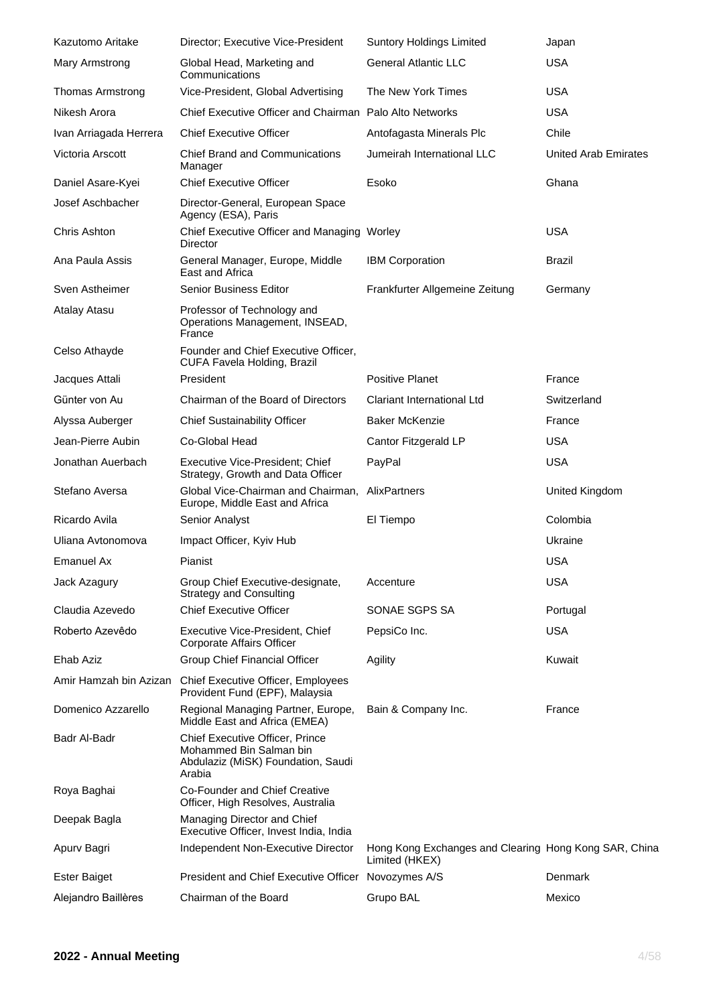| Kazutomo Aritake        | Director; Executive Vice-President                                                                         | <b>Suntory Holdings Limited</b>                                         | Japan                |
|-------------------------|------------------------------------------------------------------------------------------------------------|-------------------------------------------------------------------------|----------------------|
| Mary Armstrong          | Global Head, Marketing and<br>Communications                                                               | <b>General Atlantic LLC</b>                                             | <b>USA</b>           |
| <b>Thomas Armstrong</b> | Vice-President, Global Advertising                                                                         | The New York Times                                                      | <b>USA</b>           |
| Nikesh Arora            | Chief Executive Officer and Chairman Palo Alto Networks                                                    |                                                                         | <b>USA</b>           |
| Ivan Arriagada Herrera  | <b>Chief Executive Officer</b>                                                                             | Antofagasta Minerals Plc                                                | Chile                |
| Victoria Arscott        | <b>Chief Brand and Communications</b><br>Manager                                                           | Jumeirah International LLC                                              | United Arab Emirates |
| Daniel Asare-Kyei       | <b>Chief Executive Officer</b>                                                                             | Esoko                                                                   | Ghana                |
| Josef Aschbacher        | Director-General, European Space<br>Agency (ESA), Paris                                                    |                                                                         |                      |
| Chris Ashton            | Chief Executive Officer and Managing Worley<br>Director                                                    |                                                                         | <b>USA</b>           |
| Ana Paula Assis         | General Manager, Europe, Middle<br>East and Africa                                                         | <b>IBM Corporation</b>                                                  | <b>Brazil</b>        |
| Sven Astheimer          | <b>Senior Business Editor</b>                                                                              | Frankfurter Allgemeine Zeitung                                          | Germany              |
| Atalay Atasu            | Professor of Technology and<br>Operations Management, INSEAD,<br>France                                    |                                                                         |                      |
| Celso Athayde           | Founder and Chief Executive Officer,<br>CUFA Favela Holding, Brazil                                        |                                                                         |                      |
| Jacques Attali          | President                                                                                                  | <b>Positive Planet</b>                                                  | France               |
| Günter von Au           | Chairman of the Board of Directors                                                                         | <b>Clariant International Ltd</b>                                       | Switzerland          |
| Alyssa Auberger         | <b>Chief Sustainability Officer</b>                                                                        | <b>Baker McKenzie</b>                                                   | France               |
| Jean-Pierre Aubin       | Co-Global Head                                                                                             | Cantor Fitzgerald LP                                                    | <b>USA</b>           |
| Jonathan Auerbach       | Executive Vice-President; Chief<br>Strategy, Growth and Data Officer                                       | PayPal                                                                  | <b>USA</b>           |
| Stefano Aversa          | Global Vice-Chairman and Chairman,<br>Europe, Middle East and Africa                                       | AlixPartners                                                            | United Kingdom       |
| Ricardo Avila           | Senior Analyst                                                                                             | El Tiempo                                                               | Colombia             |
| Uliana Avtonomova       | Impact Officer, Kyiv Hub                                                                                   |                                                                         | Ukraine              |
| <b>Emanuel Ax</b>       | Pianist                                                                                                    |                                                                         | <b>USA</b>           |
| Jack Azagury            | Group Chief Executive-designate,<br><b>Strategy and Consulting</b>                                         | Accenture                                                               | <b>USA</b>           |
| Claudia Azevedo         | <b>Chief Executive Officer</b>                                                                             | SONAE SGPS SA                                                           | Portugal             |
| Roberto Azevêdo         | Executive Vice-President, Chief<br>Corporate Affairs Officer                                               | PepsiCo Inc.                                                            | <b>USA</b>           |
| Ehab Aziz               | Group Chief Financial Officer                                                                              | Agility                                                                 | Kuwait               |
| Amir Hamzah bin Azizan  | Chief Executive Officer, Employees<br>Provident Fund (EPF), Malaysia                                       |                                                                         |                      |
| Domenico Azzarello      | Regional Managing Partner, Europe,<br>Middle East and Africa (EMEA)                                        | Bain & Company Inc.                                                     | France               |
| Badr Al-Badr            | Chief Executive Officer, Prince<br>Mohammed Bin Salman bin<br>Abdulaziz (MiSK) Foundation, Saudi<br>Arabia |                                                                         |                      |
| Roya Baghai             | Co-Founder and Chief Creative<br>Officer, High Resolves, Australia                                         |                                                                         |                      |
| Deepak Bagla            | Managing Director and Chief<br>Executive Officer, Invest India, India                                      |                                                                         |                      |
| Apurv Bagri             | Independent Non-Executive Director                                                                         | Hong Kong Exchanges and Clearing Hong Kong SAR, China<br>Limited (HKEX) |                      |
| <b>Ester Baiget</b>     | President and Chief Executive Officer                                                                      | Novozymes A/S                                                           | Denmark              |
| Alejandro Baillères     | Chairman of the Board                                                                                      | Grupo BAL                                                               | Mexico               |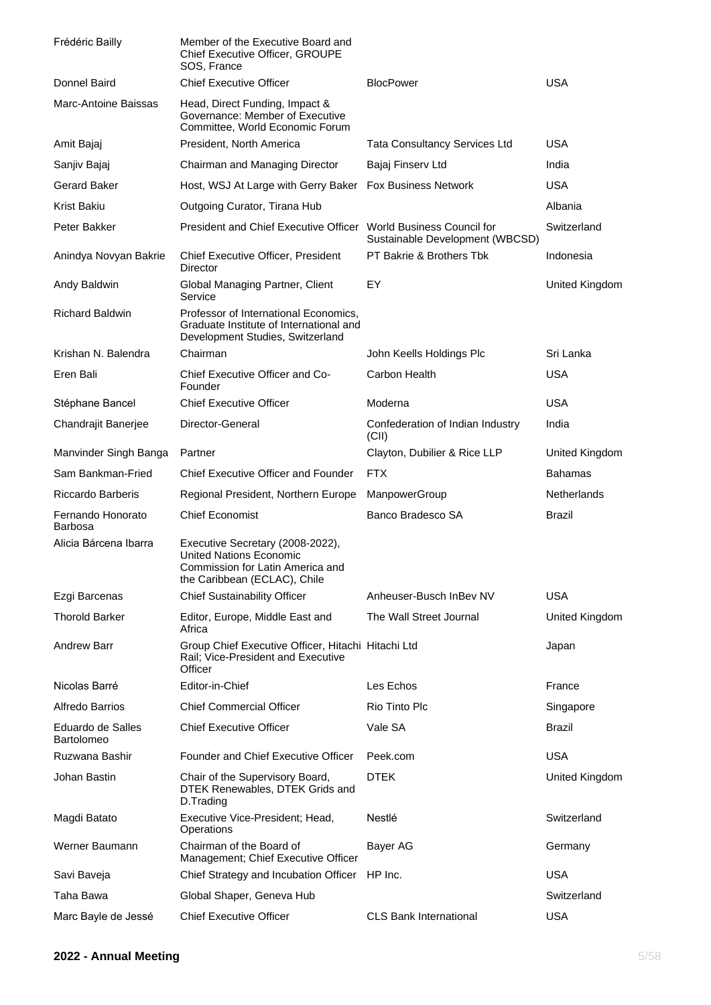| Frédéric Bailly                     | Member of the Executive Board and<br>Chief Executive Officer, GROUPE<br>SOS, France                                                    |                                           |                       |
|-------------------------------------|----------------------------------------------------------------------------------------------------------------------------------------|-------------------------------------------|-----------------------|
| Donnel Baird                        | <b>Chief Executive Officer</b>                                                                                                         | <b>BlocPower</b>                          | <b>USA</b>            |
| <b>Marc-Antoine Baissas</b>         | Head, Direct Funding, Impact &<br>Governance: Member of Executive<br>Committee, World Economic Forum                                   |                                           |                       |
| Amit Bajaj                          | President, North America                                                                                                               | <b>Tata Consultancy Services Ltd</b>      | USA                   |
| Sanjiv Bajaj                        | Chairman and Managing Director                                                                                                         | Bajaj Finserv Ltd                         | India                 |
| <b>Gerard Baker</b>                 | Host, WSJ At Large with Gerry Baker Fox Business Network                                                                               |                                           | <b>USA</b>            |
| Krist Bakiu                         | Outgoing Curator, Tirana Hub                                                                                                           |                                           | Albania               |
| Peter Bakker                        | President and Chief Executive Officer World Business Council for                                                                       | Sustainable Development (WBCSD)           | Switzerland           |
| Anindya Novyan Bakrie               | Chief Executive Officer, President<br><b>Director</b>                                                                                  | PT Bakrie & Brothers Tbk                  | Indonesia             |
| Andy Baldwin                        | Global Managing Partner, Client<br>Service                                                                                             | EY                                        | United Kingdom        |
| <b>Richard Baldwin</b>              | Professor of International Economics,<br>Graduate Institute of International and<br>Development Studies, Switzerland                   |                                           |                       |
| Krishan N. Balendra                 | Chairman                                                                                                                               | John Keells Holdings Plc                  | Sri Lanka             |
| Eren Bali                           | Chief Executive Officer and Co-<br>Founder                                                                                             | Carbon Health                             | <b>USA</b>            |
| Stéphane Bancel                     | <b>Chief Executive Officer</b>                                                                                                         | Moderna                                   | <b>USA</b>            |
| Chandrajit Banerjee                 | Director-General                                                                                                                       | Confederation of Indian Industry<br>(CII) | India                 |
| Manvinder Singh Banga               | Partner                                                                                                                                | Clayton, Dubilier & Rice LLP              | <b>United Kingdom</b> |
| Sam Bankman-Fried                   | <b>Chief Executive Officer and Founder</b>                                                                                             | <b>FTX</b>                                | <b>Bahamas</b>        |
| <b>Riccardo Barberis</b>            | Regional President, Northern Europe                                                                                                    | ManpowerGroup                             | <b>Netherlands</b>    |
| Fernando Honorato<br><b>Barbosa</b> | <b>Chief Economist</b>                                                                                                                 | Banco Bradesco SA                         | Brazil                |
| Alicia Bárcena Ibarra               | Executive Secretary (2008-2022),<br><b>United Nations Economic</b><br>Commission for Latin America and<br>the Caribbean (ECLAC), Chile |                                           |                       |
| Ezgi Barcenas                       | <b>Chief Sustainability Officer</b>                                                                                                    | Anheuser-Busch InBev NV                   | <b>USA</b>            |
| <b>Thorold Barker</b>               | Editor, Europe, Middle East and<br>Africa                                                                                              | The Wall Street Journal                   | United Kingdom        |
| <b>Andrew Barr</b>                  | Group Chief Executive Officer, Hitachi Hitachi Ltd<br>Rail; Vice-President and Executive<br>Officer                                    |                                           | Japan                 |
| Nicolas Barré                       | Editor-in-Chief                                                                                                                        | Les Echos                                 | France                |
| <b>Alfredo Barrios</b>              | <b>Chief Commercial Officer</b>                                                                                                        | Rio Tinto Plc                             | Singapore             |
| Eduardo de Salles<br>Bartolomeo     | <b>Chief Executive Officer</b>                                                                                                         | Vale SA                                   | Brazil                |
| Ruzwana Bashir                      | <b>Founder and Chief Executive Officer</b>                                                                                             | Peek.com                                  | <b>USA</b>            |
| Johan Bastin                        | Chair of the Supervisory Board,<br>DTEK Renewables, DTEK Grids and<br>D.Trading                                                        | <b>DTEK</b>                               | United Kingdom        |
| Magdi Batato                        | Executive Vice-President; Head,<br>Operations                                                                                          | Nestlé                                    | Switzerland           |
| Werner Baumann                      | Chairman of the Board of<br>Management; Chief Executive Officer                                                                        | Bayer AG                                  | Germany               |
| Savi Baveja                         | Chief Strategy and Incubation Officer                                                                                                  | HP Inc.                                   | <b>USA</b>            |
| Taha Bawa                           | Global Shaper, Geneva Hub                                                                                                              |                                           | Switzerland           |
| Marc Bayle de Jessé                 | <b>Chief Executive Officer</b>                                                                                                         | <b>CLS Bank International</b>             | <b>USA</b>            |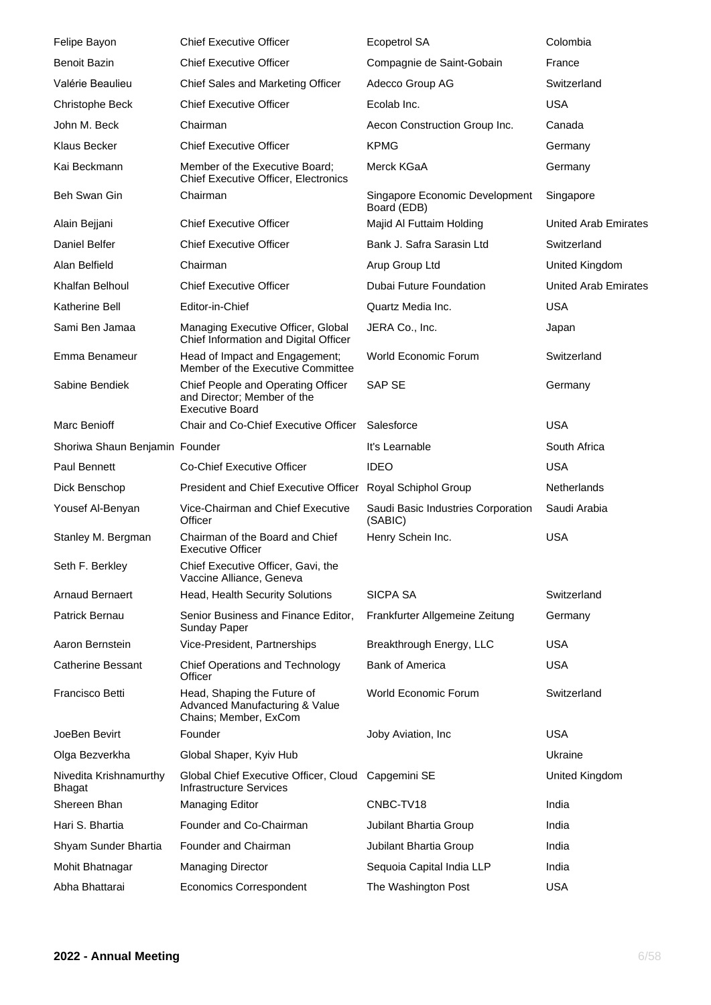| Felipe Bayon                            | <b>Chief Executive Officer</b>                                                              | <b>Ecopetrol SA</b>                           | Colombia                    |
|-----------------------------------------|---------------------------------------------------------------------------------------------|-----------------------------------------------|-----------------------------|
| <b>Benoit Bazin</b>                     | <b>Chief Executive Officer</b>                                                              | Compagnie de Saint-Gobain                     | France                      |
| Valérie Beaulieu                        | Chief Sales and Marketing Officer                                                           | Adecco Group AG                               | Switzerland                 |
| Christophe Beck                         | <b>Chief Executive Officer</b>                                                              | Ecolab Inc.                                   | <b>USA</b>                  |
| John M. Beck                            | Chairman                                                                                    | Aecon Construction Group Inc.                 | Canada                      |
| Klaus Becker                            | <b>Chief Executive Officer</b>                                                              | <b>KPMG</b>                                   | Germany                     |
| Kai Beckmann                            | Member of the Executive Board;<br><b>Chief Executive Officer, Electronics</b>               | Merck KGaA                                    | Germany                     |
| Beh Swan Gin                            | Chairman                                                                                    | Singapore Economic Development<br>Board (EDB) | Singapore                   |
| Alain Bejjani                           | <b>Chief Executive Officer</b>                                                              | Majid Al Futtaim Holding                      | United Arab Emirates        |
| Daniel Belfer                           | <b>Chief Executive Officer</b>                                                              | Bank J. Safra Sarasin Ltd                     | Switzerland                 |
| Alan Belfield                           | Chairman                                                                                    | Arup Group Ltd                                | United Kingdom              |
| Khalfan Belhoul                         | <b>Chief Executive Officer</b>                                                              | Dubai Future Foundation                       | <b>United Arab Emirates</b> |
| Katherine Bell                          | Editor-in-Chief                                                                             | Quartz Media Inc.                             | <b>USA</b>                  |
| Sami Ben Jamaa                          | Managing Executive Officer, Global<br>Chief Information and Digital Officer                 | JERA Co., Inc.                                | Japan                       |
| Emma Benameur                           | Head of Impact and Engagement;<br>Member of the Executive Committee                         | World Economic Forum                          | Switzerland                 |
| Sabine Bendiek                          | Chief People and Operating Officer<br>and Director; Member of the<br><b>Executive Board</b> | <b>SAP SE</b>                                 | Germany                     |
| Marc Benioff                            | Chair and Co-Chief Executive Officer                                                        | Salesforce                                    | <b>USA</b>                  |
| Shoriwa Shaun Benjamin Founder          |                                                                                             | It's Learnable                                | South Africa                |
| <b>Paul Bennett</b>                     | <b>Co-Chief Executive Officer</b>                                                           | <b>IDEO</b>                                   | <b>USA</b>                  |
| Dick Benschop                           | President and Chief Executive Officer Royal Schiphol Group                                  |                                               | <b>Netherlands</b>          |
| Yousef Al-Benyan                        | Vice-Chairman and Chief Executive<br>Officer                                                | Saudi Basic Industries Corporation<br>(SABIC) | Saudi Arabia                |
| Stanley M. Bergman                      | Chairman of the Board and Chief<br><b>Executive Officer</b>                                 | Henry Schein Inc.                             | <b>USA</b>                  |
| Seth F. Berkley                         | Chief Executive Officer, Gavi, the<br>Vaccine Alliance, Geneva                              |                                               |                             |
| <b>Arnaud Bernaert</b>                  | Head, Health Security Solutions                                                             | <b>SICPA SA</b>                               | Switzerland                 |
| Patrick Bernau                          | Senior Business and Finance Editor,<br>Sunday Paper                                         | Frankfurter Allgemeine Zeitung                | Germany                     |
| Aaron Bernstein                         | Vice-President, Partnerships                                                                | Breakthrough Energy, LLC                      | <b>USA</b>                  |
| Catherine Bessant                       | <b>Chief Operations and Technology</b><br>Officer                                           | <b>Bank of America</b>                        | <b>USA</b>                  |
| Francisco Betti                         | Head, Shaping the Future of<br>Advanced Manufacturing & Value<br>Chains; Member, ExCom      | World Economic Forum                          | Switzerland                 |
| JoeBen Bevirt                           | Founder                                                                                     | Joby Aviation, Inc.                           | <b>USA</b>                  |
| Olga Bezverkha                          | Global Shaper, Kyiv Hub                                                                     |                                               | Ukraine                     |
| Nivedita Krishnamurthy<br><b>Bhagat</b> | Global Chief Executive Officer, Cloud Capgemini SE<br><b>Infrastructure Services</b>        |                                               | United Kingdom              |
| Shereen Bhan                            | Managing Editor                                                                             | CNBC-TV18                                     | India                       |
| Hari S. Bhartia                         | Founder and Co-Chairman                                                                     | Jubilant Bhartia Group                        | India                       |
| Shyam Sunder Bhartia                    | Founder and Chairman                                                                        | Jubilant Bhartia Group                        | India                       |
| Mohit Bhatnagar                         | <b>Managing Director</b>                                                                    | Sequoia Capital India LLP                     | India                       |
| Abha Bhattarai                          | <b>Economics Correspondent</b>                                                              | The Washington Post                           | <b>USA</b>                  |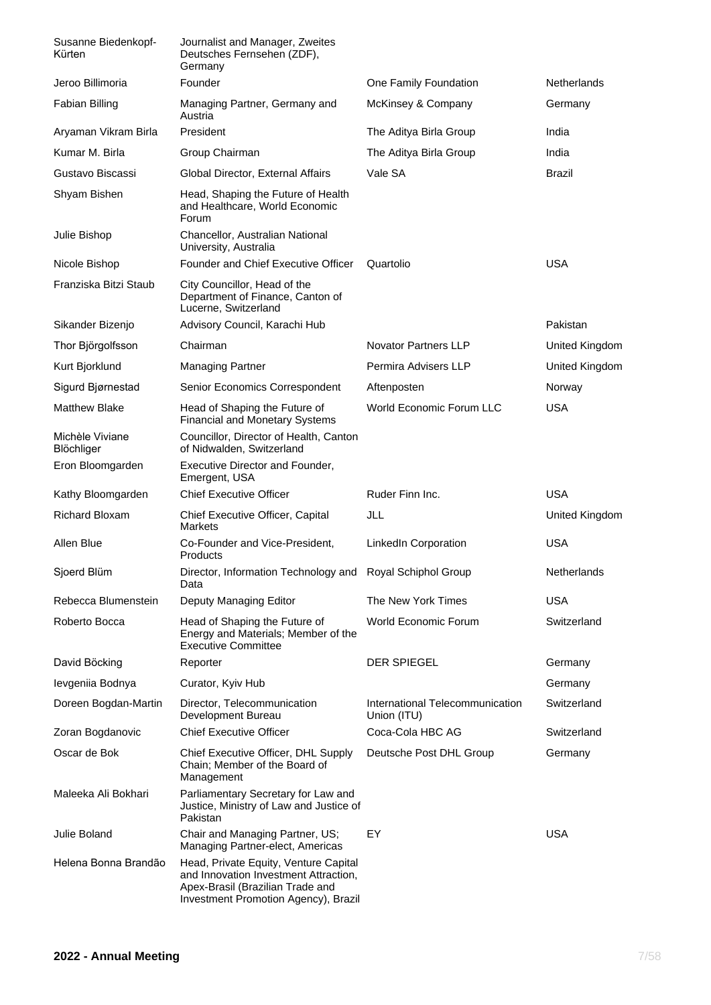| Susanne Biedenkopf-<br>Kürten | Journalist and Manager, Zweites<br>Deutsches Fernsehen (ZDF),<br>Germany                                                                                   |                                                |                    |
|-------------------------------|------------------------------------------------------------------------------------------------------------------------------------------------------------|------------------------------------------------|--------------------|
| Jeroo Billimoria              | Founder                                                                                                                                                    | One Family Foundation                          | <b>Netherlands</b> |
| Fabian Billing                | Managing Partner, Germany and<br>Austria                                                                                                                   | McKinsey & Company                             | Germany            |
| Aryaman Vikram Birla          | President                                                                                                                                                  | The Aditya Birla Group                         | India              |
| Kumar M. Birla                | Group Chairman                                                                                                                                             | The Aditya Birla Group                         | India              |
| Gustavo Biscassi              | Global Director, External Affairs                                                                                                                          | Vale SA                                        | Brazil             |
| Shyam Bishen                  | Head, Shaping the Future of Health<br>and Healthcare, World Economic<br>Forum                                                                              |                                                |                    |
| Julie Bishop                  | Chancellor, Australian National<br>University, Australia                                                                                                   |                                                |                    |
| Nicole Bishop                 | Founder and Chief Executive Officer                                                                                                                        | Quartolio                                      | <b>USA</b>         |
| Franziska Bitzi Staub         | City Councillor, Head of the<br>Department of Finance, Canton of<br>Lucerne, Switzerland                                                                   |                                                |                    |
| Sikander Bizenjo              | Advisory Council, Karachi Hub                                                                                                                              |                                                | Pakistan           |
| Thor Björgolfsson             | Chairman                                                                                                                                                   | <b>Novator Partners LLP</b>                    | United Kingdom     |
| Kurt Bjorklund                | <b>Managing Partner</b>                                                                                                                                    | Permira Advisers LLP                           | United Kingdom     |
| Sigurd Bjørnestad             | Senior Economics Correspondent                                                                                                                             | Aftenposten                                    | Norway             |
| Matthew Blake                 | Head of Shaping the Future of<br><b>Financial and Monetary Systems</b>                                                                                     | <b>World Economic Forum LLC</b>                | <b>USA</b>         |
| Michèle Viviane<br>Blöchliger | Councillor, Director of Health, Canton<br>of Nidwalden, Switzerland                                                                                        |                                                |                    |
| Eron Bloomgarden              | Executive Director and Founder,<br>Emergent, USA                                                                                                           |                                                |                    |
| Kathy Bloomgarden             | <b>Chief Executive Officer</b>                                                                                                                             | Ruder Finn Inc.                                | <b>USA</b>         |
| <b>Richard Bloxam</b>         | Chief Executive Officer, Capital<br>Markets                                                                                                                | JLL                                            | United Kingdom     |
| Allen Blue                    | Co-Founder and Vice-President,<br>Products                                                                                                                 | LinkedIn Corporation                           | <b>USA</b>         |
| Sjoerd Blüm                   | Director, Information Technology and Royal Schiphol Group<br>Data                                                                                          |                                                | Netherlands        |
| Rebecca Blumenstein           | Deputy Managing Editor                                                                                                                                     | The New York Times                             | <b>USA</b>         |
| Roberto Bocca                 | Head of Shaping the Future of<br>Energy and Materials; Member of the<br><b>Executive Committee</b>                                                         | World Economic Forum                           | Switzerland        |
| David Böcking                 | Reporter                                                                                                                                                   | <b>DER SPIEGEL</b>                             | Germany            |
| levgeniia Bodnya              | Curator, Kyiv Hub                                                                                                                                          |                                                | Germany            |
| Doreen Bogdan-Martin          | Director, Telecommunication<br>Development Bureau                                                                                                          | International Telecommunication<br>Union (ITU) | Switzerland        |
| Zoran Bogdanovic              | <b>Chief Executive Officer</b>                                                                                                                             | Coca-Cola HBC AG                               | Switzerland        |
| Oscar de Bok                  | Chief Executive Officer, DHL Supply<br>Chain; Member of the Board of<br>Management                                                                         | Deutsche Post DHL Group                        | Germany            |
| Maleeka Ali Bokhari           | Parliamentary Secretary for Law and<br>Justice, Ministry of Law and Justice of<br>Pakistan                                                                 |                                                |                    |
| Julie Boland                  | Chair and Managing Partner, US;<br>Managing Partner-elect, Americas                                                                                        | EY                                             | <b>USA</b>         |
| Helena Bonna Brandão          | Head, Private Equity, Venture Capital<br>and Innovation Investment Attraction,<br>Apex-Brasil (Brazilian Trade and<br>Investment Promotion Agency), Brazil |                                                |                    |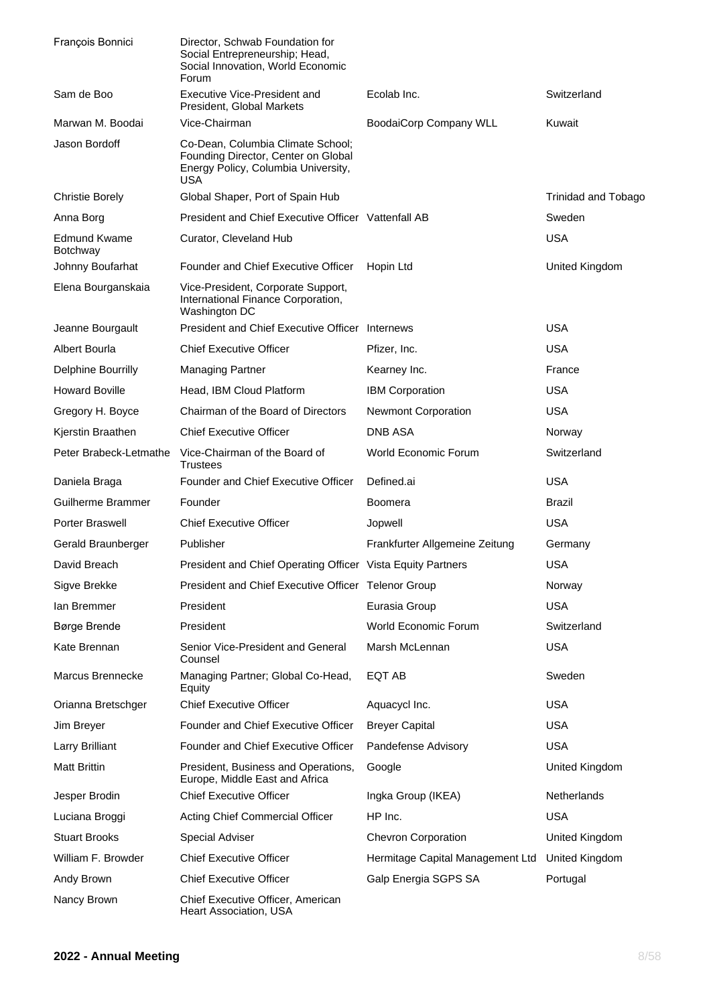| François Bonnici                       | Director, Schwab Foundation for<br>Social Entrepreneurship; Head,<br>Social Innovation, World Economic<br>Forum        |                                  |                            |
|----------------------------------------|------------------------------------------------------------------------------------------------------------------------|----------------------------------|----------------------------|
| Sam de Boo                             | <b>Executive Vice-President and</b><br>President, Global Markets                                                       | Ecolab Inc.                      | Switzerland                |
| Marwan M. Boodai                       | Vice-Chairman                                                                                                          | <b>BoodaiCorp Company WLL</b>    | Kuwait                     |
| Jason Bordoff                          | Co-Dean, Columbia Climate School;<br>Founding Director, Center on Global<br>Energy Policy, Columbia University,<br>USA |                                  |                            |
| <b>Christie Borely</b>                 | Global Shaper, Port of Spain Hub                                                                                       |                                  | <b>Trinidad and Tobago</b> |
| Anna Borg                              | President and Chief Executive Officer Vattenfall AB                                                                    |                                  | Sweden                     |
| <b>Edmund Kwame</b><br><b>Botchway</b> | Curator, Cleveland Hub                                                                                                 |                                  | <b>USA</b>                 |
| Johnny Boufarhat                       | Founder and Chief Executive Officer                                                                                    | Hopin Ltd                        | United Kingdom             |
| Elena Bourganskaia                     | Vice-President, Corporate Support,<br>International Finance Corporation,<br>Washington DC                              |                                  |                            |
| Jeanne Bourgault                       | President and Chief Executive Officer Internews                                                                        |                                  | <b>USA</b>                 |
| Albert Bourla                          | <b>Chief Executive Officer</b>                                                                                         | Pfizer, Inc.                     | <b>USA</b>                 |
| Delphine Bourrilly                     | <b>Managing Partner</b>                                                                                                | Kearney Inc.                     | France                     |
| <b>Howard Boville</b>                  | Head, IBM Cloud Platform                                                                                               | <b>IBM Corporation</b>           | <b>USA</b>                 |
| Gregory H. Boyce                       | Chairman of the Board of Directors                                                                                     | Newmont Corporation              | <b>USA</b>                 |
| Kjerstin Braathen                      | <b>Chief Executive Officer</b>                                                                                         | DNB ASA                          | Norway                     |
| Peter Brabeck-Letmathe                 | Vice-Chairman of the Board of<br><b>Trustees</b>                                                                       | World Economic Forum             | Switzerland                |
| Daniela Braga                          | Founder and Chief Executive Officer                                                                                    | Defined.ai                       | <b>USA</b>                 |
| Guilherme Brammer                      | Founder                                                                                                                | Boomera                          | Brazil                     |
| Porter Braswell                        | <b>Chief Executive Officer</b>                                                                                         | Jopwell                          | <b>USA</b>                 |
| Gerald Braunberger                     | Publisher                                                                                                              | Frankfurter Allgemeine Zeitung   | Germany                    |
| David Breach                           | President and Chief Operating Officer Vista Equity Partners                                                            |                                  | <b>USA</b>                 |
| Sigve Brekke                           | President and Chief Executive Officer Telenor Group                                                                    |                                  | Norway                     |
| lan Bremmer                            | President                                                                                                              | Eurasia Group                    | <b>USA</b>                 |
| Børge Brende                           | President                                                                                                              | <b>World Economic Forum</b>      | Switzerland                |
| Kate Brennan                           | Senior Vice-President and General<br>Counsel                                                                           | Marsh McLennan                   | <b>USA</b>                 |
| Marcus Brennecke                       | Managing Partner; Global Co-Head,<br>Equity                                                                            | EQT AB                           | Sweden                     |
| Orianna Bretschger                     | <b>Chief Executive Officer</b>                                                                                         | Aquacycl Inc.                    | <b>USA</b>                 |
| Jim Breyer                             | Founder and Chief Executive Officer                                                                                    | <b>Breyer Capital</b>            | <b>USA</b>                 |
| Larry Brilliant                        | Founder and Chief Executive Officer                                                                                    | Pandefense Advisory              | <b>USA</b>                 |
| <b>Matt Brittin</b>                    | President, Business and Operations,<br>Europe, Middle East and Africa                                                  | Google                           | United Kingdom             |
| Jesper Brodin                          | <b>Chief Executive Officer</b>                                                                                         | Ingka Group (IKEA)               | Netherlands                |
| Luciana Broggi                         | Acting Chief Commercial Officer                                                                                        | HP Inc.                          | <b>USA</b>                 |
| <b>Stuart Brooks</b>                   | <b>Special Adviser</b>                                                                                                 | <b>Chevron Corporation</b>       | United Kingdom             |
| William F. Browder                     | <b>Chief Executive Officer</b>                                                                                         | Hermitage Capital Management Ltd | United Kingdom             |
| Andy Brown                             | <b>Chief Executive Officer</b>                                                                                         | Galp Energia SGPS SA             | Portugal                   |
| Nancy Brown                            | Chief Executive Officer, American<br>Heart Association, USA                                                            |                                  |                            |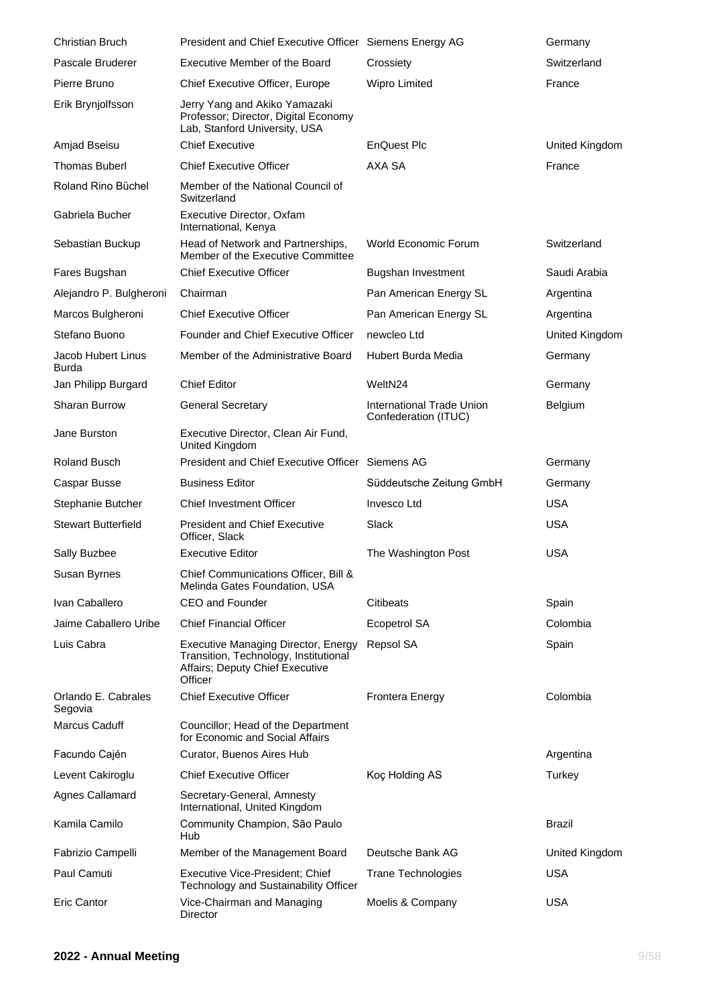| <b>Christian Bruch</b>             | President and Chief Executive Officer Siemens Energy AG                                                                           |                                                   | Germany        |
|------------------------------------|-----------------------------------------------------------------------------------------------------------------------------------|---------------------------------------------------|----------------|
| Pascale Bruderer                   | Executive Member of the Board                                                                                                     | Crossiety                                         | Switzerland    |
| Pierre Bruno                       | Chief Executive Officer, Europe                                                                                                   | Wipro Limited                                     | France         |
| Erik Brynjolfsson                  | Jerry Yang and Akiko Yamazaki<br>Professor; Director, Digital Economy<br>Lab, Stanford University, USA                            |                                                   |                |
| Amjad Bseisu                       | <b>Chief Executive</b>                                                                                                            | EnQuest Plc                                       | United Kingdom |
| <b>Thomas Buberl</b>               | <b>Chief Executive Officer</b>                                                                                                    | AXA SA                                            | France         |
| Roland Rino Büchel                 | Member of the National Council of<br>Switzerland                                                                                  |                                                   |                |
| Gabriela Bucher                    | Executive Director, Oxfam<br>International, Kenya                                                                                 |                                                   |                |
| Sebastian Buckup                   | Head of Network and Partnerships,<br>Member of the Executive Committee                                                            | World Economic Forum                              | Switzerland    |
| Fares Bugshan                      | <b>Chief Executive Officer</b>                                                                                                    | Bugshan Investment                                | Saudi Arabia   |
| Alejandro P. Bulgheroni            | Chairman                                                                                                                          | Pan American Energy SL                            | Argentina      |
| Marcos Bulgheroni                  | <b>Chief Executive Officer</b>                                                                                                    | Pan American Energy SL                            | Argentina      |
| Stefano Buono                      | Founder and Chief Executive Officer                                                                                               | newcleo Ltd                                       | United Kingdom |
| Jacob Hubert Linus<br><b>Burda</b> | Member of the Administrative Board                                                                                                | Hubert Burda Media                                | Germany        |
| Jan Philipp Burgard                | <b>Chief Editor</b>                                                                                                               | WeltN24                                           | Germany        |
| <b>Sharan Burrow</b>               | <b>General Secretary</b>                                                                                                          | International Trade Union<br>Confederation (ITUC) | <b>Belgium</b> |
| Jane Burston                       | Executive Director, Clean Air Fund,<br>United Kingdom                                                                             |                                                   |                |
| Roland Busch                       | President and Chief Executive Officer Siemens AG                                                                                  |                                                   | Germany        |
| Caspar Busse                       | <b>Business Editor</b>                                                                                                            | Süddeutsche Zeitung GmbH                          | Germany        |
| Stephanie Butcher                  | <b>Chief Investment Officer</b>                                                                                                   | Invesco Ltd                                       | <b>USA</b>     |
| <b>Stewart Butterfield</b>         | <b>President and Chief Executive</b><br>Officer, Slack                                                                            | Slack                                             | <b>USA</b>     |
| Sally Buzbee                       | <b>Executive Editor</b>                                                                                                           | The Washington Post                               | <b>USA</b>     |
| Susan Byrnes                       | Chief Communications Officer, Bill &<br>Melinda Gates Foundation, USA                                                             |                                                   |                |
| Ivan Caballero                     | <b>CEO</b> and Founder                                                                                                            | <b>Citibeats</b>                                  | Spain          |
| Jaime Caballero Uribe              | <b>Chief Financial Officer</b>                                                                                                    | <b>Ecopetrol SA</b>                               | Colombia       |
| Luis Cabra                         | <b>Executive Managing Director, Energy</b><br>Transition, Technology, Institutional<br>Affairs; Deputy Chief Executive<br>Officer | Repsol SA                                         | Spain          |
| Orlando E. Cabrales<br>Segovia     | <b>Chief Executive Officer</b>                                                                                                    | <b>Frontera Energy</b>                            | Colombia       |
| <b>Marcus Caduff</b>               | Councillor; Head of the Department<br>for Economic and Social Affairs                                                             |                                                   |                |
| Facundo Cajén                      | Curator, Buenos Aires Hub                                                                                                         |                                                   | Argentina      |
| Levent Cakiroglu                   | <b>Chief Executive Officer</b>                                                                                                    | Koç Holding AS                                    | Turkey         |
| <b>Agnes Callamard</b>             | Secretary-General, Amnesty<br>International, United Kingdom                                                                       |                                                   |                |
| Kamila Camilo                      | Community Champion, São Paulo<br>Hub                                                                                              |                                                   | <b>Brazil</b>  |
| Fabrizio Campelli                  | Member of the Management Board                                                                                                    | Deutsche Bank AG                                  | United Kingdom |
| Paul Camuti                        | Executive Vice-President; Chief<br>Technology and Sustainability Officer                                                          | <b>Trane Technologies</b>                         | <b>USA</b>     |
| <b>Eric Cantor</b>                 | Vice-Chairman and Managing<br>Director                                                                                            | Moelis & Company                                  | <b>USA</b>     |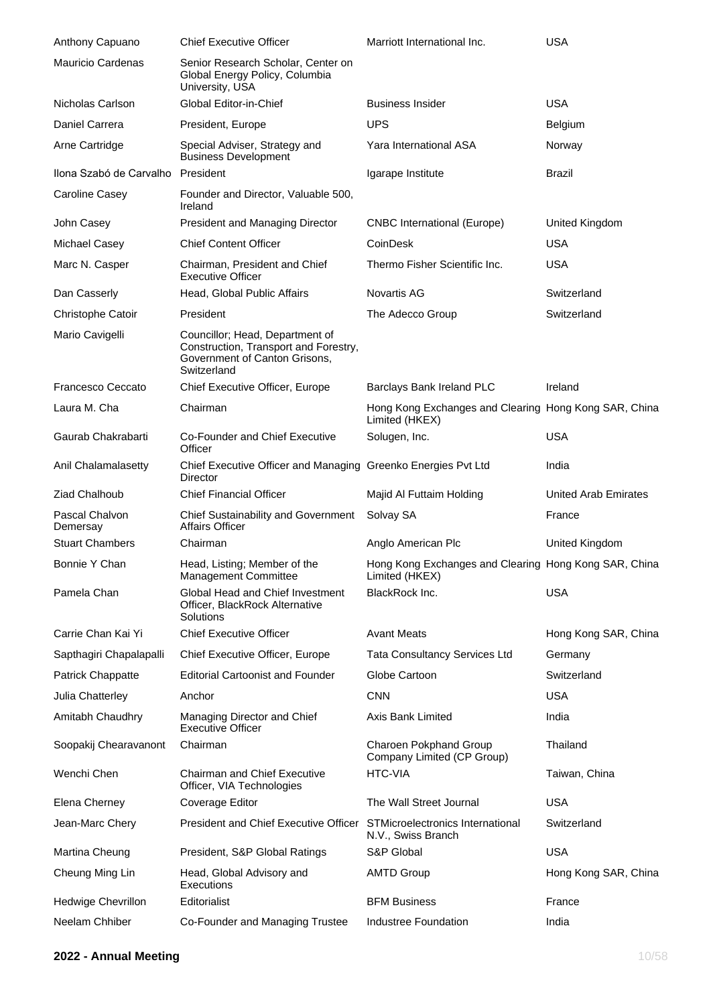| Anthony Capuano                      | <b>Chief Executive Officer</b>                                                                                           | Marriott International Inc.                                             | <b>USA</b>                    |
|--------------------------------------|--------------------------------------------------------------------------------------------------------------------------|-------------------------------------------------------------------------|-------------------------------|
| <b>Mauricio Cardenas</b>             | Senior Research Scholar, Center on<br>Global Energy Policy, Columbia<br>University, USA                                  |                                                                         |                               |
| Nicholas Carlson                     | Global Editor-in-Chief                                                                                                   | <b>Business Insider</b>                                                 | <b>USA</b>                    |
| Daniel Carrera                       | President, Europe                                                                                                        | <b>UPS</b>                                                              | <b>Belgium</b>                |
| Arne Cartridge                       | Special Adviser, Strategy and<br><b>Business Development</b>                                                             | Yara International ASA                                                  | Norway                        |
| Ilona Szabó de Carvalho              | President                                                                                                                | Igarape Institute                                                       | Brazil                        |
| Caroline Casey                       | Founder and Director, Valuable 500,<br>Ireland                                                                           |                                                                         |                               |
| John Casey                           | President and Managing Director                                                                                          | <b>CNBC</b> International (Europe)                                      | United Kingdom                |
| Michael Casey                        | <b>Chief Content Officer</b>                                                                                             | CoinDesk                                                                | USA                           |
| Marc N. Casper                       | Chairman, President and Chief<br><b>Executive Officer</b>                                                                | Thermo Fisher Scientific Inc.                                           | <b>USA</b>                    |
| Dan Casserly                         | Head, Global Public Affairs                                                                                              | <b>Novartis AG</b>                                                      | Switzerland                   |
| Christophe Catoir                    | President                                                                                                                | The Adecco Group                                                        | Switzerland                   |
| Mario Cavigelli                      | Councillor; Head, Department of<br>Construction, Transport and Forestry,<br>Government of Canton Grisons,<br>Switzerland |                                                                         |                               |
| Francesco Ceccato                    | Chief Executive Officer, Europe                                                                                          | Barclays Bank Ireland PLC                                               | Ireland                       |
| Laura M. Cha                         | Chairman                                                                                                                 | Hong Kong Exchanges and Clearing Hong Kong SAR, China<br>Limited (HKEX) |                               |
| Gaurab Chakrabarti                   | Co-Founder and Chief Executive<br>Officer                                                                                | Solugen, Inc.                                                           | <b>USA</b>                    |
| Anil Chalamalasetty                  | Chief Executive Officer and Managing Greenko Energies Pvt Ltd<br>Director                                                |                                                                         | India                         |
|                                      |                                                                                                                          |                                                                         |                               |
| Ziad Chalhoub                        | <b>Chief Financial Officer</b>                                                                                           | Majid Al Futtaim Holding                                                | <b>United Arab Emirates</b>   |
| Pascal Chalvon<br>Demersay           | Chief Sustainability and Government<br>Affairs Officer                                                                   | Solvay SA                                                               | France                        |
| <b>Stuart Chambers</b>               | Chairman                                                                                                                 | Anglo American Plc                                                      | United Kingdom                |
| Bonnie Y Chan                        | Head, Listing; Member of the<br><b>Management Committee</b>                                                              | Hong Kong Exchanges and Clearing Hong Kong SAR, China<br>Limited (HKEX) |                               |
| Pamela Chan                          | Global Head and Chief Investment<br>Officer, BlackRock Alternative<br>Solutions                                          | BlackRock Inc.                                                          | <b>USA</b>                    |
| Carrie Chan Kai Yi                   | <b>Chief Executive Officer</b>                                                                                           | <b>Avant Meats</b>                                                      |                               |
| Sapthagiri Chapalapalli              | Chief Executive Officer, Europe                                                                                          | <b>Tata Consultancy Services Ltd</b>                                    | Germany                       |
| Patrick Chappatte                    | <b>Editorial Cartoonist and Founder</b>                                                                                  | Globe Cartoon                                                           | Switzerland                   |
| Julia Chatterley                     | Anchor                                                                                                                   | CNN                                                                     | <b>USA</b>                    |
| Amitabh Chaudhry                     | Managing Director and Chief<br><b>Executive Officer</b>                                                                  | Axis Bank Limited                                                       | Hong Kong SAR, China<br>India |
| Soopakij Chearavanont                | Chairman                                                                                                                 | Charoen Pokphand Group<br>Company Limited (CP Group)                    | Thailand                      |
| Wenchi Chen                          | <b>Chairman and Chief Executive</b><br>Officer, VIA Technologies                                                         | <b>HTC-VIA</b>                                                          | Taiwan, China                 |
| Elena Cherney                        | Coverage Editor                                                                                                          | The Wall Street Journal                                                 | <b>USA</b>                    |
| Jean-Marc Chery                      | <b>President and Chief Executive Officer</b>                                                                             | STMicroelectronics International<br>N.V., Swiss Branch                  | Switzerland                   |
| Martina Cheung                       | President, S&P Global Ratings                                                                                            | S&P Global                                                              | <b>USA</b>                    |
| Cheung Ming Lin                      | Head, Global Advisory and<br>Executions                                                                                  | <b>AMTD Group</b>                                                       | Hong Kong SAR, China          |
| Hedwige Chevrillon<br>Neelam Chhiber | Editorialist<br>Co-Founder and Managing Trustee                                                                          | <b>BFM Business</b>                                                     | France                        |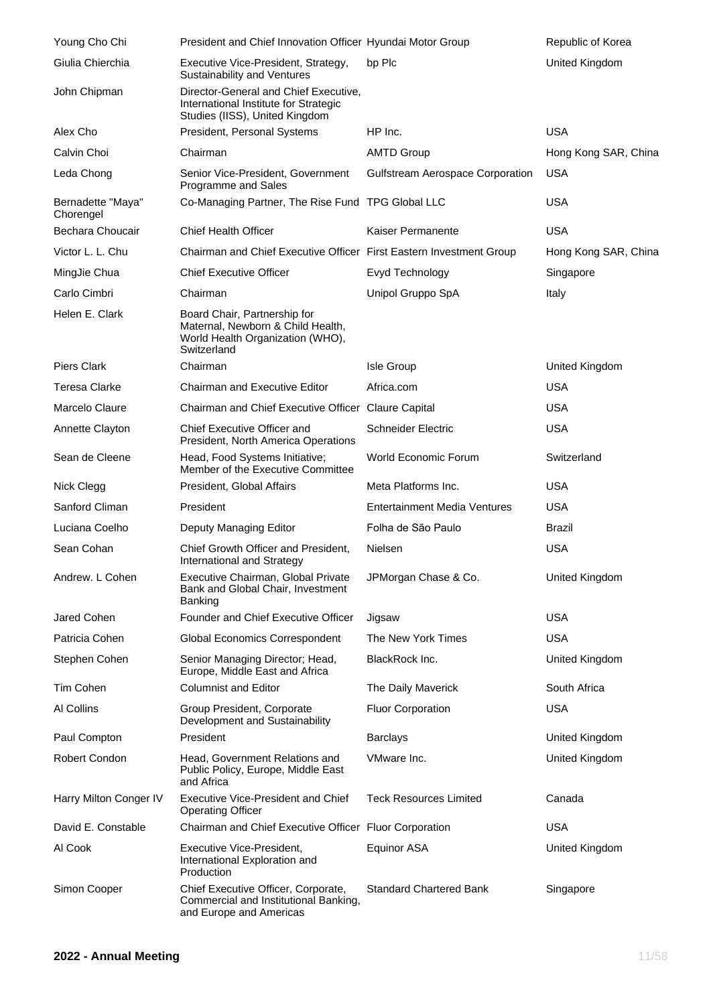| Young Cho Chi                  | President and Chief Innovation Officer Hyundai Motor Group                                                           |                                  | Republic of Korea    |
|--------------------------------|----------------------------------------------------------------------------------------------------------------------|----------------------------------|----------------------|
| Giulia Chierchia               | Executive Vice-President, Strategy,<br>Sustainability and Ventures                                                   | bp Plc                           | United Kingdom       |
| John Chipman                   | Director-General and Chief Executive,<br>International Institute for Strategic<br>Studies (IISS), United Kingdom     |                                  |                      |
| Alex Cho                       | President, Personal Systems                                                                                          | HP Inc.                          | <b>USA</b>           |
| Calvin Choi                    | Chairman                                                                                                             | <b>AMTD Group</b>                | Hong Kong SAR, China |
| Leda Chong                     | Senior Vice-President, Government<br>Programme and Sales                                                             | Gulfstream Aerospace Corporation | <b>USA</b>           |
| Bernadette "Maya"<br>Chorengel | Co-Managing Partner, The Rise Fund TPG Global LLC                                                                    |                                  | <b>USA</b>           |
| Bechara Choucair               | <b>Chief Health Officer</b>                                                                                          | Kaiser Permanente                | <b>USA</b>           |
| Victor L. L. Chu               | Chairman and Chief Executive Officer First Eastern Investment Group                                                  |                                  | Hong Kong SAR, China |
| MingJie Chua                   | <b>Chief Executive Officer</b>                                                                                       | Evyd Technology                  | Singapore            |
| Carlo Cimbri                   | Chairman                                                                                                             | Unipol Gruppo SpA                | Italy                |
| Helen E. Clark                 | Board Chair, Partnership for<br>Maternal, Newborn & Child Health,<br>World Health Organization (WHO),<br>Switzerland |                                  |                      |
| <b>Piers Clark</b>             | Chairman                                                                                                             | Isle Group                       | United Kingdom       |
| <b>Teresa Clarke</b>           | <b>Chairman and Executive Editor</b>                                                                                 | Africa.com                       | <b>USA</b>           |
| Marcelo Claure                 | Chairman and Chief Executive Officer Claure Capital                                                                  |                                  | <b>USA</b>           |
| Annette Clayton                | Chief Executive Officer and<br>President, North America Operations                                                   | <b>Schneider Electric</b>        | <b>USA</b>           |
| Sean de Cleene                 | Head, Food Systems Initiative;<br>Member of the Executive Committee                                                  | World Economic Forum             | Switzerland          |
| Nick Clegg                     | President, Global Affairs                                                                                            | Meta Platforms Inc.              | <b>USA</b>           |
| Sanford Climan                 | President                                                                                                            | Entertainment Media Ventures     | <b>USA</b>           |
| Luciana Coelho                 | Deputy Managing Editor                                                                                               | Folha de São Paulo               | Brazil               |
| Sean Cohan                     | Chief Growth Officer and President,<br>International and Strategy                                                    | Nielsen                          | <b>USA</b>           |
| Andrew. L Cohen                | Executive Chairman, Global Private<br>Bank and Global Chair, Investment<br>Banking                                   | JPMorgan Chase & Co.             | United Kingdom       |
| Jared Cohen                    | Founder and Chief Executive Officer                                                                                  | Jigsaw                           | <b>USA</b>           |
| Patricia Cohen                 | <b>Global Economics Correspondent</b>                                                                                | The New York Times               | <b>USA</b>           |
| Stephen Cohen                  | Senior Managing Director; Head,<br>Europe, Middle East and Africa                                                    | BlackRock Inc.                   | United Kingdom       |
| Tim Cohen                      | <b>Columnist and Editor</b>                                                                                          | The Daily Maverick               | South Africa         |
| Al Collins                     | Group President, Corporate<br>Development and Sustainability                                                         | <b>Fluor Corporation</b>         | <b>USA</b>           |
| Paul Compton                   | President                                                                                                            | <b>Barclays</b>                  | United Kingdom       |
| Robert Condon                  | Head, Government Relations and<br>Public Policy, Europe, Middle East<br>and Africa                                   | VMware Inc.                      | United Kingdom       |
| Harry Milton Conger IV         | Executive Vice-President and Chief<br><b>Operating Officer</b>                                                       | <b>Teck Resources Limited</b>    | Canada               |
| David E. Constable             | Chairman and Chief Executive Officer Fluor Corporation                                                               |                                  | <b>USA</b>           |
| Al Cook                        | Executive Vice-President,<br>International Exploration and<br>Production                                             | Equinor ASA                      | United Kingdom       |
| Simon Cooper                   | Chief Executive Officer, Corporate,<br>Commercial and Institutional Banking,<br>and Europe and Americas              | <b>Standard Chartered Bank</b>   | Singapore            |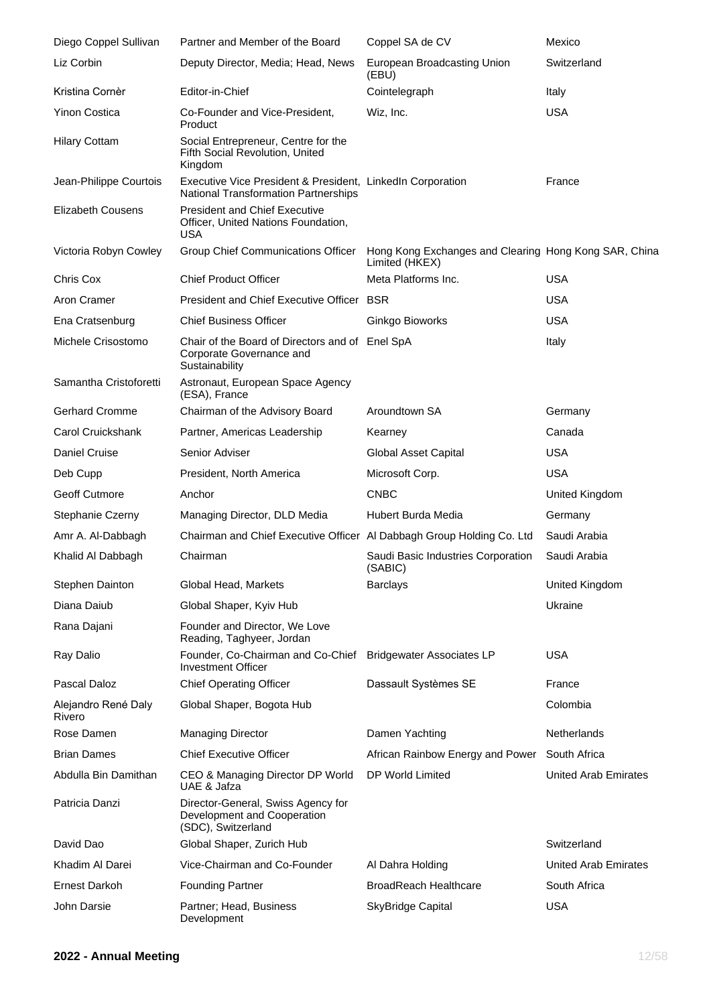| Diego Coppel Sullivan         | Partner and Member of the Board                                                                           | Coppel SA de CV                                                         | Mexico                      |
|-------------------------------|-----------------------------------------------------------------------------------------------------------|-------------------------------------------------------------------------|-----------------------------|
| Liz Corbin                    | Deputy Director, Media; Head, News                                                                        | European Broadcasting Union<br>(EBU)                                    | Switzerland                 |
| Kristina Cornèr               | Editor-in-Chief                                                                                           | Cointelegraph                                                           | Italy                       |
| <b>Yinon Costica</b>          | Co-Founder and Vice-President,<br>Product                                                                 | Wiz, Inc.                                                               | <b>USA</b>                  |
| <b>Hilary Cottam</b>          | Social Entrepreneur, Centre for the<br>Fifth Social Revolution, United<br>Kingdom                         |                                                                         |                             |
| Jean-Philippe Courtois        | Executive Vice President & President, LinkedIn Corporation<br><b>National Transformation Partnerships</b> |                                                                         | France                      |
| <b>Elizabeth Cousens</b>      | <b>President and Chief Executive</b><br>Officer, United Nations Foundation,<br><b>USA</b>                 |                                                                         |                             |
| Victoria Robyn Cowley         | Group Chief Communications Officer                                                                        | Hong Kong Exchanges and Clearing Hong Kong SAR, China<br>Limited (HKEX) |                             |
| Chris Cox                     | <b>Chief Product Officer</b>                                                                              | Meta Platforms Inc.                                                     | <b>USA</b>                  |
| Aron Cramer                   | President and Chief Executive Officer BSR                                                                 |                                                                         | <b>USA</b>                  |
| Ena Cratsenburg               | <b>Chief Business Officer</b>                                                                             | Ginkgo Bioworks                                                         | <b>USA</b>                  |
| Michele Crisostomo            | Chair of the Board of Directors and of Enel SpA<br>Corporate Governance and<br>Sustainability             |                                                                         | Italy                       |
| Samantha Cristoforetti        | Astronaut, European Space Agency<br>(ESA), France                                                         |                                                                         |                             |
| <b>Gerhard Cromme</b>         | Chairman of the Advisory Board                                                                            | Aroundtown SA                                                           | Germany                     |
| Carol Cruickshank             | Partner, Americas Leadership                                                                              | Kearney                                                                 | Canada                      |
| Daniel Cruise                 | Senior Adviser                                                                                            | <b>Global Asset Capital</b>                                             | <b>USA</b>                  |
| Deb Cupp                      | President, North America                                                                                  | Microsoft Corp.                                                         | <b>USA</b>                  |
| Geoff Cutmore                 | Anchor                                                                                                    | <b>CNBC</b>                                                             | United Kingdom              |
| Stephanie Czerny              | Managing Director, DLD Media                                                                              | Hubert Burda Media                                                      | Germany                     |
| Amr A. Al-Dabbagh             | Chairman and Chief Executive Officer Al Dabbagh Group Holding Co. Ltd                                     |                                                                         | Saudi Arabia                |
| Khalid Al Dabbagh             | Chairman                                                                                                  | Saudi Basic Industries Corporation<br>(SABIC)                           | Saudi Arabia                |
| Stephen Dainton               | Global Head, Markets                                                                                      | <b>Barclays</b>                                                         | United Kingdom              |
| Diana Daiub                   | Global Shaper, Kyiv Hub                                                                                   |                                                                         | Ukraine                     |
| Rana Dajani                   | Founder and Director, We Love<br>Reading, Taghyeer, Jordan                                                |                                                                         |                             |
| Ray Dalio                     | Founder, Co-Chairman and Co-Chief<br>Investment Officer                                                   | <b>Bridgewater Associates LP</b>                                        | <b>USA</b>                  |
| Pascal Daloz                  | <b>Chief Operating Officer</b>                                                                            | Dassault Systèmes SE                                                    | France                      |
| Alejandro René Daly<br>Rivero | Global Shaper, Bogota Hub                                                                                 |                                                                         | Colombia                    |
| Rose Damen                    | <b>Managing Director</b>                                                                                  | Damen Yachting                                                          | Netherlands                 |
| <b>Brian Dames</b>            | <b>Chief Executive Officer</b>                                                                            | African Rainbow Energy and Power                                        | South Africa                |
| Abdulla Bin Damithan          | CEO & Managing Director DP World<br>UAE & Jafza                                                           | DP World Limited                                                        | <b>United Arab Emirates</b> |
| Patricia Danzi                | Director-General, Swiss Agency for<br>Development and Cooperation<br>(SDC), Switzerland                   |                                                                         |                             |
| David Dao                     | Global Shaper, Zurich Hub                                                                                 |                                                                         | Switzerland                 |
| Khadim Al Darei               | Vice-Chairman and Co-Founder                                                                              | Al Dahra Holding                                                        | <b>United Arab Emirates</b> |
| <b>Ernest Darkoh</b>          | <b>Founding Partner</b>                                                                                   | <b>BroadReach Healthcare</b>                                            | South Africa                |
| John Darsie                   | Partner; Head, Business<br>Development                                                                    | <b>SkyBridge Capital</b>                                                | <b>USA</b>                  |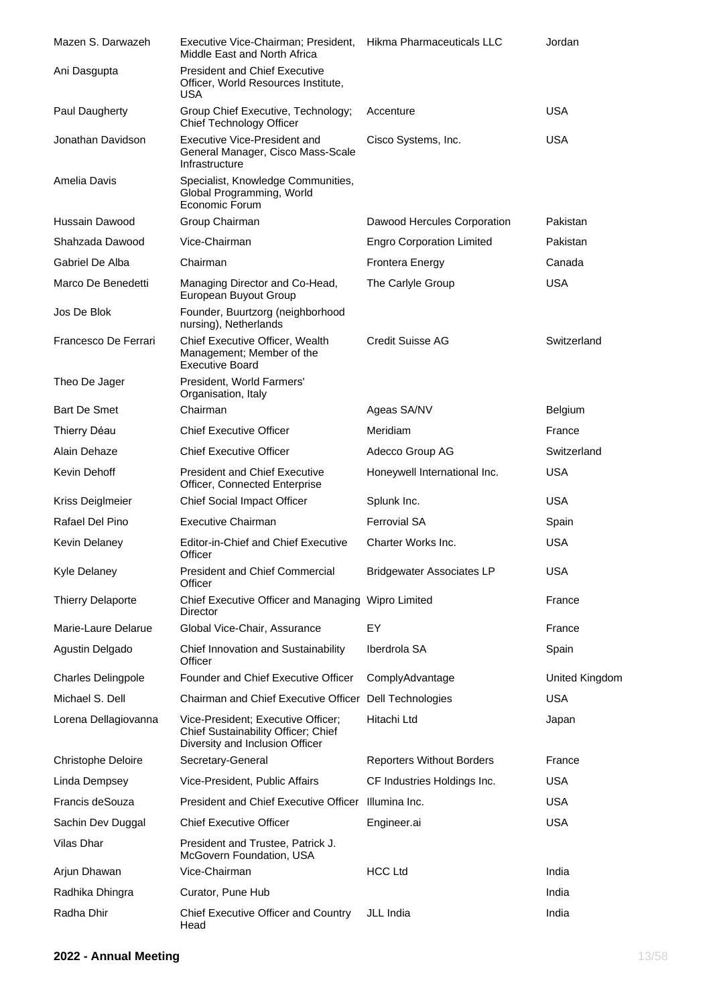| Mazen S. Darwazeh         | Executive Vice-Chairman; President, Hikma Pharmaceuticals LLC<br>Middle East and North Africa                |                                  | Jordan                |
|---------------------------|--------------------------------------------------------------------------------------------------------------|----------------------------------|-----------------------|
| Ani Dasgupta              | <b>President and Chief Executive</b><br>Officer, World Resources Institute,<br>USA                           |                                  |                       |
| Paul Daugherty            | Group Chief Executive, Technology;<br>Chief Technology Officer                                               | Accenture                        | <b>USA</b>            |
| Jonathan Davidson         | Executive Vice-President and<br>General Manager, Cisco Mass-Scale<br>Infrastructure                          | Cisco Systems, Inc.              | USA                   |
| Amelia Davis              | Specialist, Knowledge Communities,<br>Global Programming, World<br>Economic Forum                            |                                  |                       |
| Hussain Dawood            | Group Chairman                                                                                               | Dawood Hercules Corporation      | Pakistan              |
| Shahzada Dawood           | Vice-Chairman                                                                                                | <b>Engro Corporation Limited</b> | Pakistan              |
| Gabriel De Alba           | Chairman                                                                                                     | <b>Frontera Energy</b>           | Canada                |
| Marco De Benedetti        | Managing Director and Co-Head,<br>European Buyout Group                                                      | The Carlyle Group                | <b>USA</b>            |
| Jos De Blok               | Founder, Buurtzorg (neighborhood<br>nursing), Netherlands                                                    |                                  |                       |
| Francesco De Ferrari      | Chief Executive Officer, Wealth<br>Management; Member of the<br><b>Executive Board</b>                       | Credit Suisse AG                 | Switzerland           |
| Theo De Jager             | President, World Farmers'<br>Organisation, Italy                                                             |                                  |                       |
| <b>Bart De Smet</b>       | Chairman                                                                                                     | Ageas SA/NV                      | Belgium               |
| Thierry Déau              | <b>Chief Executive Officer</b>                                                                               | Meridiam                         | France                |
| Alain Dehaze              | <b>Chief Executive Officer</b>                                                                               | Adecco Group AG                  | Switzerland           |
| Kevin Dehoff              | <b>President and Chief Executive</b><br><b>Officer, Connected Enterprise</b>                                 | Honeywell International Inc.     | <b>USA</b>            |
| Kriss Deiglmeier          | Chief Social Impact Officer                                                                                  | Splunk Inc.                      | <b>USA</b>            |
| Rafael Del Pino           | <b>Executive Chairman</b>                                                                                    | <b>Ferrovial SA</b>              | Spain                 |
| Kevin Delaney             | <b>Editor-in-Chief and Chief Executive</b><br>Officer                                                        | Charter Works Inc.               | <b>USA</b>            |
| Kyle Delaney              | President and Chief Commercial<br>Officer                                                                    | <b>Bridgewater Associates LP</b> | USA                   |
| <b>Thierry Delaporte</b>  | Chief Executive Officer and Managing Wipro Limited<br>Director                                               |                                  | France                |
| Marie-Laure Delarue       | Global Vice-Chair, Assurance                                                                                 | EY                               | France                |
| Agustin Delgado           | Chief Innovation and Sustainability<br>Officer                                                               | Iberdrola SA                     | Spain                 |
| <b>Charles Delingpole</b> | Founder and Chief Executive Officer                                                                          | ComplyAdvantage                  | <b>United Kingdom</b> |
| Michael S. Dell           | Chairman and Chief Executive Officer Dell Technologies                                                       |                                  | <b>USA</b>            |
| Lorena Dellagiovanna      | Vice-President; Executive Officer;<br>Chief Sustainability Officer; Chief<br>Diversity and Inclusion Officer | Hitachi Ltd                      | Japan                 |
| Christophe Deloire        | Secretary-General                                                                                            | <b>Reporters Without Borders</b> | France                |
| Linda Dempsey             | Vice-President, Public Affairs                                                                               | CF Industries Holdings Inc.      | <b>USA</b>            |
| Francis deSouza           | President and Chief Executive Officer Illumina Inc.                                                          |                                  | <b>USA</b>            |
| Sachin Dev Duggal         | <b>Chief Executive Officer</b>                                                                               | Engineer.ai                      | <b>USA</b>            |
| Vilas Dhar                | President and Trustee, Patrick J.<br>McGovern Foundation, USA                                                |                                  |                       |
| Arjun Dhawan              | Vice-Chairman                                                                                                | <b>HCC Ltd</b>                   | India                 |
| Radhika Dhingra           | Curator, Pune Hub                                                                                            |                                  | India                 |
| Radha Dhir                | Chief Executive Officer and Country<br>Head                                                                  | JLL India                        | India                 |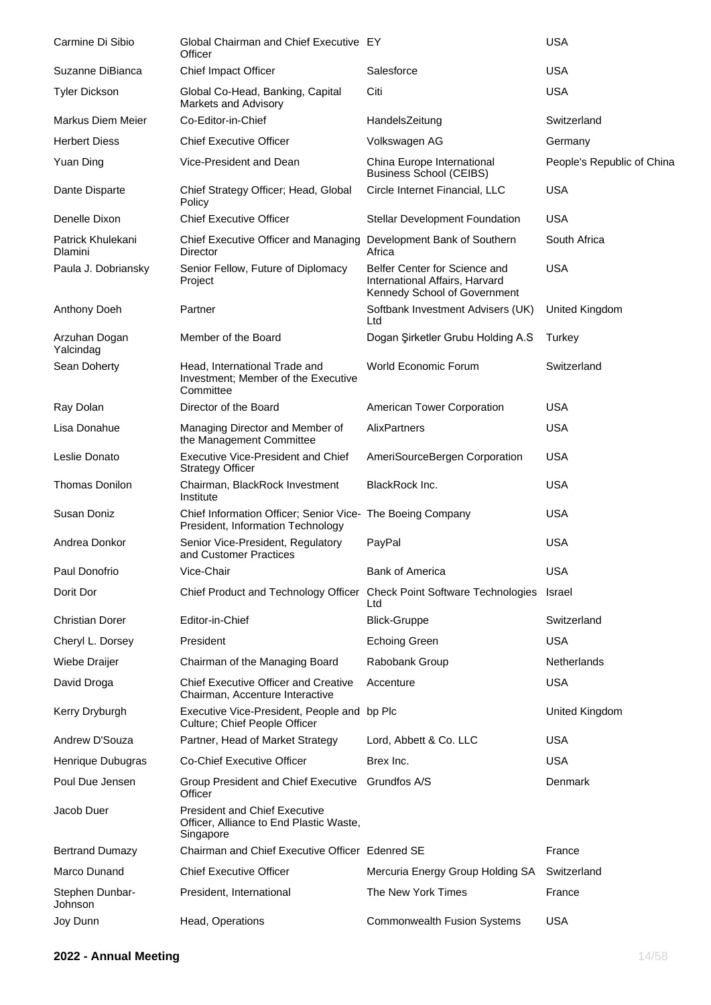| Carmine Di Sibio                    | Global Chairman and Chief Executive EY<br>Officer                                               |                                                                                                 | <b>USA</b>                 |
|-------------------------------------|-------------------------------------------------------------------------------------------------|-------------------------------------------------------------------------------------------------|----------------------------|
| Suzanne DiBianca                    | Chief Impact Officer                                                                            | Salesforce                                                                                      | <b>USA</b>                 |
| <b>Tyler Dickson</b>                | Global Co-Head, Banking, Capital<br>Markets and Advisory                                        | Citi                                                                                            | <b>USA</b>                 |
| Markus Diem Meier                   | Co-Editor-in-Chief                                                                              | HandelsZeitung                                                                                  | Switzerland                |
| <b>Herbert Diess</b>                | <b>Chief Executive Officer</b>                                                                  | Volkswagen AG                                                                                   | Germany                    |
| Yuan Ding                           | Vice-President and Dean                                                                         | China Europe International<br><b>Business School (CEIBS)</b>                                    | People's Republic of China |
| Dante Disparte                      | Chief Strategy Officer; Head, Global<br>Policy                                                  | Circle Internet Financial, LLC                                                                  | <b>USA</b>                 |
| Denelle Dixon                       | <b>Chief Executive Officer</b>                                                                  | <b>Stellar Development Foundation</b>                                                           | <b>USA</b>                 |
| Patrick Khulekani<br><b>Dlamini</b> | Chief Executive Officer and Managing<br>Director                                                | Development Bank of Southern<br>Africa                                                          | South Africa               |
| Paula J. Dobriansky                 | Senior Fellow, Future of Diplomacy<br>Project                                                   | Belfer Center for Science and<br>International Affairs, Harvard<br>Kennedy School of Government | <b>USA</b>                 |
| Anthony Doeh                        | Partner                                                                                         | Softbank Investment Advisers (UK)<br>Ltd                                                        | United Kingdom             |
| Arzuhan Dogan<br>Yalcindag          | Member of the Board                                                                             | Dogan Şirketler Grubu Holding A.S                                                               | Turkey                     |
| Sean Doherty                        | Head, International Trade and<br>Investment; Member of the Executive<br>Committee               | <b>World Economic Forum</b>                                                                     | Switzerland                |
| Ray Dolan                           | Director of the Board                                                                           | American Tower Corporation                                                                      | <b>USA</b>                 |
| Lisa Donahue                        | Managing Director and Member of<br>the Management Committee                                     | AlixPartners                                                                                    | <b>USA</b>                 |
| Leslie Donato                       | <b>Executive Vice-President and Chief</b><br><b>Strategy Officer</b>                            | AmeriSourceBergen Corporation                                                                   | USA                        |
| <b>Thomas Donilon</b>               | Chairman, BlackRock Investment<br>Institute                                                     | <b>BlackRock Inc.</b>                                                                           | USA                        |
| Susan Doniz                         | Chief Information Officer; Senior Vice- The Boeing Company<br>President, Information Technology |                                                                                                 | <b>USA</b>                 |
| Andrea Donkor                       | Senior Vice-President, Regulatory<br>and Customer Practices                                     | PayPal                                                                                          | <b>USA</b>                 |
| Paul Donofrio                       | Vice-Chair                                                                                      | <b>Bank of America</b>                                                                          | <b>USA</b>                 |
| Dorit Dor                           | Chief Product and Technology Officer Check Point Software Technologies                          | Ltd                                                                                             | Israel                     |
| <b>Christian Dorer</b>              | Editor-in-Chief                                                                                 | <b>Blick-Gruppe</b>                                                                             | Switzerland                |
| Cheryl L. Dorsey                    | President                                                                                       | <b>Echoing Green</b>                                                                            | <b>USA</b>                 |
| Wiebe Draijer                       | Chairman of the Managing Board                                                                  | Rabobank Group                                                                                  | Netherlands                |
| David Droga                         | <b>Chief Executive Officer and Creative</b><br>Chairman, Accenture Interactive                  | Accenture                                                                                       | <b>USA</b>                 |
| Kerry Dryburgh                      | Executive Vice-President, People and bp Plc<br>Culture; Chief People Officer                    |                                                                                                 | United Kingdom             |
| Andrew D'Souza                      | Partner, Head of Market Strategy                                                                | Lord, Abbett & Co. LLC                                                                          | <b>USA</b>                 |
| Henrique Dubugras                   | Co-Chief Executive Officer                                                                      | Brex Inc.                                                                                       | <b>USA</b>                 |
| Poul Due Jensen                     | Group President and Chief Executive<br>Officer                                                  | Grundfos A/S                                                                                    | Denmark                    |
| Jacob Duer                          | <b>President and Chief Executive</b><br>Officer, Alliance to End Plastic Waste,<br>Singapore    |                                                                                                 |                            |
| <b>Bertrand Dumazy</b>              | Chairman and Chief Executive Officer Edenred SE                                                 |                                                                                                 | France                     |
| Marco Dunand                        | <b>Chief Executive Officer</b>                                                                  | Mercuria Energy Group Holding SA                                                                | Switzerland                |
| Stephen Dunbar-<br>Johnson          | President, International                                                                        | The New York Times                                                                              | France                     |
| Joy Dunn                            | Head, Operations                                                                                | <b>Commonwealth Fusion Systems</b>                                                              | <b>USA</b>                 |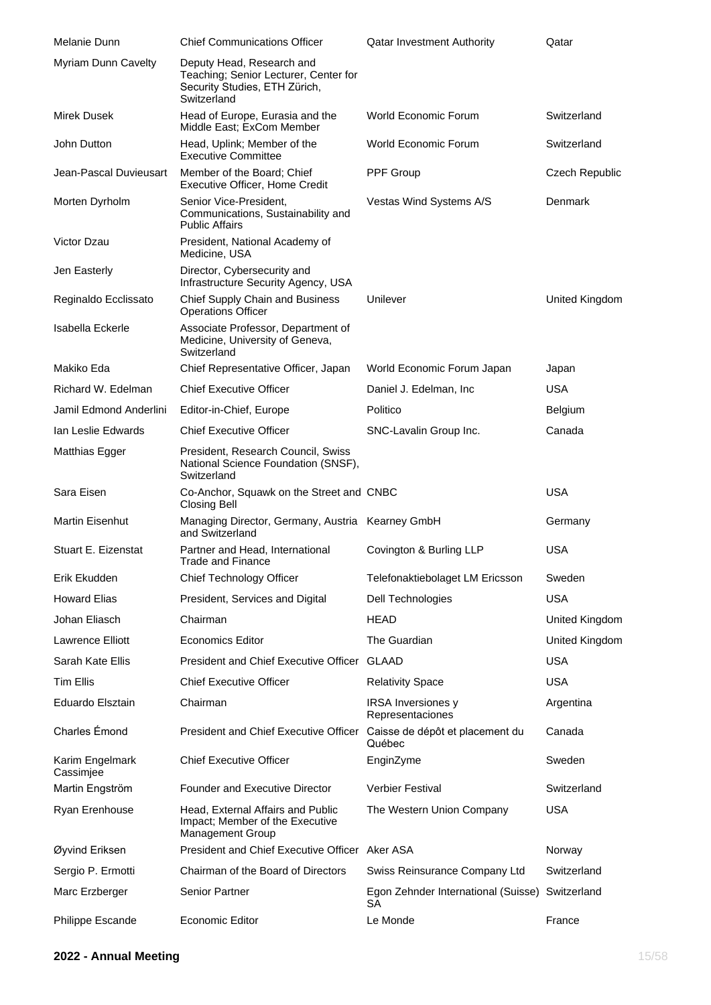| Melanie Dunn                 | <b>Chief Communications Officer</b>                                                                                | <b>Qatar Investment Authority</b>             | Qatar          |
|------------------------------|--------------------------------------------------------------------------------------------------------------------|-----------------------------------------------|----------------|
| Myriam Dunn Cavelty          | Deputy Head, Research and<br>Teaching; Senior Lecturer, Center for<br>Security Studies, ETH Zürich,<br>Switzerland |                                               |                |
| Mirek Dusek                  | Head of Europe, Eurasia and the<br>Middle East; ExCom Member                                                       | World Economic Forum                          | Switzerland    |
| John Dutton                  | Head, Uplink; Member of the<br><b>Executive Committee</b>                                                          | World Economic Forum                          | Switzerland    |
| Jean-Pascal Duvieusart       | Member of the Board; Chief<br>Executive Officer, Home Credit                                                       | PPF Group                                     | Czech Republic |
| Morten Dyrholm               | Senior Vice-President,<br>Communications, Sustainability and<br><b>Public Affairs</b>                              | Vestas Wind Systems A/S                       | Denmark        |
| Victor Dzau                  | President, National Academy of<br>Medicine, USA                                                                    |                                               |                |
| Jen Easterly                 | Director, Cybersecurity and<br>Infrastructure Security Agency, USA                                                 |                                               |                |
| Reginaldo Ecclissato         | Chief Supply Chain and Business<br><b>Operations Officer</b>                                                       | Unilever                                      | United Kingdom |
| Isabella Eckerle             | Associate Professor, Department of<br>Medicine, University of Geneva,<br>Switzerland                               |                                               |                |
| Makiko Eda                   | Chief Representative Officer, Japan                                                                                | World Economic Forum Japan                    | Japan          |
| Richard W. Edelman           | <b>Chief Executive Officer</b>                                                                                     | Daniel J. Edelman, Inc.                       | <b>USA</b>     |
| Jamil Edmond Anderlini       | Editor-in-Chief, Europe                                                                                            | Politico                                      | Belgium        |
| Ian Leslie Edwards           | <b>Chief Executive Officer</b>                                                                                     | SNC-Lavalin Group Inc.                        | Canada         |
| Matthias Egger               | President, Research Council, Swiss<br>National Science Foundation (SNSF),<br>Switzerland                           |                                               |                |
|                              |                                                                                                                    |                                               |                |
| Sara Eisen                   | Co-Anchor, Squawk on the Street and CNBC<br>Closing Bell                                                           |                                               | <b>USA</b>     |
| Martin Eisenhut              | Managing Director, Germany, Austria Kearney GmbH<br>and Switzerland                                                |                                               | Germany        |
| Stuart E. Eizenstat          | Partner and Head, International<br><b>Trade and Finance</b>                                                        | Covington & Burling LLP                       | USA            |
| Erik Ekudden                 | Chief Technology Officer                                                                                           | Telefonaktiebolaget LM Ericsson               | Sweden         |
| <b>Howard Elias</b>          | President, Services and Digital                                                                                    | Dell Technologies                             | <b>USA</b>     |
| Johan Eliasch                | Chairman                                                                                                           | <b>HEAD</b>                                   | United Kingdom |
| Lawrence Elliott             | <b>Economics Editor</b>                                                                                            | The Guardian                                  | United Kingdom |
| Sarah Kate Ellis             | President and Chief Executive Officer GLAAD                                                                        |                                               | USA            |
| <b>Tim Ellis</b>             | <b>Chief Executive Officer</b>                                                                                     | <b>Relativity Space</b>                       | <b>USA</b>     |
| Eduardo Elsztain             | Chairman                                                                                                           | <b>IRSA</b> Inversiones y<br>Representaciones | Argentina      |
| Charles Émond                | President and Chief Executive Officer Caisse de dépôt et placement du                                              | Québec                                        | Canada         |
| Karim Engelmark<br>Cassimjee | <b>Chief Executive Officer</b>                                                                                     | EnginZyme                                     | Sweden         |
| Martin Engström              | <b>Founder and Executive Director</b>                                                                              | <b>Verbier Festival</b>                       | Switzerland    |
| Ryan Erenhouse               | Head, External Affairs and Public<br>Impact; Member of the Executive<br><b>Management Group</b>                    | The Western Union Company                     | <b>USA</b>     |
| Øyvind Eriksen               | President and Chief Executive Officer Aker ASA                                                                     |                                               | Norway         |
| Sergio P. Ermotti            | Chairman of the Board of Directors                                                                                 | Swiss Reinsurance Company Ltd                 | Switzerland    |
| Marc Erzberger               | <b>Senior Partner</b>                                                                                              | Egon Zehnder International (Suisse)<br>SА     | Switzerland    |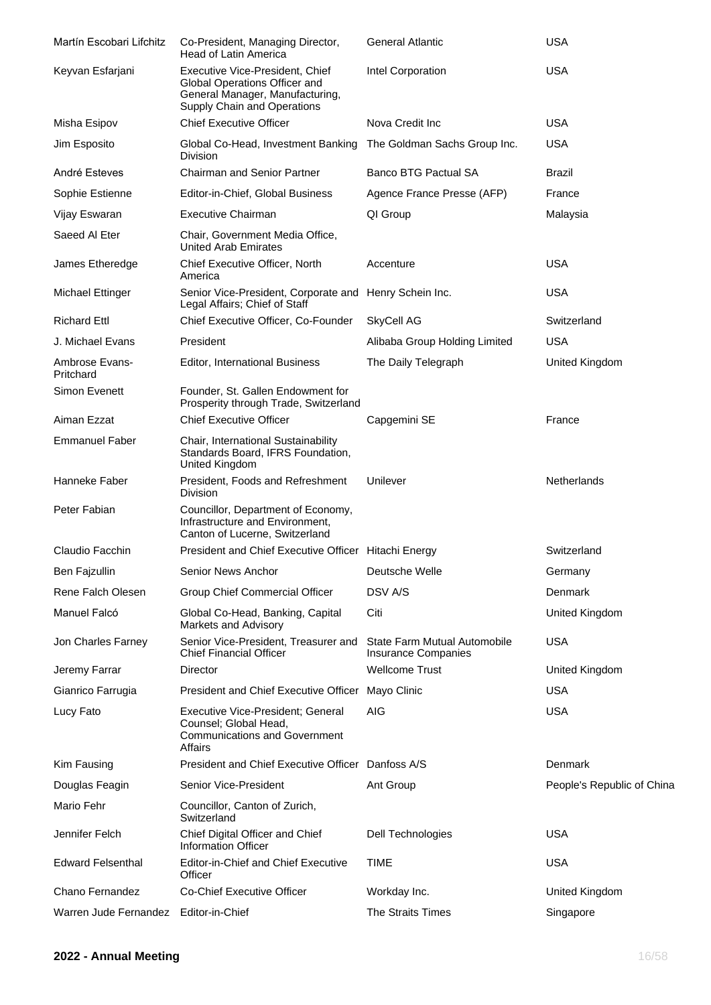| Martín Escobari Lifchitz    | Co-President, Managing Director,<br>Head of Latin America                                                                          | <b>General Atlantic</b>                             | <b>USA</b>                 |
|-----------------------------|------------------------------------------------------------------------------------------------------------------------------------|-----------------------------------------------------|----------------------------|
| Keyvan Esfarjani            | Executive Vice-President, Chief<br>Global Operations Officer and<br>General Manager, Manufacturing,<br>Supply Chain and Operations | Intel Corporation                                   | <b>USA</b>                 |
| Misha Esipov                | <b>Chief Executive Officer</b>                                                                                                     | Nova Credit Inc                                     | <b>USA</b>                 |
| Jim Esposito                | Global Co-Head, Investment Banking<br><b>Division</b>                                                                              | The Goldman Sachs Group Inc.                        | USA                        |
| André Esteves               | <b>Chairman and Senior Partner</b>                                                                                                 | <b>Banco BTG Pactual SA</b>                         | Brazil                     |
| Sophie Estienne             | Editor-in-Chief, Global Business                                                                                                   | Agence France Presse (AFP)                          | France                     |
| Vijay Eswaran               | <b>Executive Chairman</b>                                                                                                          | QI Group                                            | Malaysia                   |
| Saeed Al Eter               | Chair, Government Media Office,<br><b>United Arab Emirates</b>                                                                     |                                                     |                            |
| James Etheredge             | Chief Executive Officer, North<br>America                                                                                          | Accenture                                           | <b>USA</b>                 |
| <b>Michael Ettinger</b>     | Senior Vice-President, Corporate and<br>Legal Affairs; Chief of Staff                                                              | Henry Schein Inc.                                   | <b>USA</b>                 |
| <b>Richard Ettl</b>         | Chief Executive Officer, Co-Founder                                                                                                | SkyCell AG                                          | Switzerland                |
| J. Michael Evans            | President                                                                                                                          | Alibaba Group Holding Limited                       | USA                        |
| Ambrose Evans-<br>Pritchard | <b>Editor, International Business</b>                                                                                              | The Daily Telegraph                                 | United Kingdom             |
| Simon Evenett               | Founder, St. Gallen Endowment for<br>Prosperity through Trade, Switzerland                                                         |                                                     |                            |
| Aiman Ezzat                 | <b>Chief Executive Officer</b>                                                                                                     | Capgemini SE                                        | France                     |
| <b>Emmanuel Faber</b>       | Chair, International Sustainability<br>Standards Board, IFRS Foundation,<br>United Kingdom                                         |                                                     |                            |
| Hanneke Faber               | President, Foods and Refreshment<br><b>Division</b>                                                                                | Unilever                                            | <b>Netherlands</b>         |
| Peter Fabian                | Councillor, Department of Economy,<br>Infrastructure and Environment,<br>Canton of Lucerne, Switzerland                            |                                                     |                            |
| Claudio Facchin             | President and Chief Executive Officer Hitachi Energy                                                                               |                                                     | Switzerland                |
| Ben Fajzullin               | Senior News Anchor                                                                                                                 | Deutsche Welle                                      | Germany                    |
| Rene Falch Olesen           | <b>Group Chief Commercial Officer</b>                                                                                              | DSV A/S                                             | Denmark                    |
| Manuel Falcó                | Global Co-Head, Banking, Capital<br>Markets and Advisory                                                                           | Citi                                                | United Kingdom             |
| Jon Charles Farney          | Senior Vice-President, Treasurer and<br><b>Chief Financial Officer</b>                                                             | State Farm Mutual Automobile<br>Insurance Companies | <b>USA</b>                 |
| Jeremy Farrar               | Director                                                                                                                           | <b>Wellcome Trust</b>                               | United Kingdom             |
| Gianrico Farrugia           | President and Chief Executive Officer Mayo Clinic                                                                                  |                                                     | <b>USA</b>                 |
| Lucy Fato                   | Executive Vice-President; General<br>Counsel; Global Head,<br><b>Communications and Government</b><br><b>Affairs</b>               | <b>AIG</b>                                          | <b>USA</b>                 |
| Kim Fausing                 | President and Chief Executive Officer Danfoss A/S                                                                                  |                                                     | Denmark                    |
| Douglas Feagin              | Senior Vice-President                                                                                                              | Ant Group                                           | People's Republic of China |
| Mario Fehr                  | Councillor, Canton of Zurich,<br>Switzerland                                                                                       |                                                     |                            |
| Jennifer Felch              | Chief Digital Officer and Chief<br><b>Information Officer</b>                                                                      | Dell Technologies                                   | <b>USA</b>                 |
| <b>Edward Felsenthal</b>    | Editor-in-Chief and Chief Executive<br>Officer                                                                                     | <b>TIME</b>                                         | <b>USA</b>                 |
| Chano Fernandez             | Co-Chief Executive Officer                                                                                                         | Workday Inc.                                        | United Kingdom             |
| Warren Jude Fernandez       | Editor-in-Chief                                                                                                                    | The Straits Times                                   | Singapore                  |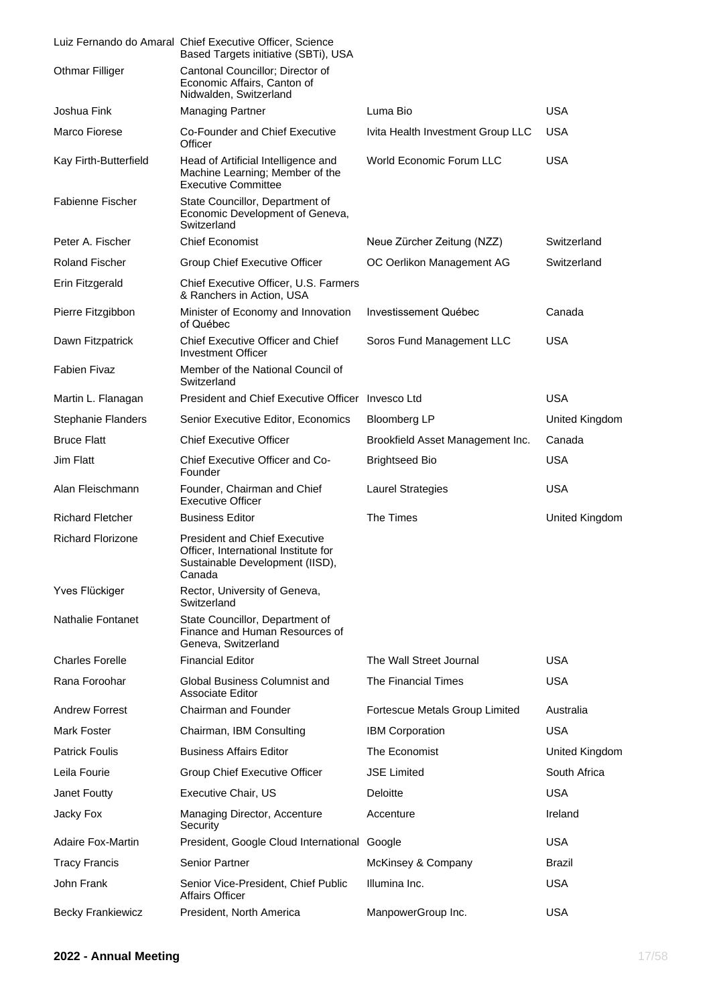|                           | Luiz Fernando do Amaral Chief Executive Officer, Science<br>Based Targets initiative (SBTi), USA                          |                                   |                       |
|---------------------------|---------------------------------------------------------------------------------------------------------------------------|-----------------------------------|-----------------------|
| <b>Othmar Filliger</b>    | Cantonal Councillor; Director of<br>Economic Affairs, Canton of<br>Nidwalden, Switzerland                                 |                                   |                       |
| Joshua Fink               | <b>Managing Partner</b>                                                                                                   | Luma Bio                          | <b>USA</b>            |
| Marco Fiorese             | Co-Founder and Chief Executive<br>Officer                                                                                 | Ivita Health Investment Group LLC | <b>USA</b>            |
| Kay Firth-Butterfield     | Head of Artificial Intelligence and<br>Machine Learning; Member of the<br><b>Executive Committee</b>                      | <b>World Economic Forum LLC</b>   | <b>USA</b>            |
| <b>Fabienne Fischer</b>   | State Councillor, Department of<br>Economic Development of Geneva,<br>Switzerland                                         |                                   |                       |
| Peter A. Fischer          | <b>Chief Economist</b>                                                                                                    | Neue Zürcher Zeitung (NZZ)        | Switzerland           |
| <b>Roland Fischer</b>     | Group Chief Executive Officer                                                                                             | OC Oerlikon Management AG         | Switzerland           |
| Erin Fitzgerald           | Chief Executive Officer, U.S. Farmers<br>& Ranchers in Action, USA                                                        |                                   |                       |
| Pierre Fitzgibbon         | Minister of Economy and Innovation<br>of Québec                                                                           | Investissement Québec             | Canada                |
| Dawn Fitzpatrick          | <b>Chief Executive Officer and Chief</b><br><b>Investment Officer</b>                                                     | Soros Fund Management LLC         | <b>USA</b>            |
| <b>Fabien Fivaz</b>       | Member of the National Council of<br>Switzerland                                                                          |                                   |                       |
| Martin L. Flanagan        | President and Chief Executive Officer Invesco Ltd                                                                         |                                   | <b>USA</b>            |
| <b>Stephanie Flanders</b> | Senior Executive Editor, Economics                                                                                        | <b>Bloomberg LP</b>               | <b>United Kingdom</b> |
| <b>Bruce Flatt</b>        | <b>Chief Executive Officer</b>                                                                                            | Brookfield Asset Management Inc.  | Canada                |
| Jim Flatt                 | Chief Executive Officer and Co-<br>Founder                                                                                | <b>Brightseed Bio</b>             | <b>USA</b>            |
| Alan Fleischmann          | Founder, Chairman and Chief<br><b>Executive Officer</b>                                                                   | Laurel Strategies                 | <b>USA</b>            |
| <b>Richard Fletcher</b>   | <b>Business Editor</b>                                                                                                    | The Times                         | United Kingdom        |
| <b>Richard Florizone</b>  | <b>President and Chief Executive</b><br>Officer, International Institute for<br>Sustainable Development (IISD),<br>Canada |                                   |                       |
| Yves Flückiger            | Rector, University of Geneva,<br>Switzerland                                                                              |                                   |                       |
| Nathalie Fontanet         | State Councillor, Department of<br>Finance and Human Resources of<br>Geneva, Switzerland                                  |                                   |                       |
| <b>Charles Forelle</b>    | <b>Financial Editor</b>                                                                                                   | The Wall Street Journal           | <b>USA</b>            |
| Rana Foroohar             | Global Business Columnist and<br>Associate Editor                                                                         | The Financial Times               | USA                   |
| <b>Andrew Forrest</b>     | Chairman and Founder                                                                                                      | Fortescue Metals Group Limited    | Australia             |
| Mark Foster               | Chairman, IBM Consulting                                                                                                  | <b>IBM Corporation</b>            | <b>USA</b>            |
| <b>Patrick Foulis</b>     | <b>Business Affairs Editor</b>                                                                                            | The Economist                     | <b>United Kingdom</b> |
| Leila Fourie              | Group Chief Executive Officer                                                                                             | <b>JSE Limited</b>                | South Africa          |
| Janet Foutty              | Executive Chair, US                                                                                                       | Deloitte                          | <b>USA</b>            |
| Jacky Fox                 | Managing Director, Accenture<br>Security                                                                                  | Accenture                         | Ireland               |
| <b>Adaire Fox-Martin</b>  | President, Google Cloud International Google                                                                              |                                   | <b>USA</b>            |
| <b>Tracy Francis</b>      | <b>Senior Partner</b>                                                                                                     | McKinsey & Company                | Brazil                |
| John Frank                | Senior Vice-President, Chief Public<br>Affairs Officer                                                                    | Illumina Inc.                     | <b>USA</b>            |
| <b>Becky Frankiewicz</b>  | President, North America                                                                                                  | ManpowerGroup Inc.                | <b>USA</b>            |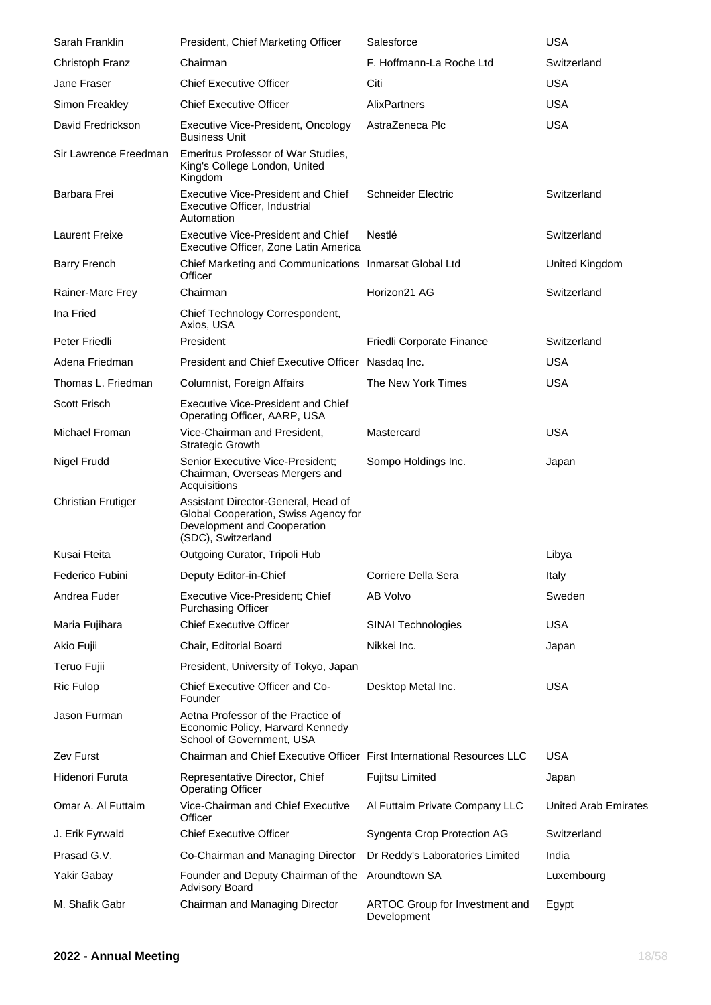| Sarah Franklin            | President, Chief Marketing Officer                                                                                               | Salesforce                                    | <b>USA</b>                  |
|---------------------------|----------------------------------------------------------------------------------------------------------------------------------|-----------------------------------------------|-----------------------------|
| Christoph Franz           | Chairman                                                                                                                         | F. Hoffmann-La Roche Ltd                      | Switzerland                 |
| Jane Fraser               | <b>Chief Executive Officer</b>                                                                                                   | Citi                                          | <b>USA</b>                  |
| Simon Freakley            | <b>Chief Executive Officer</b>                                                                                                   | <b>AlixPartners</b>                           | <b>USA</b>                  |
| David Fredrickson         | Executive Vice-President, Oncology<br><b>Business Unit</b>                                                                       | AstraZeneca Plc                               | <b>USA</b>                  |
| Sir Lawrence Freedman     | Emeritus Professor of War Studies,<br>King's College London, United<br>Kingdom                                                   |                                               |                             |
| Barbara Frei              | <b>Executive Vice-President and Chief</b><br>Executive Officer, Industrial<br>Automation                                         | <b>Schneider Electric</b>                     | Switzerland                 |
| <b>Laurent Freixe</b>     | <b>Executive Vice-President and Chief</b><br>Executive Officer, Zone Latin America                                               | Nestlé                                        | Switzerland                 |
| <b>Barry French</b>       | Chief Marketing and Communications Inmarsat Global Ltd<br>Officer                                                                |                                               | United Kingdom              |
| Rainer-Marc Frey          | Chairman                                                                                                                         | Horizon21 AG                                  | Switzerland                 |
| Ina Fried                 | Chief Technology Correspondent,<br>Axios, USA                                                                                    |                                               |                             |
| Peter Friedli             | President                                                                                                                        | Friedli Corporate Finance                     | Switzerland                 |
| Adena Friedman            | President and Chief Executive Officer Nasdaq Inc.                                                                                |                                               | <b>USA</b>                  |
| Thomas L. Friedman        | Columnist, Foreign Affairs                                                                                                       | The New York Times                            | <b>USA</b>                  |
| <b>Scott Frisch</b>       | <b>Executive Vice-President and Chief</b><br>Operating Officer, AARP, USA                                                        |                                               |                             |
| Michael Froman            | Vice-Chairman and President,<br><b>Strategic Growth</b>                                                                          | Mastercard                                    | <b>USA</b>                  |
| Nigel Frudd               | Senior Executive Vice-President;<br>Chairman, Overseas Mergers and<br>Acquisitions                                               | Sompo Holdings Inc.                           | Japan                       |
| <b>Christian Frutiger</b> | Assistant Director-General, Head of<br>Global Cooperation, Swiss Agency for<br>Development and Cooperation<br>(SDC), Switzerland |                                               |                             |
| Kusai Fteita              | Outgoing Curator, Tripoli Hub                                                                                                    |                                               | Libya                       |
| Federico Fubini           | Deputy Editor-in-Chief                                                                                                           | Corriere Della Sera                           | Italy                       |
| Andrea Fuder              | Executive Vice-President; Chief<br><b>Purchasing Officer</b>                                                                     | AB Volvo                                      | Sweden                      |
| Maria Fujihara            | <b>Chief Executive Officer</b>                                                                                                   | SINAI Technologies                            | <b>USA</b>                  |
| Akio Fujii                | Chair, Editorial Board                                                                                                           | Nikkei Inc.                                   | Japan                       |
| Teruo Fujii               | President, University of Tokyo, Japan                                                                                            |                                               |                             |
| <b>Ric Fulop</b>          | Chief Executive Officer and Co-<br>Founder                                                                                       | Desktop Metal Inc.                            | <b>USA</b>                  |
| Jason Furman              | Aetna Professor of the Practice of<br>Economic Policy, Harvard Kennedy<br>School of Government, USA                              |                                               |                             |
| <b>Zev Furst</b>          | Chairman and Chief Executive Officer First International Resources LLC                                                           |                                               | <b>USA</b>                  |
| Hidenori Furuta           | Representative Director, Chief<br><b>Operating Officer</b>                                                                       | Fujitsu Limited                               | Japan                       |
| Omar A. Al Futtaim        | Vice-Chairman and Chief Executive<br>Officer                                                                                     | Al Futtaim Private Company LLC                | <b>United Arab Emirates</b> |
| J. Erik Fyrwald           | <b>Chief Executive Officer</b>                                                                                                   | Syngenta Crop Protection AG                   | Switzerland                 |
| Prasad G.V.               | Co-Chairman and Managing Director                                                                                                | Dr Reddy's Laboratories Limited               | India                       |
| Yakir Gabay               | Founder and Deputy Chairman of the Aroundtown SA<br>Advisory Board                                                               |                                               | Luxembourg                  |
| M. Shafik Gabr            | Chairman and Managing Director                                                                                                   | ARTOC Group for Investment and<br>Development | Egypt                       |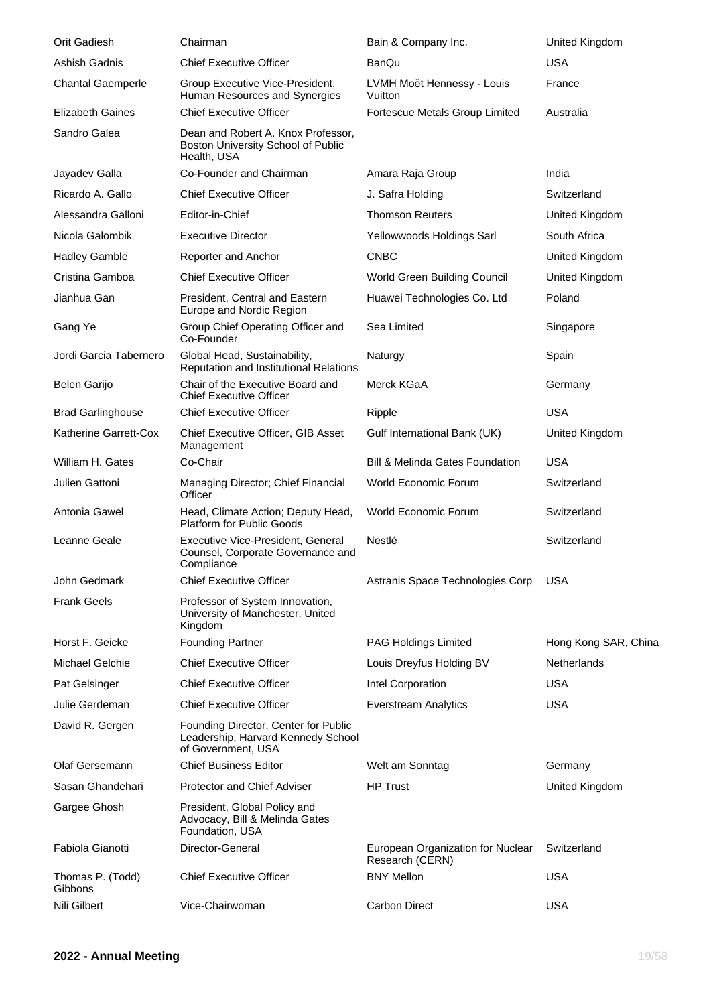| Orit Gadiesh                | Chairman                                                                                         | Bain & Company Inc.                                  | United Kingdom       |
|-----------------------------|--------------------------------------------------------------------------------------------------|------------------------------------------------------|----------------------|
| Ashish Gadnis               | <b>Chief Executive Officer</b>                                                                   | <b>BanQu</b>                                         | <b>USA</b>           |
| <b>Chantal Gaemperle</b>    | Group Executive Vice-President,<br>Human Resources and Synergies                                 | LVMH Moët Hennessy - Louis<br>Vuitton                | France               |
| <b>Elizabeth Gaines</b>     | <b>Chief Executive Officer</b>                                                                   | Fortescue Metals Group Limited                       | Australia            |
| Sandro Galea                | Dean and Robert A. Knox Professor,<br>Boston University School of Public<br>Health, USA          |                                                      |                      |
| Jayadev Galla               | Co-Founder and Chairman                                                                          | Amara Raja Group                                     | India                |
| Ricardo A. Gallo            | <b>Chief Executive Officer</b>                                                                   | J. Safra Holding                                     | Switzerland          |
| Alessandra Galloni          | Editor-in-Chief                                                                                  | <b>Thomson Reuters</b>                               | United Kingdom       |
| Nicola Galombik             | <b>Executive Director</b>                                                                        | Yellowwoods Holdings Sarl                            | South Africa         |
| <b>Hadley Gamble</b>        | Reporter and Anchor                                                                              | <b>CNBC</b>                                          | United Kingdom       |
| Cristina Gamboa             | <b>Chief Executive Officer</b>                                                                   | World Green Building Council                         | United Kingdom       |
| Jianhua Gan                 | President, Central and Eastern<br>Europe and Nordic Region                                       | Huawei Technologies Co. Ltd                          | Poland               |
| Gang Ye                     | Group Chief Operating Officer and<br>Co-Founder                                                  | Sea Limited                                          | Singapore            |
| Jordi Garcia Tabernero      | Global Head, Sustainability,<br>Reputation and Institutional Relations                           | Naturgy                                              | Spain                |
| Belen Garijo                | Chair of the Executive Board and<br><b>Chief Executive Officer</b>                               | Merck KGaA                                           | Germany              |
| <b>Brad Garlinghouse</b>    | <b>Chief Executive Officer</b>                                                                   | Ripple                                               | <b>USA</b>           |
| Katherine Garrett-Cox       | Chief Executive Officer, GIB Asset<br>Management                                                 | Gulf International Bank (UK)                         | United Kingdom       |
| William H. Gates            | Co-Chair                                                                                         | <b>Bill &amp; Melinda Gates Foundation</b>           | <b>USA</b>           |
| Julien Gattoni              | Managing Director; Chief Financial<br>Officer                                                    | World Economic Forum                                 | Switzerland          |
| Antonia Gawel               | Head, Climate Action; Deputy Head,<br><b>Platform for Public Goods</b>                           | World Economic Forum                                 | Switzerland          |
| Leanne Geale                | Executive Vice-President, General<br>Counsel, Corporate Governance and<br>Compliance             | Nestlé                                               | Switzerland          |
| John Gedmark                | <b>Chief Executive Officer</b>                                                                   | Astranis Space Technologies Corp                     | <b>USA</b>           |
| <b>Frank Geels</b>          | Professor of System Innovation,<br>University of Manchester, United<br>Kingdom                   |                                                      |                      |
| Horst F. Geicke             | <b>Founding Partner</b>                                                                          | <b>PAG Holdings Limited</b>                          | Hong Kong SAR, China |
| <b>Michael Gelchie</b>      | <b>Chief Executive Officer</b>                                                                   | Louis Dreyfus Holding BV                             | Netherlands          |
| Pat Gelsinger               | <b>Chief Executive Officer</b>                                                                   | Intel Corporation                                    | <b>USA</b>           |
| Julie Gerdeman              | <b>Chief Executive Officer</b>                                                                   | Everstream Analytics                                 | <b>USA</b>           |
| David R. Gergen             | Founding Director, Center for Public<br>Leadership, Harvard Kennedy School<br>of Government, USA |                                                      |                      |
| Olaf Gersemann              | <b>Chief Business Editor</b>                                                                     | Welt am Sonntag                                      | Germany              |
| Sasan Ghandehari            | <b>Protector and Chief Adviser</b>                                                               | <b>HP Trust</b>                                      | United Kingdom       |
| Gargee Ghosh                | President, Global Policy and<br>Advocacy, Bill & Melinda Gates<br>Foundation, USA                |                                                      |                      |
| Fabiola Gianotti            | Director-General                                                                                 | European Organization for Nuclear<br>Research (CERN) | Switzerland          |
| Thomas P. (Todd)<br>Gibbons | <b>Chief Executive Officer</b>                                                                   | <b>BNY Mellon</b>                                    | <b>USA</b>           |
| Nili Gilbert                | Vice-Chairwoman                                                                                  | <b>Carbon Direct</b>                                 | <b>USA</b>           |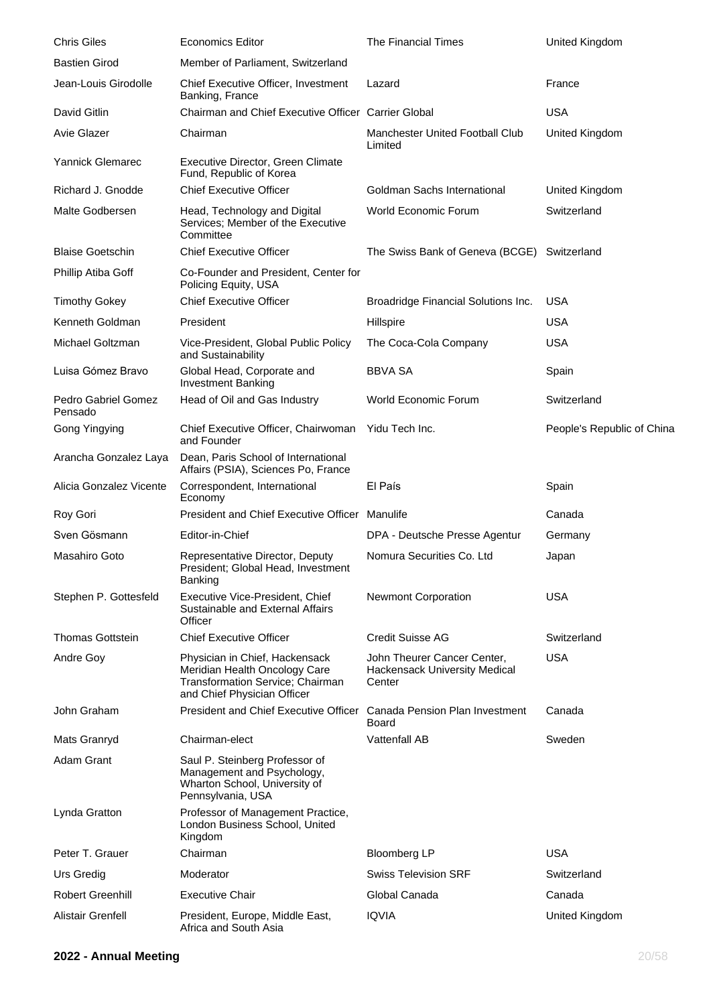| <b>Chris Giles</b>             | <b>Economics Editor</b>                                                                                                            | <b>The Financial Times</b>                                                    | United Kingdom             |
|--------------------------------|------------------------------------------------------------------------------------------------------------------------------------|-------------------------------------------------------------------------------|----------------------------|
| <b>Bastien Girod</b>           | Member of Parliament, Switzerland                                                                                                  |                                                                               |                            |
| Jean-Louis Girodolle           | Chief Executive Officer, Investment<br>Banking, France                                                                             | Lazard                                                                        | France                     |
| David Gitlin                   | Chairman and Chief Executive Officer Carrier Global                                                                                |                                                                               | <b>USA</b>                 |
| <b>Avie Glazer</b>             | Chairman                                                                                                                           | <b>Manchester United Football Club</b><br>Limited                             | United Kingdom             |
| Yannick Glemarec               | Executive Director, Green Climate<br>Fund, Republic of Korea                                                                       |                                                                               |                            |
| Richard J. Gnodde              | <b>Chief Executive Officer</b>                                                                                                     | Goldman Sachs International                                                   | United Kingdom             |
| Malte Godbersen                | Head, Technology and Digital<br>Services; Member of the Executive<br>Committee                                                     | World Economic Forum                                                          | Switzerland                |
| <b>Blaise Goetschin</b>        | <b>Chief Executive Officer</b>                                                                                                     | The Swiss Bank of Geneva (BCGE) Switzerland                                   |                            |
| Phillip Atiba Goff             | Co-Founder and President, Center for<br>Policing Equity, USA                                                                       |                                                                               |                            |
| <b>Timothy Gokey</b>           | <b>Chief Executive Officer</b>                                                                                                     | Broadridge Financial Solutions Inc.                                           | USA                        |
| Kenneth Goldman                | President                                                                                                                          | Hillspire                                                                     | <b>USA</b>                 |
| Michael Goltzman               | Vice-President, Global Public Policy<br>and Sustainability                                                                         | The Coca-Cola Company                                                         | <b>USA</b>                 |
| Luisa Gómez Bravo              | Global Head, Corporate and<br><b>Investment Banking</b>                                                                            | <b>BBVA SA</b>                                                                | Spain                      |
| Pedro Gabriel Gomez<br>Pensado | Head of Oil and Gas Industry                                                                                                       | <b>World Economic Forum</b>                                                   | Switzerland                |
| Gong Yingying                  | Chief Executive Officer, Chairwoman<br>and Founder                                                                                 | Yidu Tech Inc.                                                                | People's Republic of China |
| Arancha Gonzalez Laya          | Dean, Paris School of International<br>Affairs (PSIA), Sciences Po, France                                                         |                                                                               |                            |
| Alicia Gonzalez Vicente        | Correspondent, International<br>Economy                                                                                            | El País                                                                       | Spain                      |
| Roy Gori                       | President and Chief Executive Officer Manulife                                                                                     |                                                                               | Canada                     |
| Sven Gösmann                   | Editor-in-Chief                                                                                                                    | DPA - Deutsche Presse Agentur                                                 | Germany                    |
| Masahiro Goto                  | Representative Director, Deputy<br>President; Global Head, Investment<br>Banking                                                   | Nomura Securities Co. Ltd                                                     | Japan                      |
| Stephen P. Gottesfeld          | Executive Vice-President, Chief<br>Sustainable and External Affairs<br>Officer                                                     | <b>Newmont Corporation</b>                                                    | <b>USA</b>                 |
| <b>Thomas Gottstein</b>        | <b>Chief Executive Officer</b>                                                                                                     | <b>Credit Suisse AG</b>                                                       | Switzerland                |
| Andre Goy                      | Physician in Chief, Hackensack<br>Meridian Health Oncology Care<br>Transformation Service; Chairman<br>and Chief Physician Officer | John Theurer Cancer Center,<br><b>Hackensack University Medical</b><br>Center | <b>USA</b>                 |
| John Graham                    | President and Chief Executive Officer                                                                                              | Canada Pension Plan Investment<br>Board                                       | Canada                     |
| Mats Granryd                   | Chairman-elect                                                                                                                     | <b>Vattenfall AB</b>                                                          | Sweden                     |
| Adam Grant                     | Saul P. Steinberg Professor of<br>Management and Psychology,<br>Wharton School, University of<br>Pennsylvania, USA                 |                                                                               |                            |
| Lynda Gratton                  | Professor of Management Practice,<br>London Business School, United<br>Kingdom                                                     |                                                                               |                            |
| Peter T. Grauer                | Chairman                                                                                                                           | <b>Bloomberg LP</b>                                                           | <b>USA</b>                 |
| Urs Gredig                     | Moderator                                                                                                                          | <b>Swiss Television SRF</b>                                                   | Switzerland                |
| <b>Robert Greenhill</b>        | Executive Chair                                                                                                                    | Global Canada                                                                 | Canada                     |
| Alistair Grenfell              | President, Europe, Middle East,<br>Africa and South Asia                                                                           | <b>IQVIA</b>                                                                  | United Kingdom             |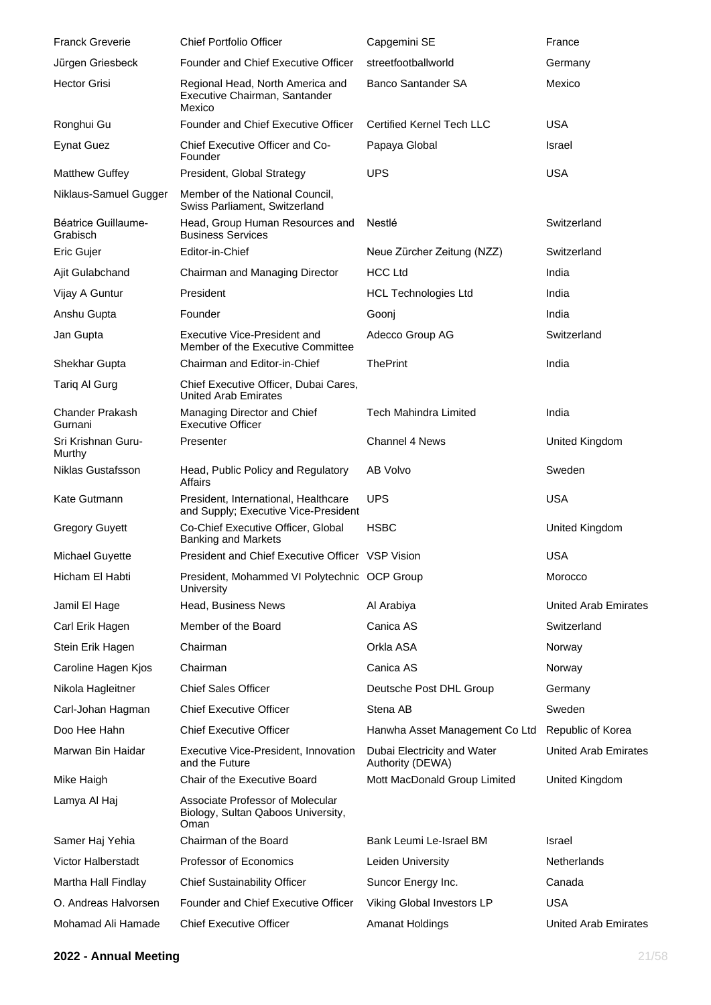| <b>Franck Greverie</b>            | <b>Chief Portfolio Officer</b>                                                 | Capgemini SE                                    | France                      |
|-----------------------------------|--------------------------------------------------------------------------------|-------------------------------------------------|-----------------------------|
| Jürgen Griesbeck                  | <b>Founder and Chief Executive Officer</b>                                     | streetfootballworld                             | Germany                     |
| <b>Hector Grisi</b>               | Regional Head, North America and<br>Executive Chairman, Santander<br>Mexico    | <b>Banco Santander SA</b>                       | Mexico                      |
| Ronghui Gu                        | <b>Founder and Chief Executive Officer</b>                                     | <b>Certified Kernel Tech LLC</b>                | <b>USA</b>                  |
| <b>Eynat Guez</b>                 | Chief Executive Officer and Co-<br>Founder                                     | Papaya Global                                   | Israel                      |
| <b>Matthew Guffey</b>             | President, Global Strategy                                                     | <b>UPS</b>                                      | <b>USA</b>                  |
| Niklaus-Samuel Gugger             | Member of the National Council,<br>Swiss Parliament, Switzerland               |                                                 |                             |
| Béatrice Guillaume-<br>Grabisch   | Head, Group Human Resources and<br><b>Business Services</b>                    | Nestlé                                          | Switzerland                 |
| Eric Gujer                        | Editor-in-Chief                                                                | Neue Zürcher Zeitung (NZZ)                      | Switzerland                 |
| Ajit Gulabchand                   | Chairman and Managing Director                                                 | <b>HCC Ltd</b>                                  | India                       |
| Vijay A Guntur                    | President                                                                      | <b>HCL Technologies Ltd</b>                     | India                       |
| Anshu Gupta                       | Founder                                                                        | Goonj                                           | India                       |
| Jan Gupta                         | Executive Vice-President and<br>Member of the Executive Committee              | Adecco Group AG                                 | Switzerland                 |
| Shekhar Gupta                     | Chairman and Editor-in-Chief                                                   | <b>ThePrint</b>                                 | India                       |
| Tariq Al Gurg                     | Chief Executive Officer, Dubai Cares,<br><b>United Arab Emirates</b>           |                                                 |                             |
| <b>Chander Prakash</b><br>Gurnani | Managing Director and Chief<br><b>Executive Officer</b>                        | <b>Tech Mahindra Limited</b>                    | India                       |
| Sri Krishnan Guru-<br>Murthy      | Presenter                                                                      | <b>Channel 4 News</b>                           | United Kingdom              |
| <b>Niklas Gustafsson</b>          | Head, Public Policy and Regulatory<br>Affairs                                  | AB Volvo                                        | Sweden                      |
| Kate Gutmann                      | President, International, Healthcare<br>and Supply; Executive Vice-President   | <b>UPS</b>                                      | <b>USA</b>                  |
| <b>Gregory Guyett</b>             | Co-Chief Executive Officer, Global<br><b>Banking and Markets</b>               | <b>HSBC</b>                                     | United Kingdom              |
| Michael Guyette                   | President and Chief Executive Officer VSP Vision                               |                                                 | <b>USA</b>                  |
| Hicham El Habti                   | President, Mohammed VI Polytechnic OCP Group<br>University                     |                                                 | Morocco                     |
| Jamil El Hage                     | Head, Business News                                                            | Al Arabiya                                      | <b>United Arab Emirates</b> |
| Carl Erik Hagen                   | Member of the Board                                                            | Canica AS                                       | Switzerland                 |
| Stein Erik Hagen                  | Chairman                                                                       | Orkla ASA                                       | Norway                      |
| Caroline Hagen Kjos               | Chairman                                                                       | Canica AS                                       | Norway                      |
| Nikola Hagleitner                 | <b>Chief Sales Officer</b>                                                     | Deutsche Post DHL Group                         | Germany                     |
| Carl-Johan Hagman                 | <b>Chief Executive Officer</b>                                                 | Stena AB                                        | Sweden                      |
| Doo Hee Hahn                      | <b>Chief Executive Officer</b>                                                 | Hanwha Asset Management Co Ltd                  | Republic of Korea           |
| Marwan Bin Haidar                 | Executive Vice-President, Innovation<br>and the Future                         | Dubai Electricity and Water<br>Authority (DEWA) | <b>United Arab Emirates</b> |
| Mike Haigh                        | Chair of the Executive Board                                                   | Mott MacDonald Group Limited                    | United Kingdom              |
| Lamya Al Haj                      | Associate Professor of Molecular<br>Biology, Sultan Qaboos University,<br>Oman |                                                 |                             |
| Samer Haj Yehia                   | Chairman of the Board                                                          | Bank Leumi Le-Israel BM                         | Israel                      |
| <b>Victor Halberstadt</b>         | Professor of Economics                                                         | Leiden University                               | <b>Netherlands</b>          |
| Martha Hall Findlay               | <b>Chief Sustainability Officer</b>                                            | Suncor Energy Inc.                              | Canada                      |
| O. Andreas Halvorsen              | Founder and Chief Executive Officer                                            | Viking Global Investors LP                      | <b>USA</b>                  |
| Mohamad Ali Hamade                | <b>Chief Executive Officer</b>                                                 | <b>Amanat Holdings</b>                          | <b>United Arab Emirates</b> |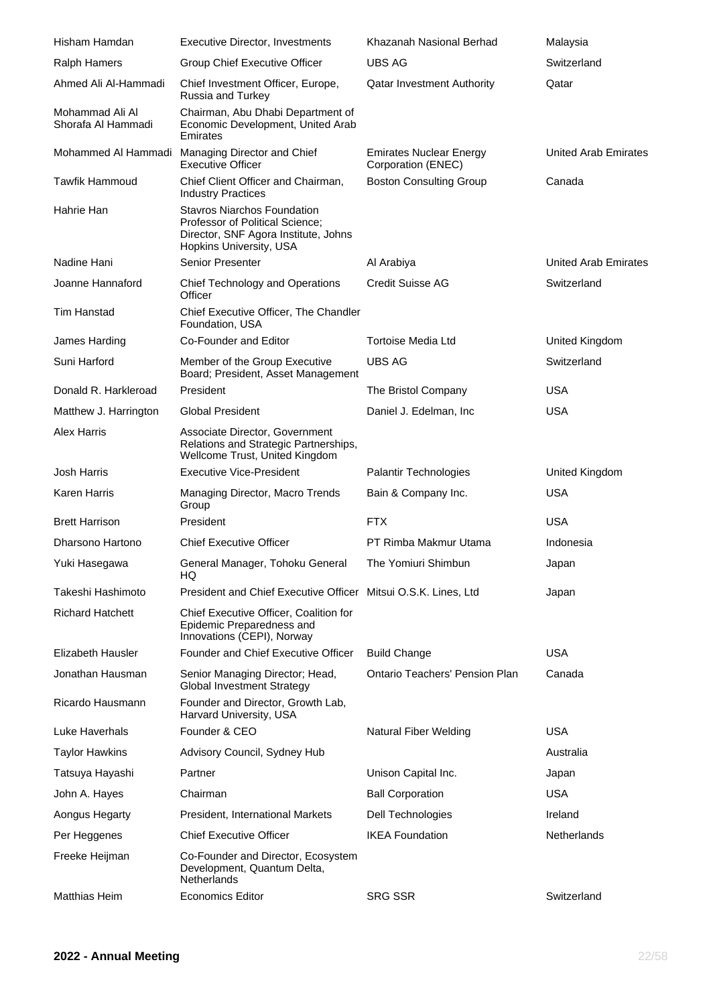| Hisham Hamdan                         | <b>Executive Director, Investments</b>                                                                                                   | Khazanah Nasional Berhad                             | Malaysia                    |
|---------------------------------------|------------------------------------------------------------------------------------------------------------------------------------------|------------------------------------------------------|-----------------------------|
| <b>Ralph Hamers</b>                   | Group Chief Executive Officer                                                                                                            | <b>UBS AG</b>                                        | Switzerland                 |
| Ahmed Ali Al-Hammadi                  | Chief Investment Officer, Europe,<br>Russia and Turkey                                                                                   | <b>Qatar Investment Authority</b>                    | Qatar                       |
| Mohammad Ali Al<br>Shorafa Al Hammadi | Chairman, Abu Dhabi Department of<br>Economic Development, United Arab<br>Emirates                                                       |                                                      |                             |
|                                       | Mohammed Al Hammadi Managing Director and Chief<br><b>Executive Officer</b>                                                              | <b>Emirates Nuclear Energy</b><br>Corporation (ENEC) | <b>United Arab Emirates</b> |
| <b>Tawfik Hammoud</b>                 | Chief Client Officer and Chairman,<br><b>Industry Practices</b>                                                                          | <b>Boston Consulting Group</b>                       | Canada                      |
| Hahrie Han                            | <b>Stavros Niarchos Foundation</b><br>Professor of Political Science;<br>Director, SNF Agora Institute, Johns<br>Hopkins University, USA |                                                      |                             |
| Nadine Hani                           | Senior Presenter                                                                                                                         | Al Arabiya                                           | United Arab Emirates        |
| Joanne Hannaford                      | Chief Technology and Operations<br>Officer                                                                                               | Credit Suisse AG                                     | Switzerland                 |
| Tim Hanstad                           | Chief Executive Officer, The Chandler<br>Foundation, USA                                                                                 |                                                      |                             |
| James Harding                         | Co-Founder and Editor                                                                                                                    | Tortoise Media Ltd                                   | United Kingdom              |
| Suni Harford                          | Member of the Group Executive<br>Board; President, Asset Management                                                                      | <b>UBS AG</b>                                        | Switzerland                 |
| Donald R. Harkleroad                  | President                                                                                                                                | The Bristol Company                                  | <b>USA</b>                  |
| Matthew J. Harrington                 | <b>Global President</b>                                                                                                                  | Daniel J. Edelman, Inc.                              | <b>USA</b>                  |
| Alex Harris                           | Associate Director, Government<br>Relations and Strategic Partnerships,<br>Wellcome Trust, United Kingdom                                |                                                      |                             |
| <b>Josh Harris</b>                    | <b>Executive Vice-President</b>                                                                                                          | Palantir Technologies                                | United Kingdom              |
| Karen Harris                          | Managing Director, Macro Trends<br>Group                                                                                                 | Bain & Company Inc.                                  | <b>USA</b>                  |
| <b>Brett Harrison</b>                 | President                                                                                                                                | <b>FTX</b>                                           | <b>USA</b>                  |
| Dharsono Hartono                      | <b>Chief Executive Officer</b>                                                                                                           | PT Rimba Makmur Utama                                | Indonesia                   |
| Yuki Hasegawa                         | General Manager, Tohoku General<br>HQ                                                                                                    | The Yomiuri Shimbun                                  | Japan                       |
| Takeshi Hashimoto                     | President and Chief Executive Officer Mitsui O.S.K. Lines, Ltd                                                                           |                                                      | Japan                       |
| <b>Richard Hatchett</b>               | Chief Executive Officer, Coalition for<br>Epidemic Preparedness and<br>Innovations (CEPI), Norway                                        |                                                      |                             |
| Elizabeth Hausler                     | Founder and Chief Executive Officer                                                                                                      | <b>Build Change</b>                                  | <b>USA</b>                  |
| Jonathan Hausman                      | Senior Managing Director; Head,<br><b>Global Investment Strategy</b>                                                                     | <b>Ontario Teachers' Pension Plan</b>                | Canada                      |
| Ricardo Hausmann                      | Founder and Director, Growth Lab,<br>Harvard University, USA                                                                             |                                                      |                             |
| Luke Haverhals                        | Founder & CEO                                                                                                                            | Natural Fiber Welding                                | <b>USA</b>                  |
| <b>Taylor Hawkins</b>                 | Advisory Council, Sydney Hub                                                                                                             |                                                      | Australia                   |
| Tatsuya Hayashi                       | Partner                                                                                                                                  | Unison Capital Inc.                                  | Japan                       |
| John A. Hayes                         | Chairman                                                                                                                                 | <b>Ball Corporation</b>                              | <b>USA</b>                  |
| Aongus Hegarty                        | <b>President, International Markets</b>                                                                                                  | Dell Technologies                                    | Ireland                     |
| Per Heggenes                          | <b>Chief Executive Officer</b>                                                                                                           | <b>IKEA Foundation</b>                               | Netherlands                 |
| Freeke Heijman                        | Co-Founder and Director, Ecosystem<br>Development, Quantum Delta,<br>Netherlands                                                         |                                                      |                             |
| <b>Matthias Heim</b>                  | <b>Economics Editor</b>                                                                                                                  | <b>SRG SSR</b>                                       | Switzerland                 |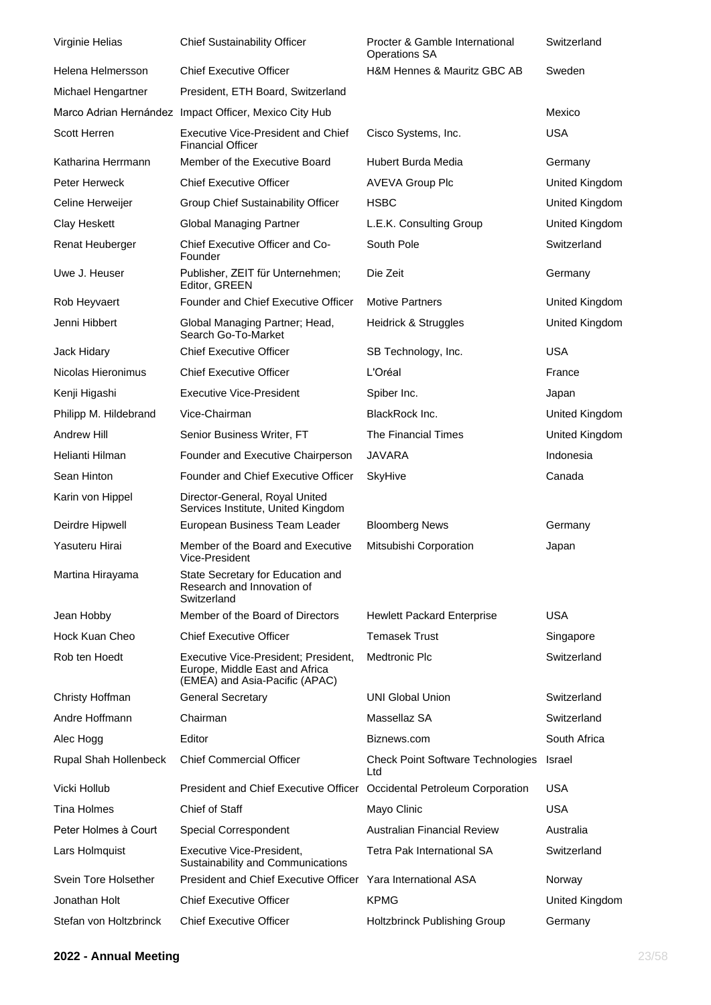| Virginie Helias        | <b>Chief Sustainability Officer</b>                                                                      | Procter & Gamble International<br><b>Operations SA</b> | Switzerland    |
|------------------------|----------------------------------------------------------------------------------------------------------|--------------------------------------------------------|----------------|
| Helena Helmersson      | <b>Chief Executive Officer</b>                                                                           | H&M Hennes & Mauritz GBC AB                            | Sweden         |
| Michael Hengartner     | President, ETH Board, Switzerland                                                                        |                                                        |                |
| Marco Adrian Hernández | Impact Officer, Mexico City Hub                                                                          |                                                        | Mexico         |
| Scott Herren           | <b>Executive Vice-President and Chief</b><br><b>Financial Officer</b>                                    | Cisco Systems, Inc.                                    | <b>USA</b>     |
| Katharina Herrmann     | Member of the Executive Board                                                                            | Hubert Burda Media                                     | Germany        |
| Peter Herweck          | <b>Chief Executive Officer</b>                                                                           | <b>AVEVA Group Plc</b>                                 | United Kingdom |
| Celine Herweijer       | Group Chief Sustainability Officer                                                                       | <b>HSBC</b>                                            | United Kingdom |
| Clay Heskett           | <b>Global Managing Partner</b>                                                                           | L.E.K. Consulting Group                                | United Kingdom |
| Renat Heuberger        | Chief Executive Officer and Co-<br>Founder                                                               | South Pole                                             | Switzerland    |
| Uwe J. Heuser          | Publisher, ZEIT für Unternehmen;<br>Editor, GREEN                                                        | Die Zeit                                               | Germany        |
| Rob Heyvaert           | <b>Founder and Chief Executive Officer</b>                                                               | <b>Motive Partners</b>                                 | United Kingdom |
| Jenni Hibbert          | Global Managing Partner; Head,<br>Search Go-To-Market                                                    | Heidrick & Struggles                                   | United Kingdom |
| Jack Hidary            | <b>Chief Executive Officer</b>                                                                           | SB Technology, Inc.                                    | <b>USA</b>     |
| Nicolas Hieronimus     | <b>Chief Executive Officer</b>                                                                           | L'Oréal                                                | France         |
| Kenji Higashi          | <b>Executive Vice-President</b>                                                                          | Spiber Inc.                                            | Japan          |
| Philipp M. Hildebrand  | Vice-Chairman                                                                                            | BlackRock Inc.                                         | United Kingdom |
| <b>Andrew Hill</b>     | Senior Business Writer, FT                                                                               | The Financial Times                                    | United Kingdom |
| Helianti Hilman        | Founder and Executive Chairperson                                                                        | JAVARA                                                 | Indonesia      |
| Sean Hinton            | Founder and Chief Executive Officer                                                                      | <b>SkyHive</b>                                         | Canada         |
| Karin von Hippel       | Director-General, Royal United<br>Services Institute, United Kingdom                                     |                                                        |                |
| Deirdre Hipwell        | European Business Team Leader                                                                            | <b>Bloomberg News</b>                                  | Germany        |
| Yasuteru Hirai         | Member of the Board and Executive<br>Vice-President                                                      | Mitsubishi Corporation                                 | Japan          |
| Martina Hirayama       | State Secretary for Education and<br>Research and Innovation of<br>Switzerland                           |                                                        |                |
| Jean Hobby             | Member of the Board of Directors                                                                         | <b>Hewlett Packard Enterprise</b>                      | <b>USA</b>     |
| Hock Kuan Cheo         | <b>Chief Executive Officer</b>                                                                           | <b>Temasek Trust</b>                                   | Singapore      |
| Rob ten Hoedt          | Executive Vice-President; President,<br>Europe, Middle East and Africa<br>(EMEA) and Asia-Pacific (APAC) | <b>Medtronic Plc</b>                                   | Switzerland    |
| Christy Hoffman        | <b>General Secretary</b>                                                                                 | <b>UNI Global Union</b>                                | Switzerland    |
| Andre Hoffmann         | Chairman                                                                                                 | Massellaz SA                                           | Switzerland    |
| Alec Hogg              | Editor                                                                                                   | Biznews.com                                            | South Africa   |
| Rupal Shah Hollenbeck  | <b>Chief Commercial Officer</b>                                                                          | <b>Check Point Software Technologies</b><br>Ltd        | Israel         |
| Vicki Hollub           | <b>President and Chief Executive Officer</b>                                                             | Occidental Petroleum Corporation                       | <b>USA</b>     |
| Tina Holmes            | Chief of Staff                                                                                           | Mayo Clinic                                            | <b>USA</b>     |
| Peter Holmes à Court   | Special Correspondent                                                                                    | <b>Australian Financial Review</b>                     | Australia      |
| Lars Holmquist         | Executive Vice-President,<br>Sustainability and Communications                                           | Tetra Pak International SA                             | Switzerland    |
| Svein Tore Holsether   | <b>President and Chief Executive Officer</b>                                                             | Yara International ASA                                 | Norway         |
| Jonathan Holt          | <b>Chief Executive Officer</b>                                                                           | <b>KPMG</b>                                            | United Kingdom |
| Stefan von Holtzbrinck | <b>Chief Executive Officer</b>                                                                           | Holtzbrinck Publishing Group                           | Germany        |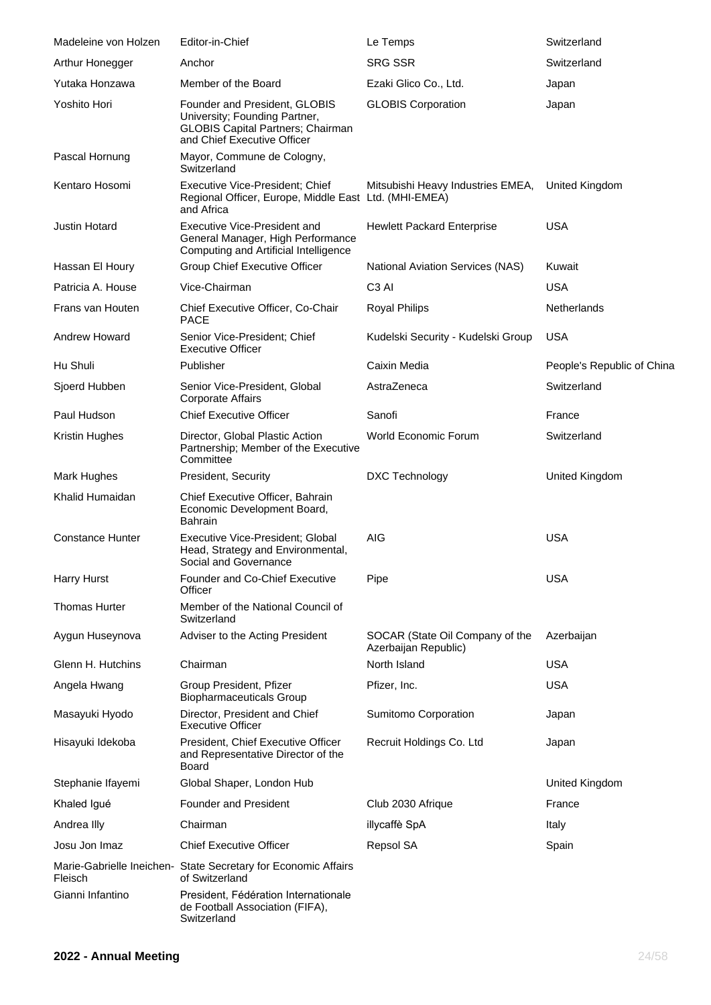| Madeleine von Holzen    | Editor-in-Chief                                                                                                                           | Le Temps                                                | Switzerland                |
|-------------------------|-------------------------------------------------------------------------------------------------------------------------------------------|---------------------------------------------------------|----------------------------|
| Arthur Honegger         | Anchor                                                                                                                                    | <b>SRG SSR</b>                                          | Switzerland                |
| Yutaka Honzawa          | Member of the Board                                                                                                                       | Ezaki Glico Co., Ltd.                                   | Japan                      |
| Yoshito Hori            | Founder and President, GLOBIS<br>University; Founding Partner,<br><b>GLOBIS Capital Partners; Chairman</b><br>and Chief Executive Officer | <b>GLOBIS Corporation</b>                               | Japan                      |
| Pascal Hornung          | Mayor, Commune de Cologny,<br>Switzerland                                                                                                 |                                                         |                            |
| Kentaro Hosomi          | Executive Vice-President; Chief<br>Regional Officer, Europe, Middle East Ltd. (MHI-EMEA)<br>and Africa                                    | Mitsubishi Heavy Industries EMEA,                       | United Kingdom             |
| Justin Hotard           | Executive Vice-President and<br>General Manager, High Performance<br>Computing and Artificial Intelligence                                | <b>Hewlett Packard Enterprise</b>                       | <b>USA</b>                 |
| Hassan El Houry         | Group Chief Executive Officer                                                                                                             | National Aviation Services (NAS)                        | Kuwait                     |
| Patricia A. House       | Vice-Chairman                                                                                                                             | C <sub>3</sub> AI                                       | <b>USA</b>                 |
| Frans van Houten        | Chief Executive Officer, Co-Chair<br><b>PACE</b>                                                                                          | <b>Royal Philips</b>                                    | <b>Netherlands</b>         |
| Andrew Howard           | Senior Vice-President; Chief<br><b>Executive Officer</b>                                                                                  | Kudelski Security - Kudelski Group                      | <b>USA</b>                 |
| Hu Shuli                | Publisher                                                                                                                                 | Caixin Media                                            | People's Republic of China |
| Sjoerd Hubben           | Senior Vice-President, Global<br>Corporate Affairs                                                                                        | AstraZeneca                                             | Switzerland                |
| Paul Hudson             | <b>Chief Executive Officer</b>                                                                                                            | Sanofi                                                  | France                     |
| Kristin Hughes          | Director, Global Plastic Action<br>Partnership; Member of the Executive<br>Committee                                                      | World Economic Forum                                    | Switzerland                |
| Mark Hughes             | President, Security                                                                                                                       | DXC Technology                                          | United Kingdom             |
| Khalid Humaidan         | Chief Executive Officer, Bahrain<br>Economic Development Board,<br><b>Bahrain</b>                                                         |                                                         |                            |
| <b>Constance Hunter</b> | Executive Vice-President; Global<br>Head, Strategy and Environmental,<br>Social and Governance                                            | <b>AIG</b>                                              | <b>USA</b>                 |
| Harry Hurst             | <b>Founder and Co-Chief Executive</b><br>Officer                                                                                          | Pipe                                                    | <b>USA</b>                 |
| <b>Thomas Hurter</b>    | Member of the National Council of<br>Switzerland                                                                                          |                                                         |                            |
| Aygun Huseynova         | Adviser to the Acting President                                                                                                           | SOCAR (State Oil Company of the<br>Azerbaijan Republic) | Azerbaijan                 |
| Glenn H. Hutchins       | Chairman                                                                                                                                  | North Island                                            | <b>USA</b>                 |
| Angela Hwang            | Group President, Pfizer<br><b>Biopharmaceuticals Group</b>                                                                                | Pfizer, Inc.                                            | <b>USA</b>                 |
| Masayuki Hyodo          | Director, President and Chief<br><b>Executive Officer</b>                                                                                 | Sumitomo Corporation                                    | Japan                      |
| Hisayuki Idekoba        | President, Chief Executive Officer<br>and Representative Director of the<br><b>Board</b>                                                  | Recruit Holdings Co. Ltd                                | Japan                      |
| Stephanie Ifayemi       | Global Shaper, London Hub                                                                                                                 |                                                         | United Kingdom             |
| Khaled Igué             | <b>Founder and President</b>                                                                                                              | Club 2030 Afrique                                       | France                     |
| Andrea Illy             | Chairman                                                                                                                                  | illycaffè SpA                                           | Italy                      |
| Josu Jon Imaz           | <b>Chief Executive Officer</b>                                                                                                            | Repsol SA                                               | Spain                      |
| Fleisch                 | Marie-Gabrielle Ineichen- State Secretary for Economic Affairs<br>of Switzerland                                                          |                                                         |                            |
| Gianni Infantino        | President, Fédération Internationale<br>de Football Association (FIFA),<br>Switzerland                                                    |                                                         |                            |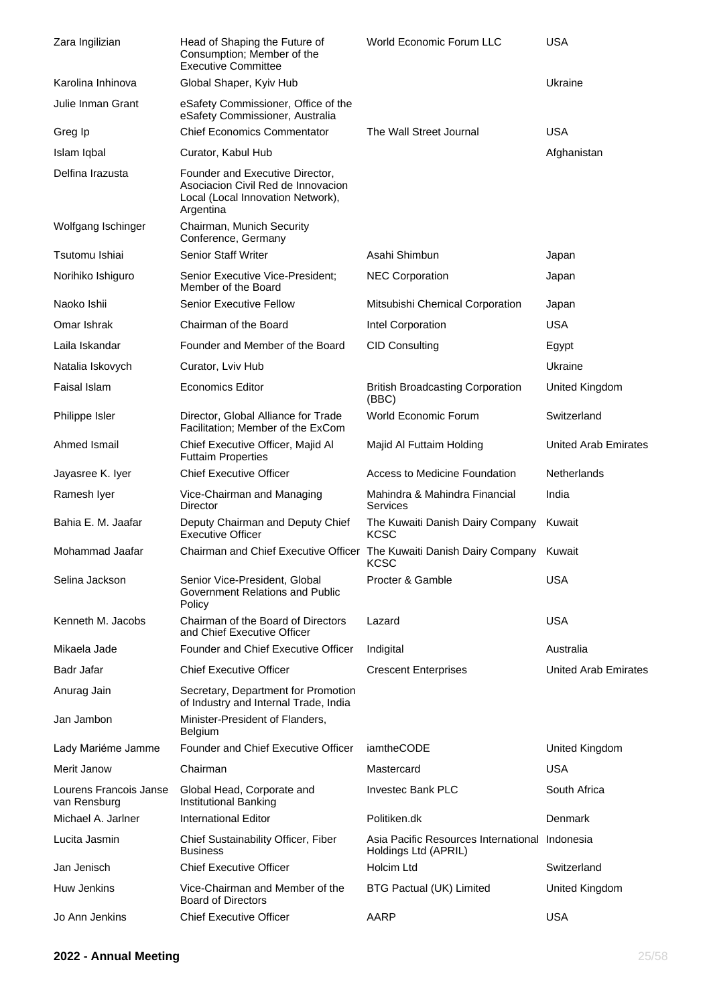| Zara Ingilizian                        | Head of Shaping the Future of<br>Consumption; Member of the<br><b>Executive Committee</b>                               | World Economic Forum LLC                                               | <b>USA</b>                  |
|----------------------------------------|-------------------------------------------------------------------------------------------------------------------------|------------------------------------------------------------------------|-----------------------------|
| Karolina Inhinova                      | Global Shaper, Kyiv Hub                                                                                                 |                                                                        | Ukraine                     |
| Julie Inman Grant                      | eSafety Commissioner, Office of the<br>eSafety Commissioner, Australia                                                  |                                                                        |                             |
| Greg Ip                                | <b>Chief Economics Commentator</b>                                                                                      | The Wall Street Journal                                                | <b>USA</b>                  |
| Islam Iqbal                            | Curator, Kabul Hub                                                                                                      |                                                                        | Afghanistan                 |
| Delfina Irazusta                       | Founder and Executive Director,<br>Asociacion Civil Red de Innovacion<br>Local (Local Innovation Network),<br>Argentina |                                                                        |                             |
| Wolfgang Ischinger                     | Chairman, Munich Security<br>Conference, Germany                                                                        |                                                                        |                             |
| Tsutomu Ishiai                         | <b>Senior Staff Writer</b>                                                                                              | Asahi Shimbun                                                          | Japan                       |
| Norihiko Ishiguro                      | Senior Executive Vice-President;<br>Member of the Board                                                                 | <b>NEC Corporation</b>                                                 | Japan                       |
| Naoko Ishii                            | <b>Senior Executive Fellow</b>                                                                                          | Mitsubishi Chemical Corporation                                        | Japan                       |
| Omar Ishrak                            | Chairman of the Board                                                                                                   | Intel Corporation                                                      | <b>USA</b>                  |
| Laila Iskandar                         | Founder and Member of the Board                                                                                         | <b>CID Consulting</b>                                                  | Egypt                       |
| Natalia Iskovych                       | Curator, Lviv Hub                                                                                                       |                                                                        | Ukraine                     |
| Faisal Islam                           | <b>Economics Editor</b>                                                                                                 | <b>British Broadcasting Corporation</b><br>(BBC)                       | United Kingdom              |
| Philippe Isler                         | Director, Global Alliance for Trade<br>Facilitation; Member of the ExCom                                                | World Economic Forum                                                   | Switzerland                 |
| Ahmed Ismail                           | Chief Executive Officer, Majid Al<br><b>Futtaim Properties</b>                                                          | Majid Al Futtaim Holding                                               | <b>United Arab Emirates</b> |
| Jayasree K. Iyer                       | <b>Chief Executive Officer</b>                                                                                          | Access to Medicine Foundation                                          | Netherlands                 |
| Ramesh Iyer                            | Vice-Chairman and Managing<br>Director                                                                                  | Mahindra & Mahindra Financial<br>Services                              | India                       |
| Bahia E. M. Jaafar                     | Deputy Chairman and Deputy Chief<br><b>Executive Officer</b>                                                            | The Kuwaiti Danish Dairy Company<br><b>KCSC</b>                        | Kuwait                      |
| Mohammad Jaafar                        | Chairman and Chief Executive Officer The Kuwaiti Danish Dairy Company Kuwait                                            | <b>KCSC</b>                                                            |                             |
| Selina Jackson                         | Senior Vice-President, Global<br>Government Relations and Public<br>Policy                                              | Procter & Gamble                                                       | <b>USA</b>                  |
| Kenneth M. Jacobs                      | Chairman of the Board of Directors<br>and Chief Executive Officer                                                       | Lazard                                                                 | <b>USA</b>                  |
| Mikaela Jade                           | Founder and Chief Executive Officer                                                                                     | Indigital                                                              | Australia                   |
| Badr Jafar                             | <b>Chief Executive Officer</b>                                                                                          | <b>Crescent Enterprises</b>                                            | <b>United Arab Emirates</b> |
| Anurag Jain                            | Secretary, Department for Promotion<br>of Industry and Internal Trade, India                                            |                                                                        |                             |
| Jan Jambon                             | Minister-President of Flanders,<br>Belgium                                                                              |                                                                        |                             |
| Lady Mariéme Jamme                     | Founder and Chief Executive Officer                                                                                     | iamtheCODE                                                             | United Kingdom              |
| Merit Janow                            | Chairman                                                                                                                | Mastercard                                                             | <b>USA</b>                  |
| Lourens Francois Janse<br>van Rensburg | Global Head, Corporate and<br>Institutional Banking                                                                     | <b>Investec Bank PLC</b>                                               | South Africa                |
| Michael A. Jarlner                     | <b>International Editor</b>                                                                                             | Politiken.dk                                                           | Denmark                     |
| Lucita Jasmin                          | Chief Sustainability Officer, Fiber<br><b>Business</b>                                                                  | Asia Pacific Resources International Indonesia<br>Holdings Ltd (APRIL) |                             |
| Jan Jenisch                            | <b>Chief Executive Officer</b>                                                                                          | Holcim Ltd                                                             | Switzerland                 |
| Huw Jenkins                            | Vice-Chairman and Member of the<br><b>Board of Directors</b>                                                            | <b>BTG Pactual (UK) Limited</b>                                        | United Kingdom              |
| Jo Ann Jenkins                         | <b>Chief Executive Officer</b>                                                                                          | AARP                                                                   | <b>USA</b>                  |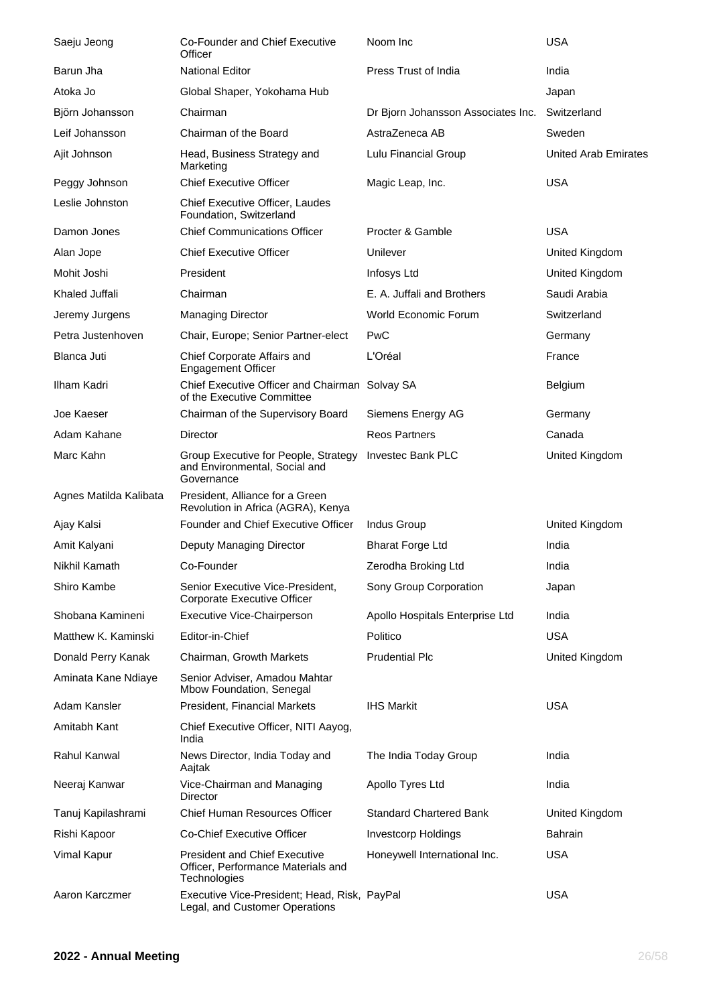| Saeju Jeong            | Co-Founder and Chief Executive<br>Officer                                                  | Noom Inc                           | <b>USA</b>                  |
|------------------------|--------------------------------------------------------------------------------------------|------------------------------------|-----------------------------|
| Barun Jha              | <b>National Editor</b>                                                                     | Press Trust of India               | India                       |
| Atoka Jo               | Global Shaper, Yokohama Hub                                                                |                                    | Japan                       |
| Björn Johansson        | Chairman                                                                                   | Dr Bjorn Johansson Associates Inc. | Switzerland                 |
| Leif Johansson         | Chairman of the Board                                                                      | AstraZeneca AB                     | Sweden                      |
| Ajit Johnson           | Head, Business Strategy and<br>Marketing                                                   | Lulu Financial Group               | <b>United Arab Emirates</b> |
| Peggy Johnson          | <b>Chief Executive Officer</b>                                                             | Magic Leap, Inc.                   | <b>USA</b>                  |
| Leslie Johnston        | Chief Executive Officer, Laudes<br>Foundation, Switzerland                                 |                                    |                             |
| Damon Jones            | <b>Chief Communications Officer</b>                                                        | Procter & Gamble                   | <b>USA</b>                  |
| Alan Jope              | <b>Chief Executive Officer</b>                                                             | Unilever                           | United Kingdom              |
| Mohit Joshi            | President                                                                                  | Infosys Ltd                        | United Kingdom              |
| Khaled Juffali         | Chairman                                                                                   | E. A. Juffali and Brothers         | Saudi Arabia                |
| Jeremy Jurgens         | <b>Managing Director</b>                                                                   | World Economic Forum               | Switzerland                 |
| Petra Justenhoven      | Chair, Europe; Senior Partner-elect                                                        | PwC                                | Germany                     |
| Blanca Juti            | Chief Corporate Affairs and<br><b>Engagement Officer</b>                                   | L'Oréal                            | France                      |
| Ilham Kadri            | Chief Executive Officer and Chairman Solvay SA<br>of the Executive Committee               |                                    | Belgium                     |
| Joe Kaeser             | Chairman of the Supervisory Board                                                          | Siemens Energy AG                  | Germany                     |
| Adam Kahane            | Director                                                                                   | <b>Reos Partners</b>               | Canada                      |
| Marc Kahn              | Group Executive for People, Strategy<br>and Environmental, Social and<br>Governance        | <b>Investec Bank PLC</b>           | United Kingdom              |
| Agnes Matilda Kalibata | President, Alliance for a Green<br>Revolution in Africa (AGRA), Kenya                      |                                    |                             |
| Ajay Kalsi             | Founder and Chief Executive Officer                                                        | Indus Group                        | United Kingdom              |
| Amit Kalyani           | Deputy Managing Director                                                                   | <b>Bharat Forge Ltd</b>            | India                       |
| Nikhil Kamath          | Co-Founder                                                                                 | Zerodha Broking Ltd                | India                       |
| Shiro Kambe            | Senior Executive Vice-President,<br>Corporate Executive Officer                            | Sony Group Corporation             | Japan                       |
| Shobana Kamineni       | Executive Vice-Chairperson                                                                 | Apollo Hospitals Enterprise Ltd    | India                       |
| Matthew K. Kaminski    | Editor-in-Chief                                                                            | Politico                           | <b>USA</b>                  |
| Donald Perry Kanak     | Chairman, Growth Markets                                                                   | <b>Prudential Plc</b>              | United Kingdom              |
| Aminata Kane Ndiaye    | Senior Adviser, Amadou Mahtar<br>Mbow Foundation, Senegal                                  |                                    |                             |
| Adam Kansler           | President, Financial Markets                                                               | <b>IHS Markit</b>                  | <b>USA</b>                  |
| Amitabh Kant           | Chief Executive Officer, NITI Aayog,<br>India                                              |                                    |                             |
| Rahul Kanwal           | News Director, India Today and<br>Aajtak                                                   | The India Today Group              | India                       |
| Neeraj Kanwar          | Vice-Chairman and Managing<br>Director                                                     | Apollo Tyres Ltd                   | India                       |
| Tanuj Kapilashrami     | Chief Human Resources Officer                                                              | <b>Standard Chartered Bank</b>     | United Kingdom              |
| Rishi Kapoor           | <b>Co-Chief Executive Officer</b>                                                          | <b>Investcorp Holdings</b>         | Bahrain                     |
| Vimal Kapur            | <b>President and Chief Executive</b><br>Officer, Performance Materials and<br>Technologies | Honeywell International Inc.       | <b>USA</b>                  |
| Aaron Karczmer         | Executive Vice-President; Head, Risk, PayPal<br>Legal, and Customer Operations             |                                    | <b>USA</b>                  |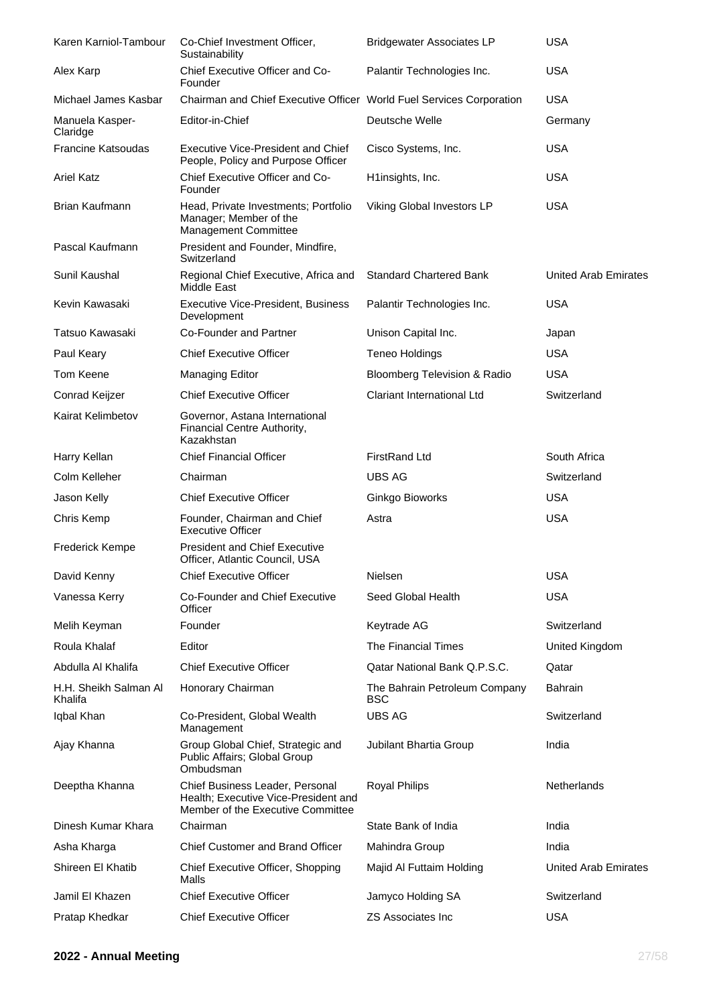| Karen Karniol-Tambour            | Co-Chief Investment Officer,<br>Sustainability                                                               | <b>Bridgewater Associates LP</b>            | <b>USA</b>                  |
|----------------------------------|--------------------------------------------------------------------------------------------------------------|---------------------------------------------|-----------------------------|
| Alex Karp                        | Chief Executive Officer and Co-<br>Founder                                                                   | Palantir Technologies Inc.                  | <b>USA</b>                  |
| Michael James Kasbar             | Chairman and Chief Executive Officer World Fuel Services Corporation                                         |                                             | <b>USA</b>                  |
| Manuela Kasper-<br>Claridge      | Editor-in-Chief                                                                                              | Deutsche Welle                              | Germany                     |
| <b>Francine Katsoudas</b>        | Executive Vice-President and Chief<br>People, Policy and Purpose Officer                                     | Cisco Systems, Inc.                         | <b>USA</b>                  |
| <b>Ariel Katz</b>                | Chief Executive Officer and Co-<br>Founder                                                                   | H1insights, Inc.                            | <b>USA</b>                  |
| Brian Kaufmann                   | Head, Private Investments; Portfolio<br>Manager; Member of the<br><b>Management Committee</b>                | Viking Global Investors LP                  | <b>USA</b>                  |
| Pascal Kaufmann                  | President and Founder, Mindfire,<br>Switzerland                                                              |                                             |                             |
| Sunil Kaushal                    | Regional Chief Executive, Africa and<br>Middle East                                                          | <b>Standard Chartered Bank</b>              | <b>United Arab Emirates</b> |
| Kevin Kawasaki                   | <b>Executive Vice-President, Business</b><br>Development                                                     | Palantir Technologies Inc.                  | <b>USA</b>                  |
| Tatsuo Kawasaki                  | Co-Founder and Partner                                                                                       | Unison Capital Inc.                         | Japan                       |
| Paul Keary                       | <b>Chief Executive Officer</b>                                                                               | <b>Teneo Holdings</b>                       | <b>USA</b>                  |
| Tom Keene                        | Managing Editor                                                                                              | <b>Bloomberg Television &amp; Radio</b>     | <b>USA</b>                  |
| Conrad Keijzer                   | <b>Chief Executive Officer</b>                                                                               | <b>Clariant International Ltd</b>           | Switzerland                 |
| Kairat Kelimbetov                | Governor, Astana International<br>Financial Centre Authority,<br>Kazakhstan                                  |                                             |                             |
| Harry Kellan                     | <b>Chief Financial Officer</b>                                                                               | <b>FirstRand Ltd</b>                        | South Africa                |
| Colm Kelleher                    | Chairman                                                                                                     | <b>UBS AG</b>                               | Switzerland                 |
| Jason Kelly                      | <b>Chief Executive Officer</b>                                                                               | Ginkgo Bioworks                             | <b>USA</b>                  |
| Chris Kemp                       | Founder, Chairman and Chief<br><b>Executive Officer</b>                                                      | Astra                                       | <b>USA</b>                  |
| <b>Frederick Kempe</b>           | <b>President and Chief Executive</b><br>Officer, Atlantic Council, USA                                       |                                             |                             |
| David Kenny                      | <b>Chief Executive Officer</b>                                                                               | Nielsen                                     | <b>USA</b>                  |
| Vanessa Kerry                    | Co-Founder and Chief Executive<br>Officer                                                                    | Seed Global Health                          | <b>USA</b>                  |
| Melih Keyman                     | Founder                                                                                                      | Keytrade AG                                 | Switzerland                 |
| Roula Khalaf                     | Editor                                                                                                       | The Financial Times                         | United Kingdom              |
| Abdulla Al Khalifa               | <b>Chief Executive Officer</b>                                                                               | Qatar National Bank Q.P.S.C.                | Qatar                       |
| H.H. Sheikh Salman Al<br>Khalifa | Honorary Chairman                                                                                            | The Bahrain Petroleum Company<br><b>BSC</b> | <b>Bahrain</b>              |
| Iqbal Khan                       | Co-President, Global Wealth<br>Management                                                                    | <b>UBS AG</b>                               | Switzerland                 |
| Ajay Khanna                      | Group Global Chief, Strategic and<br>Public Affairs; Global Group<br>Ombudsman                               | Jubilant Bhartia Group                      | India                       |
| Deeptha Khanna                   | Chief Business Leader, Personal<br>Health; Executive Vice-President and<br>Member of the Executive Committee | <b>Royal Philips</b>                        | Netherlands                 |
| Dinesh Kumar Khara               | Chairman                                                                                                     | State Bank of India                         | India                       |
| Asha Kharga                      | <b>Chief Customer and Brand Officer</b>                                                                      | Mahindra Group                              | India                       |
| Shireen El Khatib                | Chief Executive Officer, Shopping<br>Malls                                                                   | Majid Al Futtaim Holding                    | United Arab Emirates        |
| Jamil El Khazen                  | <b>Chief Executive Officer</b>                                                                               | Jamyco Holding SA                           | Switzerland                 |
| Pratap Khedkar                   | <b>Chief Executive Officer</b>                                                                               | <b>ZS Associates Inc</b>                    | <b>USA</b>                  |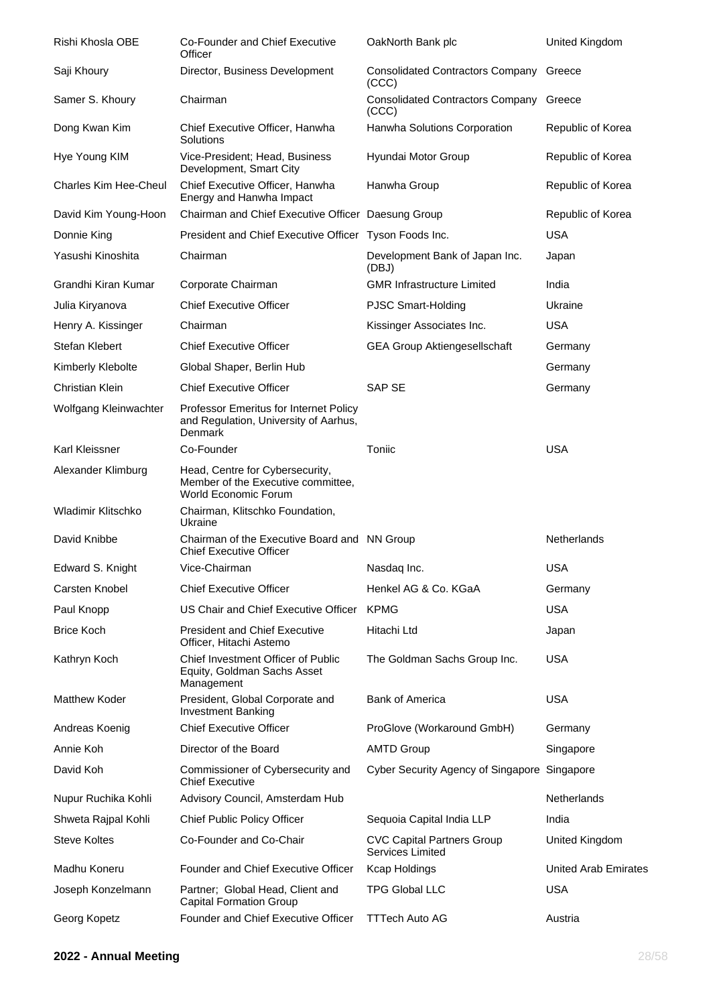| Rishi Khosla OBE      | Co-Founder and Chief Executive<br>Officer                                                     | OakNorth Bank plc                                     | United Kingdom              |
|-----------------------|-----------------------------------------------------------------------------------------------|-------------------------------------------------------|-----------------------------|
| Saji Khoury           | Director, Business Development                                                                | <b>Consolidated Contractors Company</b><br>(CCC)      | Greece                      |
| Samer S. Khoury       | Chairman                                                                                      | <b>Consolidated Contractors Company</b><br>(CCC)      | Greece                      |
| Dong Kwan Kim         | Chief Executive Officer, Hanwha<br>Solutions                                                  | Hanwha Solutions Corporation                          | Republic of Korea           |
| Hye Young KIM         | Vice-President; Head, Business<br>Development, Smart City                                     | Hyundai Motor Group                                   | Republic of Korea           |
| Charles Kim Hee-Cheul | Chief Executive Officer, Hanwha<br>Energy and Hanwha Impact                                   | Hanwha Group                                          | Republic of Korea           |
| David Kim Young-Hoon  | Chairman and Chief Executive Officer Daesung Group                                            |                                                       | Republic of Korea           |
| Donnie King           | President and Chief Executive Officer Tyson Foods Inc.                                        |                                                       | <b>USA</b>                  |
| Yasushi Kinoshita     | Chairman                                                                                      | Development Bank of Japan Inc.<br>(DBJ)               | Japan                       |
| Grandhi Kiran Kumar   | Corporate Chairman                                                                            | <b>GMR Infrastructure Limited</b>                     | India                       |
| Julia Kiryanova       | <b>Chief Executive Officer</b>                                                                | <b>PJSC Smart-Holding</b>                             | Ukraine                     |
| Henry A. Kissinger    | Chairman                                                                                      | Kissinger Associates Inc.                             | USA                         |
| Stefan Klebert        | <b>Chief Executive Officer</b>                                                                | <b>GEA Group Aktiengesellschaft</b>                   | Germany                     |
| Kimberly Klebolte     | Global Shaper, Berlin Hub                                                                     |                                                       | Germany                     |
| Christian Klein       | <b>Chief Executive Officer</b>                                                                | SAP SE                                                | Germany                     |
| Wolfgang Kleinwachter | Professor Emeritus for Internet Policy<br>and Regulation, University of Aarhus,<br>Denmark    |                                                       |                             |
| Karl Kleissner        | Co-Founder                                                                                    | Toniic                                                | <b>USA</b>                  |
| Alexander Klimburg    | Head, Centre for Cybersecurity,<br>Member of the Executive committee,<br>World Economic Forum |                                                       |                             |
| Wladimir Klitschko    | Chairman, Klitschko Foundation,<br>Ukraine                                                    |                                                       |                             |
| David Knibbe          | Chairman of the Executive Board and NN Group<br><b>Chief Executive Officer</b>                |                                                       | Netherlands                 |
| Edward S. Knight      | Vice-Chairman                                                                                 | Nasdaq Inc.                                           | <b>USA</b>                  |
| Carsten Knobel        | <b>Chief Executive Officer</b>                                                                | Henkel AG & Co. KGaA                                  | Germany                     |
| Paul Knopp            | US Chair and Chief Executive Officer                                                          | <b>KPMG</b>                                           | <b>USA</b>                  |
| <b>Brice Koch</b>     | <b>President and Chief Executive</b><br>Officer, Hitachi Astemo                               | Hitachi Ltd                                           | Japan                       |
| Kathryn Koch          | Chief Investment Officer of Public<br>Equity, Goldman Sachs Asset<br>Management               | The Goldman Sachs Group Inc.                          | <b>USA</b>                  |
| <b>Matthew Koder</b>  | President, Global Corporate and<br><b>Investment Banking</b>                                  | <b>Bank of America</b>                                | <b>USA</b>                  |
| Andreas Koenig        | <b>Chief Executive Officer</b>                                                                | ProGlove (Workaround GmbH)                            | Germany                     |
| Annie Koh             | Director of the Board                                                                         | <b>AMTD Group</b>                                     | Singapore                   |
| David Koh             | Commissioner of Cybersecurity and<br><b>Chief Executive</b>                                   | Cyber Security Agency of Singapore Singapore          |                             |
| Nupur Ruchika Kohli   | Advisory Council, Amsterdam Hub                                                               |                                                       | <b>Netherlands</b>          |
| Shweta Rajpal Kohli   | <b>Chief Public Policy Officer</b>                                                            | Sequoia Capital India LLP                             | India                       |
| <b>Steve Koltes</b>   | Co-Founder and Co-Chair                                                                       | <b>CVC Capital Partners Group</b><br>Services Limited | United Kingdom              |
| Madhu Koneru          | Founder and Chief Executive Officer                                                           | <b>Kcap Holdings</b>                                  | <b>United Arab Emirates</b> |
| Joseph Konzelmann     | Partner; Global Head, Client and<br><b>Capital Formation Group</b>                            | <b>TPG Global LLC</b>                                 | <b>USA</b>                  |
| Georg Kopetz          | Founder and Chief Executive Officer                                                           | <b>TTTech Auto AG</b>                                 | Austria                     |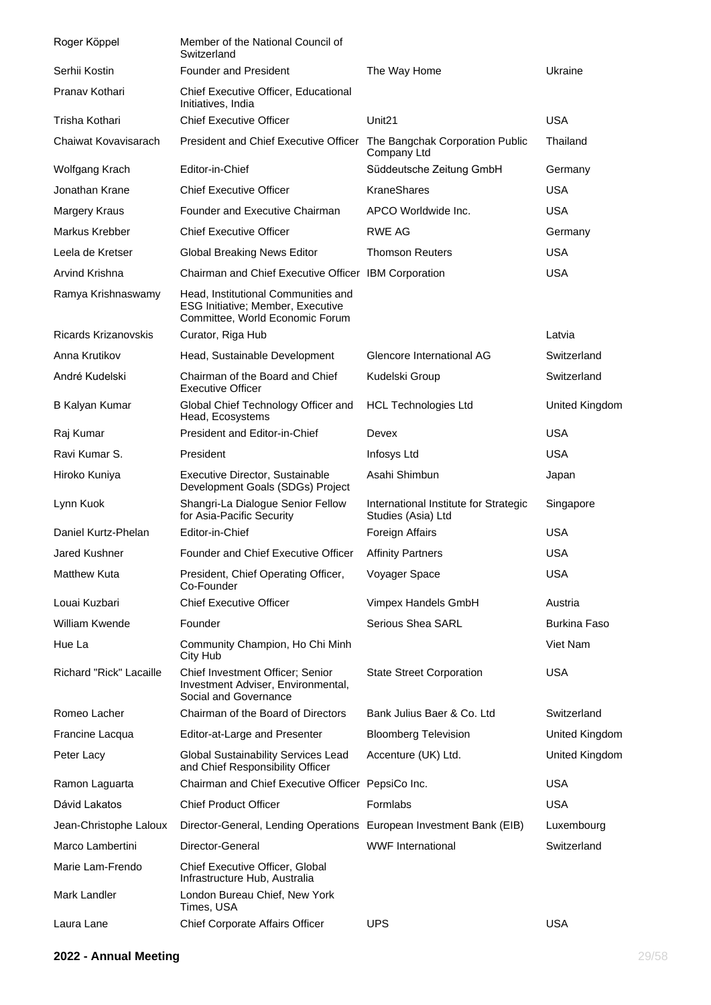| Roger Köppel            | Member of the National Council of<br>Switzerland                                                                   |                                                             |                     |
|-------------------------|--------------------------------------------------------------------------------------------------------------------|-------------------------------------------------------------|---------------------|
| Serhii Kostin           | <b>Founder and President</b>                                                                                       | The Way Home                                                | Ukraine             |
| Pranav Kothari          | Chief Executive Officer, Educational<br>Initiatives, India                                                         |                                                             |                     |
| Trisha Kothari          | <b>Chief Executive Officer</b>                                                                                     | Unit <sub>21</sub>                                          | <b>USA</b>          |
| Chaiwat Kovavisarach    | President and Chief Executive Officer The Bangchak Corporation Public                                              | Company Ltd                                                 | Thailand            |
| Wolfgang Krach          | Editor-in-Chief                                                                                                    | Süddeutsche Zeitung GmbH                                    | Germany             |
| Jonathan Krane          | <b>Chief Executive Officer</b>                                                                                     | <b>KraneShares</b>                                          | <b>USA</b>          |
| <b>Margery Kraus</b>    | Founder and Executive Chairman                                                                                     | APCO Worldwide Inc.                                         | <b>USA</b>          |
| Markus Krebber          | <b>Chief Executive Officer</b>                                                                                     | RWE AG                                                      | Germany             |
| Leela de Kretser        | Global Breaking News Editor                                                                                        | <b>Thomson Reuters</b>                                      | <b>USA</b>          |
| Arvind Krishna          | Chairman and Chief Executive Officer IBM Corporation                                                               |                                                             | <b>USA</b>          |
| Ramya Krishnaswamy      | Head, Institutional Communities and<br><b>ESG Initiative; Member, Executive</b><br>Committee, World Economic Forum |                                                             |                     |
| Ricards Krizanovskis    | Curator, Riga Hub                                                                                                  |                                                             | Latvia              |
| Anna Krutikov           | Head, Sustainable Development                                                                                      | Glencore International AG                                   | Switzerland         |
| André Kudelski          | Chairman of the Board and Chief<br>Executive Officer                                                               | Kudelski Group                                              | Switzerland         |
| <b>B Kalyan Kumar</b>   | Global Chief Technology Officer and<br>Head, Ecosystems                                                            | <b>HCL Technologies Ltd</b>                                 | United Kingdom      |
| Raj Kumar               | President and Editor-in-Chief                                                                                      | Devex                                                       | <b>USA</b>          |
| Ravi Kumar S.           | President                                                                                                          | Infosys Ltd                                                 | <b>USA</b>          |
| Hiroko Kuniya           | Executive Director, Sustainable<br>Development Goals (SDGs) Project                                                | Asahi Shimbun                                               | Japan               |
| Lynn Kuok               | Shangri-La Dialogue Senior Fellow<br>for Asia-Pacific Security                                                     | International Institute for Strategic<br>Studies (Asia) Ltd | Singapore           |
| Daniel Kurtz-Phelan     | Editor-in-Chief                                                                                                    | <b>Foreign Affairs</b>                                      | <b>USA</b>          |
| <b>Jared Kushner</b>    | Founder and Chief Executive Officer                                                                                | <b>Affinity Partners</b>                                    | <b>USA</b>          |
| Matthew Kuta            | President, Chief Operating Officer,<br>Co-Founder                                                                  | Voyager Space                                               | <b>USA</b>          |
| Louai Kuzbari           | <b>Chief Executive Officer</b>                                                                                     | Vimpex Handels GmbH                                         | Austria             |
| <b>William Kwende</b>   | Founder                                                                                                            | <b>Serious Shea SARL</b>                                    | <b>Burkina Faso</b> |
| Hue La                  | Community Champion, Ho Chi Minh<br>City Hub                                                                        |                                                             | Viet Nam            |
| Richard "Rick" Lacaille | Chief Investment Officer; Senior<br>Investment Adviser, Environmental,<br>Social and Governance                    | <b>State Street Corporation</b>                             | <b>USA</b>          |
| Romeo Lacher            | Chairman of the Board of Directors                                                                                 | Bank Julius Baer & Co. Ltd                                  | Switzerland         |
| Francine Lacqua         | Editor-at-Large and Presenter                                                                                      | <b>Bloomberg Television</b>                                 | United Kingdom      |
| Peter Lacy              | <b>Global Sustainability Services Lead</b><br>and Chief Responsibility Officer                                     | Accenture (UK) Ltd.                                         | United Kingdom      |
| Ramon Laguarta          | Chairman and Chief Executive Officer PepsiCo Inc.                                                                  |                                                             | <b>USA</b>          |
| Dávid Lakatos           | <b>Chief Product Officer</b>                                                                                       | Formlabs                                                    | <b>USA</b>          |
| Jean-Christophe Laloux  | Director-General, Lending Operations European Investment Bank (EIB)                                                |                                                             | Luxembourg          |
| Marco Lambertini        | Director-General                                                                                                   | <b>WWF</b> International                                    | Switzerland         |
| Marie Lam-Frendo        | Chief Executive Officer, Global<br>Infrastructure Hub, Australia                                                   |                                                             |                     |
| Mark Landler            | London Bureau Chief, New York<br>Times, USA                                                                        |                                                             |                     |
| Laura Lane              | Chief Corporate Affairs Officer                                                                                    | <b>UPS</b>                                                  | <b>USA</b>          |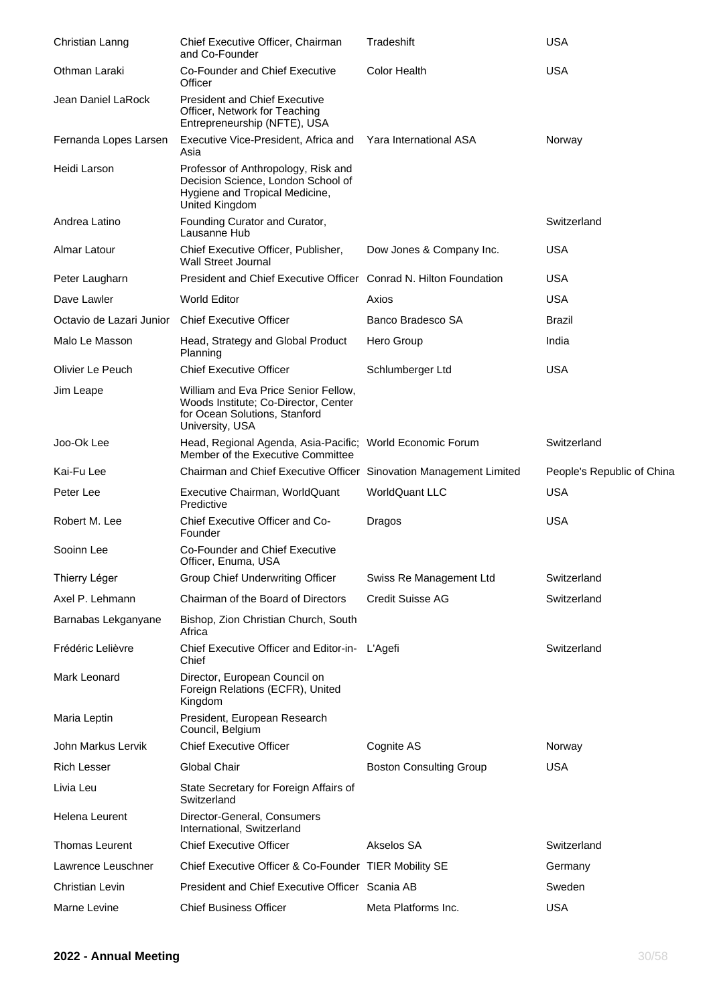| Christian Lanng          | Chief Executive Officer, Chairman<br>and Co-Founder                                                                              | Tradeshift                     | <b>USA</b>                 |
|--------------------------|----------------------------------------------------------------------------------------------------------------------------------|--------------------------------|----------------------------|
| Othman Laraki            | Co-Founder and Chief Executive<br>Officer                                                                                        | <b>Color Health</b>            | <b>USA</b>                 |
| Jean Daniel LaRock       | <b>President and Chief Executive</b><br>Officer, Network for Teaching<br>Entrepreneurship (NFTE), USA                            |                                |                            |
| Fernanda Lopes Larsen    | Executive Vice-President, Africa and<br>Asia                                                                                     | Yara International ASA         | Norway                     |
| Heidi Larson             | Professor of Anthropology, Risk and<br>Decision Science, London School of<br>Hygiene and Tropical Medicine,<br>United Kingdom    |                                |                            |
| Andrea Latino            | Founding Curator and Curator,<br>Lausanne Hub                                                                                    |                                | Switzerland                |
| Almar Latour             | Chief Executive Officer, Publisher,<br><b>Wall Street Journal</b>                                                                | Dow Jones & Company Inc.       | <b>USA</b>                 |
| Peter Laugharn           | President and Chief Executive Officer Conrad N. Hilton Foundation                                                                |                                | <b>USA</b>                 |
| Dave Lawler              | World Editor                                                                                                                     | Axios                          | <b>USA</b>                 |
| Octavio de Lazari Junior | <b>Chief Executive Officer</b>                                                                                                   | Banco Bradesco SA              | Brazil                     |
| Malo Le Masson           | Head, Strategy and Global Product<br>Planning                                                                                    | Hero Group                     | India                      |
| Olivier Le Peuch         | <b>Chief Executive Officer</b>                                                                                                   | Schlumberger Ltd               | <b>USA</b>                 |
| Jim Leape                | William and Eva Price Senior Fellow,<br>Woods Institute; Co-Director, Center<br>for Ocean Solutions, Stanford<br>University, USA |                                |                            |
| Joo-Ok Lee               | Head, Regional Agenda, Asia-Pacific; World Economic Forum<br>Member of the Executive Committee                                   |                                | Switzerland                |
| Kai-Fu Lee               | Chairman and Chief Executive Officer Sinovation Management Limited                                                               |                                | People's Republic of China |
| Peter Lee                | Executive Chairman, WorldQuant<br>Predictive                                                                                     | <b>WorldQuant LLC</b>          | <b>USA</b>                 |
| Robert M. Lee            | Chief Executive Officer and Co-<br>Founder                                                                                       | Dragos                         | <b>USA</b>                 |
| Sooinn Lee               | Co-Founder and Chief Executive<br>Officer, Enuma, USA                                                                            |                                |                            |
| Thierry Léger            | Group Chief Underwriting Officer                                                                                                 | Swiss Re Management Ltd        | Switzerland                |
| Axel P. Lehmann          | Chairman of the Board of Directors                                                                                               | <b>Credit Suisse AG</b>        | Switzerland                |
| Barnabas Lekganyane      | Bishop, Zion Christian Church, South<br>Africa                                                                                   |                                |                            |
| Frédéric Lelièvre        | Chief Executive Officer and Editor-in- L'Agefi<br>Chief                                                                          |                                | Switzerland                |
| Mark Leonard             | Director, European Council on<br>Foreign Relations (ECFR), United<br>Kingdom                                                     |                                |                            |
| Maria Leptin             | President, European Research<br>Council, Belgium                                                                                 |                                |                            |
| John Markus Lervik       | <b>Chief Executive Officer</b>                                                                                                   | Cognite AS                     | Norway                     |
| <b>Rich Lesser</b>       | Global Chair                                                                                                                     | <b>Boston Consulting Group</b> | <b>USA</b>                 |
| Livia Leu                | State Secretary for Foreign Affairs of<br>Switzerland                                                                            |                                |                            |
| <b>Helena Leurent</b>    | Director-General, Consumers<br>International, Switzerland                                                                        |                                |                            |
| <b>Thomas Leurent</b>    | <b>Chief Executive Officer</b>                                                                                                   | Akselos SA                     | Switzerland                |
| Lawrence Leuschner       | Chief Executive Officer & Co-Founder TIER Mobility SE                                                                            |                                | Germany                    |
| <b>Christian Levin</b>   | President and Chief Executive Officer Scania AB                                                                                  |                                | Sweden                     |
| Marne Levine             | <b>Chief Business Officer</b>                                                                                                    | Meta Platforms Inc.            | <b>USA</b>                 |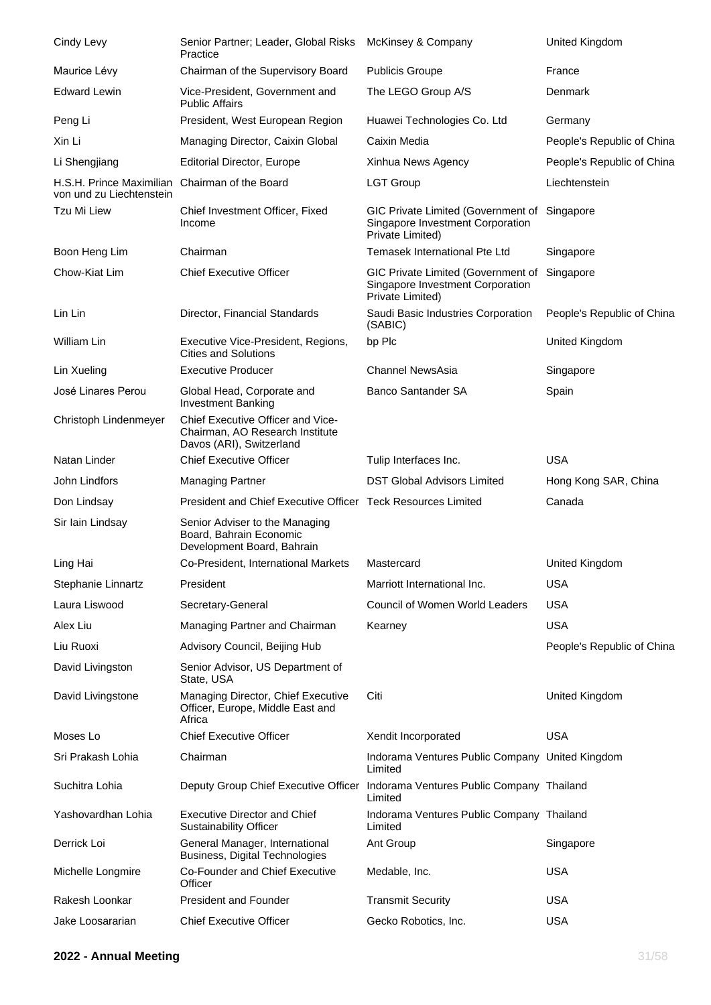| Cindy Levy                                           | Senior Partner; Leader, Global Risks<br>Practice                                                 | McKinsey & Company                                                                                   | United Kingdom             |
|------------------------------------------------------|--------------------------------------------------------------------------------------------------|------------------------------------------------------------------------------------------------------|----------------------------|
| Maurice Lévy                                         | Chairman of the Supervisory Board                                                                | <b>Publicis Groupe</b>                                                                               | France                     |
| <b>Edward Lewin</b>                                  | Vice-President, Government and<br><b>Public Affairs</b>                                          | The LEGO Group A/S                                                                                   | Denmark                    |
| Peng Li                                              | President, West European Region                                                                  | Huawei Technologies Co. Ltd                                                                          | Germany                    |
| Xin Li                                               | Managing Director, Caixin Global                                                                 | Caixin Media                                                                                         | People's Republic of China |
| Li Shengjiang                                        | <b>Editorial Director, Europe</b>                                                                | Xinhua News Agency                                                                                   | People's Republic of China |
| H.S.H. Prince Maximilian<br>von und zu Liechtenstein | Chairman of the Board                                                                            | <b>LGT Group</b>                                                                                     | Liechtenstein              |
| Tzu Mi Liew                                          | Chief Investment Officer, Fixed<br>Income                                                        | GIC Private Limited (Government of Singapore<br>Singapore Investment Corporation<br>Private Limited) |                            |
| Boon Heng Lim                                        | Chairman                                                                                         | Temasek International Pte Ltd                                                                        | Singapore                  |
| Chow-Kiat Lim                                        | <b>Chief Executive Officer</b>                                                                   | GIC Private Limited (Government of<br>Singapore Investment Corporation<br>Private Limited)           | Singapore                  |
| Lin Lin                                              | Director, Financial Standards                                                                    | Saudi Basic Industries Corporation<br>(SABIC)                                                        | People's Republic of China |
| William Lin                                          | Executive Vice-President, Regions,<br><b>Cities and Solutions</b>                                | bp Plc                                                                                               | United Kingdom             |
| Lin Xueling                                          | <b>Executive Producer</b>                                                                        | Channel NewsAsia                                                                                     | Singapore                  |
| José Linares Perou                                   | Global Head, Corporate and<br><b>Investment Banking</b>                                          | Banco Santander SA                                                                                   | Spain                      |
| Christoph Lindenmeyer                                | Chief Executive Officer and Vice-<br>Chairman, AO Research Institute<br>Davos (ARI), Switzerland |                                                                                                      |                            |
| Natan Linder                                         | <b>Chief Executive Officer</b>                                                                   | Tulip Interfaces Inc.                                                                                | <b>USA</b>                 |
| John Lindfors                                        | <b>Managing Partner</b>                                                                          | <b>DST Global Advisors Limited</b>                                                                   | Hong Kong SAR, China       |
| Don Lindsay                                          | President and Chief Executive Officer Teck Resources Limited                                     |                                                                                                      | Canada                     |
| Sir Iain Lindsay                                     | Senior Adviser to the Managing<br>Board, Bahrain Economic<br>Development Board, Bahrain          |                                                                                                      |                            |
| Ling Hai                                             | Co-President, International Markets                                                              | Mastercard                                                                                           | United Kingdom             |
| Stephanie Linnartz                                   | President                                                                                        | Marriott International Inc.                                                                          | <b>USA</b>                 |
| Laura Liswood                                        | Secretary-General                                                                                | Council of Women World Leaders                                                                       | <b>USA</b>                 |
| Alex Liu                                             | Managing Partner and Chairman                                                                    | Kearney                                                                                              | <b>USA</b>                 |
| Liu Ruoxi                                            | Advisory Council, Beijing Hub                                                                    |                                                                                                      | People's Republic of China |
| David Livingston                                     | Senior Advisor, US Department of<br>State, USA                                                   |                                                                                                      |                            |
| David Livingstone                                    | Managing Director, Chief Executive<br>Officer, Europe, Middle East and<br>Africa                 | Citi                                                                                                 | United Kingdom             |
| Moses Lo                                             | <b>Chief Executive Officer</b>                                                                   | Xendit Incorporated                                                                                  | <b>USA</b>                 |
| Sri Prakash Lohia                                    | Chairman                                                                                         | Indorama Ventures Public Company United Kingdom<br>Limited                                           |                            |
| Suchitra Lohia                                       | Deputy Group Chief Executive Officer                                                             | Indorama Ventures Public Company Thailand<br>Limited                                                 |                            |
| Yashovardhan Lohia                                   | <b>Executive Director and Chief</b><br><b>Sustainability Officer</b>                             | Indorama Ventures Public Company Thailand<br>Limited                                                 |                            |
| Derrick Loi                                          | General Manager, International<br>Business, Digital Technologies                                 | Ant Group                                                                                            | Singapore                  |
| Michelle Longmire                                    | Co-Founder and Chief Executive<br>Officer                                                        | Medable, Inc.                                                                                        | <b>USA</b>                 |
| Rakesh Loonkar                                       | <b>President and Founder</b>                                                                     | <b>Transmit Security</b>                                                                             | <b>USA</b>                 |
| Jake Loosararian                                     | <b>Chief Executive Officer</b>                                                                   | Gecko Robotics, Inc.                                                                                 | <b>USA</b>                 |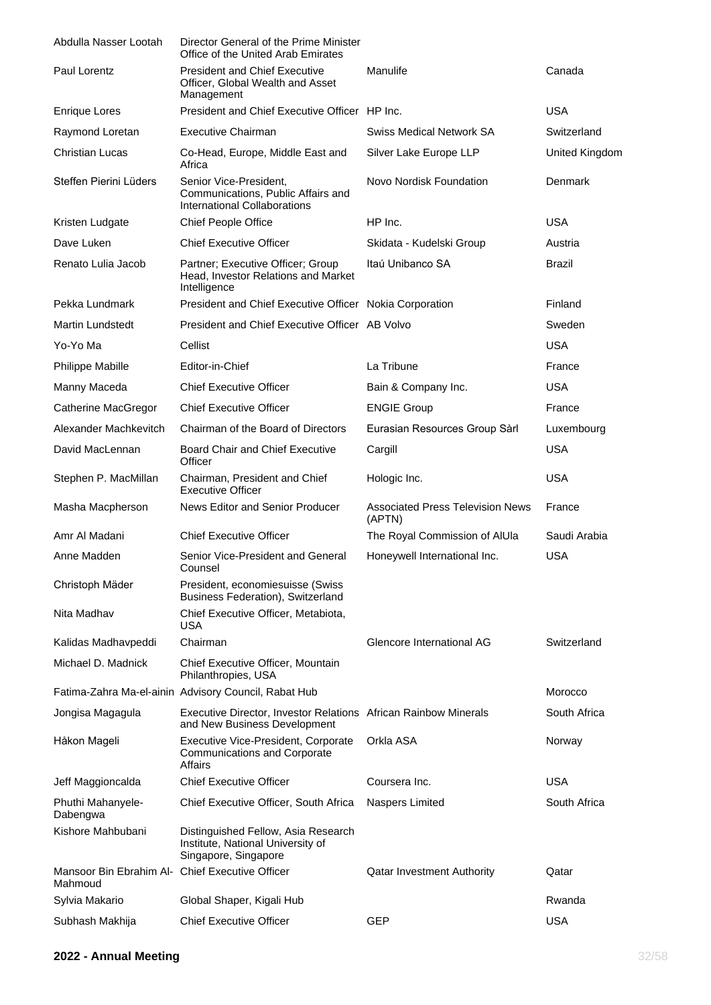| Abdulla Nasser Lootah                                      | Director General of the Prime Minister<br>Office of the United Arab Emirates                     |                                                   |                |
|------------------------------------------------------------|--------------------------------------------------------------------------------------------------|---------------------------------------------------|----------------|
| Paul Lorentz                                               | <b>President and Chief Executive</b><br>Officer, Global Wealth and Asset<br>Management           | Manulife                                          | Canada         |
| <b>Enrique Lores</b>                                       | President and Chief Executive Officer HP Inc.                                                    |                                                   | <b>USA</b>     |
| Raymond Loretan                                            | <b>Executive Chairman</b>                                                                        | <b>Swiss Medical Network SA</b>                   | Switzerland    |
| <b>Christian Lucas</b>                                     | Co-Head, Europe, Middle East and<br>Africa                                                       | Silver Lake Europe LLP                            | United Kingdom |
| Steffen Pierini Lüders                                     | Senior Vice-President,<br>Communications, Public Affairs and<br>International Collaborations     | Novo Nordisk Foundation                           | Denmark        |
| Kristen Ludgate                                            | Chief People Office                                                                              | HP Inc.                                           | <b>USA</b>     |
| Dave Luken                                                 | <b>Chief Executive Officer</b>                                                                   | Skidata - Kudelski Group                          | Austria        |
| Renato Lulia Jacob                                         | Partner; Executive Officer; Group<br>Head, Investor Relations and Market<br>Intelligence         | Itaú Unibanco SA                                  | Brazil         |
| Pekka Lundmark                                             | President and Chief Executive Officer Nokia Corporation                                          |                                                   | Finland        |
| <b>Martin Lundstedt</b>                                    | President and Chief Executive Officer AB Volvo                                                   |                                                   | Sweden         |
| Yo-Yo Ma                                                   | Cellist                                                                                          |                                                   | <b>USA</b>     |
| Philippe Mabille                                           | Editor-in-Chief                                                                                  | La Tribune                                        | France         |
| Manny Maceda                                               | <b>Chief Executive Officer</b>                                                                   | Bain & Company Inc.                               | <b>USA</b>     |
| Catherine MacGregor                                        | <b>Chief Executive Officer</b>                                                                   | <b>ENGIE Group</b>                                | France         |
| Alexander Machkevitch                                      | Chairman of the Board of Directors                                                               | Eurasian Resources Group Sàrl                     | Luxembourg     |
| David MacLennan                                            | <b>Board Chair and Chief Executive</b><br>Officer                                                | Cargill                                           | <b>USA</b>     |
| Stephen P. MacMillan                                       | Chairman, President and Chief<br><b>Executive Officer</b>                                        | Hologic Inc.                                      | <b>USA</b>     |
| Masha Macpherson                                           | News Editor and Senior Producer                                                                  | <b>Associated Press Television News</b><br>(APTN) | France         |
| Amr Al Madani                                              | <b>Chief Executive Officer</b>                                                                   | The Royal Commission of AIUIa                     | Saudi Arabia   |
| Anne Madden                                                | Senior Vice-President and General<br>Counsel                                                     | Honeywell International Inc.                      | <b>USA</b>     |
| Christoph Mäder                                            | President, economiesuisse (Swiss<br><b>Business Federation), Switzerland</b>                     |                                                   |                |
| Nita Madhav                                                | Chief Executive Officer, Metabiota,<br><b>USA</b>                                                |                                                   |                |
| Kalidas Madhavpeddi                                        | Chairman                                                                                         | Glencore International AG                         | Switzerland    |
| Michael D. Madnick                                         | Chief Executive Officer, Mountain<br>Philanthropies, USA                                         |                                                   |                |
|                                                            | Fatima-Zahra Ma-el-ainin Advisory Council, Rabat Hub                                             |                                                   | Morocco        |
| Jongisa Magagula                                           | Executive Director, Investor Relations African Rainbow Minerals<br>and New Business Development  |                                                   | South Africa   |
| Håkon Mageli                                               | Executive Vice-President, Corporate<br><b>Communications and Corporate</b><br><b>Affairs</b>     | Orkla ASA                                         | Norway         |
| Jeff Maggioncalda                                          | <b>Chief Executive Officer</b>                                                                   | Coursera Inc.                                     | USA            |
| Phuthi Mahanyele-<br>Dabengwa                              | Chief Executive Officer, South Africa                                                            | Naspers Limited                                   | South Africa   |
| Kishore Mahbubani                                          | Distinguished Fellow, Asia Research<br>Institute, National University of<br>Singapore, Singapore |                                                   |                |
| Mansoor Bin Ebrahim Al- Chief Executive Officer<br>Mahmoud |                                                                                                  | <b>Qatar Investment Authority</b>                 | Qatar          |
| Sylvia Makario                                             | Global Shaper, Kigali Hub                                                                        |                                                   | Rwanda         |
| Subhash Makhija                                            | <b>Chief Executive Officer</b>                                                                   | <b>GEP</b>                                        | <b>USA</b>     |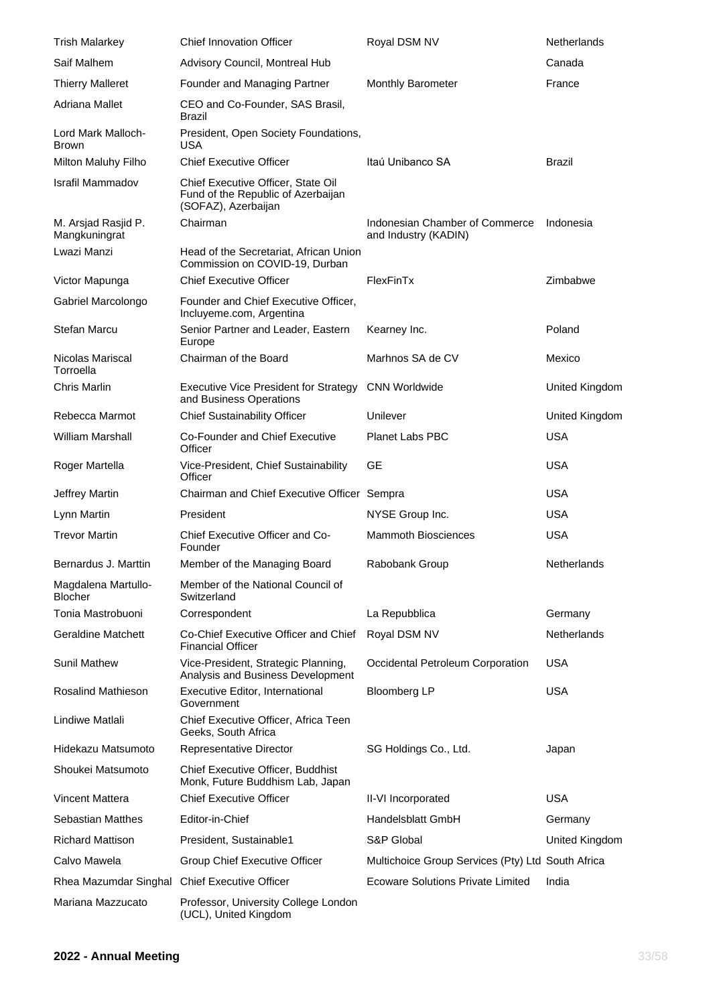| <b>Trish Malarkey</b>                 | <b>Chief Innovation Officer</b>                                                                 | Royal DSM NV                                           | Netherlands           |
|---------------------------------------|-------------------------------------------------------------------------------------------------|--------------------------------------------------------|-----------------------|
| Saif Malhem                           | Advisory Council, Montreal Hub                                                                  |                                                        | Canada                |
| <b>Thierry Malleret</b>               | Founder and Managing Partner                                                                    | <b>Monthly Barometer</b>                               | France                |
| Adriana Mallet                        | CEO and Co-Founder, SAS Brasil,<br>Brazil                                                       |                                                        |                       |
| Lord Mark Malloch-<br><b>Brown</b>    | President, Open Society Foundations,<br>USA                                                     |                                                        |                       |
| Milton Maluhy Filho                   | <b>Chief Executive Officer</b>                                                                  | Itaú Unibanco SA                                       | <b>Brazil</b>         |
| <b>Israfil Mammadov</b>               | Chief Executive Officer, State Oil<br>Fund of the Republic of Azerbaijan<br>(SOFAZ), Azerbaijan |                                                        |                       |
| M. Arsjad Rasjid P.<br>Mangkuningrat  | Chairman                                                                                        | Indonesian Chamber of Commerce<br>and Industry (KADIN) | Indonesia             |
| Lwazi Manzi                           | Head of the Secretariat, African Union<br>Commission on COVID-19, Durban                        |                                                        |                       |
| Victor Mapunga                        | <b>Chief Executive Officer</b>                                                                  | FlexFinTx                                              | Zimbabwe              |
| Gabriel Marcolongo                    | Founder and Chief Executive Officer,<br>Incluyeme.com, Argentina                                |                                                        |                       |
| Stefan Marcu                          | Senior Partner and Leader, Eastern<br>Europe                                                    | Kearney Inc.                                           | Poland                |
| Nicolas Mariscal<br>Torroella         | Chairman of the Board                                                                           | Marhnos SA de CV                                       | Mexico                |
| Chris Marlin                          | <b>Executive Vice President for Strategy</b><br>and Business Operations                         | <b>CNN Worldwide</b>                                   | United Kingdom        |
| Rebecca Marmot                        | <b>Chief Sustainability Officer</b>                                                             | Unilever                                               | United Kingdom        |
| <b>William Marshall</b>               | Co-Founder and Chief Executive<br>Officer                                                       | Planet Labs PBC                                        | <b>USA</b>            |
| Roger Martella                        | Vice-President, Chief Sustainability<br>Officer                                                 | <b>GE</b>                                              | <b>USA</b>            |
| Jeffrey Martin                        | Chairman and Chief Executive Officer Sempra                                                     |                                                        | <b>USA</b>            |
| Lynn Martin                           | President                                                                                       | NYSE Group Inc.                                        | <b>USA</b>            |
| <b>Trevor Martin</b>                  | Chief Executive Officer and Co-<br>Founder                                                      | <b>Mammoth Biosciences</b>                             | <b>USA</b>            |
| Bernardus J. Marttin                  | Member of the Managing Board                                                                    | Rabobank Group                                         | Netherlands           |
| Magdalena Martullo-<br><b>Blocher</b> | Member of the National Council of<br>Switzerland                                                |                                                        |                       |
| Tonia Mastrobuoni                     | Correspondent                                                                                   | La Repubblica                                          | Germany               |
| <b>Geraldine Matchett</b>             | Co-Chief Executive Officer and Chief<br><b>Financial Officer</b>                                | Royal DSM NV                                           | Netherlands           |
| <b>Sunil Mathew</b>                   | Vice-President, Strategic Planning,<br>Analysis and Business Development                        | Occidental Petroleum Corporation                       | <b>USA</b>            |
| Rosalind Mathieson                    | Executive Editor, International<br>Government                                                   | <b>Bloomberg LP</b>                                    | <b>USA</b>            |
| Lindiwe Matlali                       | Chief Executive Officer, Africa Teen<br>Geeks, South Africa                                     |                                                        |                       |
| Hidekazu Matsumoto                    | Representative Director                                                                         | SG Holdings Co., Ltd.                                  | Japan                 |
| Shoukei Matsumoto                     | Chief Executive Officer, Buddhist<br>Monk, Future Buddhism Lab, Japan                           |                                                        |                       |
| <b>Vincent Mattera</b>                | <b>Chief Executive Officer</b>                                                                  | II-VI Incorporated                                     | <b>USA</b>            |
| Sebastian Matthes                     | Editor-in-Chief                                                                                 | Handelsblatt GmbH                                      | Germany               |
| <b>Richard Mattison</b>               | President, Sustainable1                                                                         | S&P Global                                             | <b>United Kingdom</b> |
| Calvo Mawela                          | Group Chief Executive Officer                                                                   | Multichoice Group Services (Pty) Ltd South Africa      |                       |
| Rhea Mazumdar Singhal                 | <b>Chief Executive Officer</b>                                                                  | Ecoware Solutions Private Limited                      | India                 |
| Mariana Mazzucato                     | Professor, University College London<br>(UCL), United Kingdom                                   |                                                        |                       |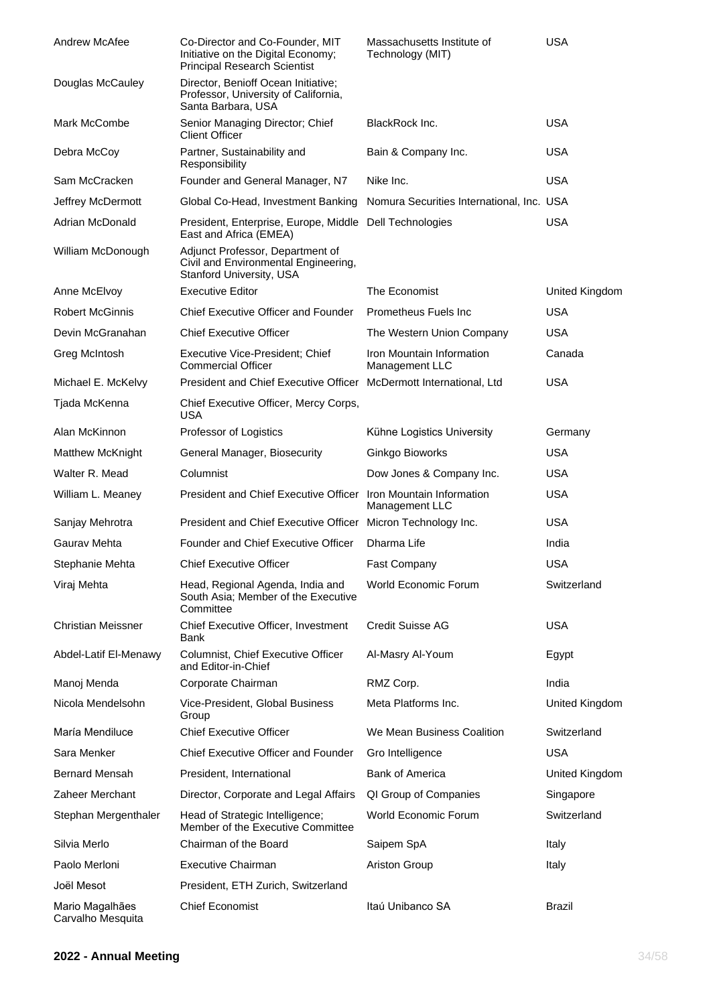| Andrew McAfee                        | Co-Director and Co-Founder, MIT<br>Initiative on the Digital Economy;<br><b>Principal Research Scientist</b> | Massachusetts Institute of<br>Technology (MIT) | <b>USA</b>            |
|--------------------------------------|--------------------------------------------------------------------------------------------------------------|------------------------------------------------|-----------------------|
| Douglas McCauley                     | Director, Benioff Ocean Initiative;<br>Professor, University of California,<br>Santa Barbara, USA            |                                                |                       |
| Mark McCombe                         | Senior Managing Director; Chief<br><b>Client Officer</b>                                                     | BlackRock Inc.                                 | <b>USA</b>            |
| Debra McCoy                          | Partner, Sustainability and<br>Responsibility                                                                | Bain & Company Inc.                            | <b>USA</b>            |
| Sam McCracken                        | Founder and General Manager, N7                                                                              | Nike Inc.                                      | <b>USA</b>            |
| Jeffrey McDermott                    | Global Co-Head, Investment Banking                                                                           | Nomura Securities International, Inc. USA      |                       |
| Adrian McDonald                      | President, Enterprise, Europe, Middle Dell Technologies<br>East and Africa (EMEA)                            |                                                | <b>USA</b>            |
| William McDonough                    | Adjunct Professor, Department of<br>Civil and Environmental Engineering,<br>Stanford University, USA         |                                                |                       |
| Anne McElvoy                         | <b>Executive Editor</b>                                                                                      | The Economist                                  | <b>United Kingdom</b> |
| <b>Robert McGinnis</b>               | Chief Executive Officer and Founder                                                                          | Prometheus Fuels Inc                           | <b>USA</b>            |
| Devin McGranahan                     | <b>Chief Executive Officer</b>                                                                               | The Western Union Company                      | <b>USA</b>            |
| Greg McIntosh                        | Executive Vice-President; Chief<br><b>Commercial Officer</b>                                                 | Iron Mountain Information<br>Management LLC    | Canada                |
| Michael E. McKelvy                   | President and Chief Executive Officer McDermott International, Ltd                                           |                                                | <b>USA</b>            |
| Tjada McKenna                        | Chief Executive Officer, Mercy Corps,<br><b>USA</b>                                                          |                                                |                       |
| Alan McKinnon                        | Professor of Logistics                                                                                       | Kühne Logistics University                     | Germany               |
| <b>Matthew McKnight</b>              | General Manager, Biosecurity                                                                                 | Ginkgo Bioworks                                | <b>USA</b>            |
| Walter R. Mead                       | Columnist                                                                                                    | Dow Jones & Company Inc.                       | <b>USA</b>            |
| William L. Meaney                    | President and Chief Executive Officer Iron Mountain Information                                              | Management LLC                                 | <b>USA</b>            |
| Sanjay Mehrotra                      | President and Chief Executive Officer Micron Technology Inc.                                                 |                                                | <b>USA</b>            |
| Gaurav Mehta                         | <b>Founder and Chief Executive Officer</b>                                                                   | Dharma Life                                    | India                 |
| Stephanie Mehta                      | <b>Chief Executive Officer</b>                                                                               | <b>Fast Company</b>                            | <b>USA</b>            |
| Viraj Mehta                          | Head, Regional Agenda, India and<br>South Asia; Member of the Executive<br>Committee                         | World Economic Forum                           | Switzerland           |
| <b>Christian Meissner</b>            | Chief Executive Officer, Investment<br>Bank                                                                  | <b>Credit Suisse AG</b>                        | <b>USA</b>            |
| Abdel-Latif El-Menawy                | Columnist, Chief Executive Officer<br>and Editor-in-Chief                                                    | Al-Masry Al-Youm                               | Egypt                 |
| Manoj Menda                          | Corporate Chairman                                                                                           | RMZ Corp.                                      | India                 |
| Nicola Mendelsohn                    | Vice-President, Global Business<br>Group                                                                     | Meta Platforms Inc.                            | <b>United Kingdom</b> |
| María Mendiluce                      | <b>Chief Executive Officer</b>                                                                               | We Mean Business Coalition                     | Switzerland           |
| Sara Menker                          | <b>Chief Executive Officer and Founder</b>                                                                   | Gro Intelligence                               | <b>USA</b>            |
| <b>Bernard Mensah</b>                | President, International                                                                                     | <b>Bank of America</b>                         | United Kingdom        |
| Zaheer Merchant                      | Director, Corporate and Legal Affairs                                                                        | QI Group of Companies                          | Singapore             |
| Stephan Mergenthaler                 | Head of Strategic Intelligence;<br>Member of the Executive Committee                                         | World Economic Forum                           | Switzerland           |
| Silvia Merlo                         | Chairman of the Board                                                                                        | Saipem SpA                                     | Italy                 |
| Paolo Merloni                        | <b>Executive Chairman</b>                                                                                    | <b>Ariston Group</b>                           | Italy                 |
| Joël Mesot                           | President, ETH Zurich, Switzerland                                                                           |                                                |                       |
| Mario Magalhães<br>Carvalho Mesquita | <b>Chief Economist</b>                                                                                       | Itaú Unibanco SA                               | <b>Brazil</b>         |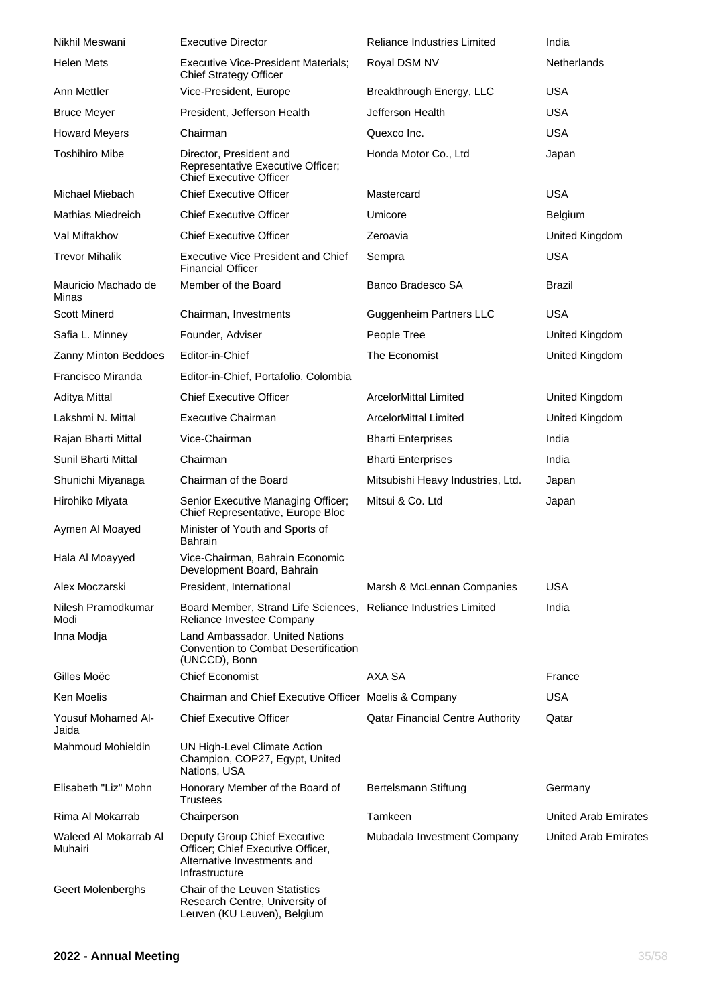| Nikhil Meswani                   | <b>Executive Director</b>                                                                                          | <b>Reliance Industries Limited</b>      | India                |
|----------------------------------|--------------------------------------------------------------------------------------------------------------------|-----------------------------------------|----------------------|
| <b>Helen Mets</b>                | Executive Vice-President Materials;<br><b>Chief Strategy Officer</b>                                               | Royal DSM NV                            | <b>Netherlands</b>   |
| Ann Mettler                      | Vice-President, Europe                                                                                             | Breakthrough Energy, LLC                | <b>USA</b>           |
| <b>Bruce Meyer</b>               | President, Jefferson Health                                                                                        | Jefferson Health                        | <b>USA</b>           |
| <b>Howard Meyers</b>             | Chairman                                                                                                           | Quexco Inc.                             | <b>USA</b>           |
| <b>Toshihiro Mibe</b>            | Director, President and<br>Representative Executive Officer;<br><b>Chief Executive Officer</b>                     | Honda Motor Co., Ltd                    | Japan                |
| Michael Miebach                  | <b>Chief Executive Officer</b>                                                                                     | Mastercard                              | <b>USA</b>           |
| Mathias Miedreich                | <b>Chief Executive Officer</b>                                                                                     | Umicore                                 | Belgium              |
| Val Miftakhov                    | <b>Chief Executive Officer</b>                                                                                     | Zeroavia                                | United Kingdom       |
| <b>Trevor Mihalik</b>            | <b>Executive Vice President and Chief</b><br><b>Financial Officer</b>                                              | Sempra                                  | <b>USA</b>           |
| Mauricio Machado de<br>Minas     | Member of the Board                                                                                                | Banco Bradesco SA                       | <b>Brazil</b>        |
| <b>Scott Minerd</b>              | Chairman, Investments                                                                                              | <b>Guggenheim Partners LLC</b>          | <b>USA</b>           |
| Safia L. Minney                  | Founder, Adviser                                                                                                   | People Tree                             | United Kingdom       |
| Zanny Minton Beddoes             | Editor-in-Chief                                                                                                    | The Economist                           | United Kingdom       |
| Francisco Miranda                | Editor-in-Chief, Portafolio, Colombia                                                                              |                                         |                      |
| Aditya Mittal                    | <b>Chief Executive Officer</b>                                                                                     | <b>ArcelorMittal Limited</b>            | United Kingdom       |
| Lakshmi N. Mittal                | <b>Executive Chairman</b>                                                                                          | <b>ArcelorMittal Limited</b>            | United Kingdom       |
| Rajan Bharti Mittal              | Vice-Chairman                                                                                                      | <b>Bharti Enterprises</b>               | India                |
| Sunil Bharti Mittal              | Chairman                                                                                                           | <b>Bharti Enterprises</b>               | India                |
| Shunichi Miyanaga                | Chairman of the Board                                                                                              | Mitsubishi Heavy Industries, Ltd.       | Japan                |
| Hirohiko Miyata                  | Senior Executive Managing Officer;<br>Chief Representative, Europe Bloc                                            | Mitsui & Co. Ltd                        | Japan                |
| Aymen Al Moayed                  | Minister of Youth and Sports of<br>Bahrain                                                                         |                                         |                      |
| Hala Al Moayyed                  | Vice-Chairman, Bahrain Economic<br>Development Board, Bahrain                                                      |                                         |                      |
| Alex Moczarski                   | President, International                                                                                           | Marsh & McLennan Companies              | USA                  |
| Nilesh Pramodkumar<br>Modi       | Board Member, Strand Life Sciences, Reliance Industries Limited<br>Reliance Investee Company                       |                                         | India                |
| Inna Modja                       | Land Ambassador, United Nations<br>Convention to Combat Desertification<br>(UNCCD), Bonn                           |                                         |                      |
| Gilles Moëc                      | <b>Chief Economist</b>                                                                                             | AXA SA                                  | France               |
| Ken Moelis                       | Chairman and Chief Executive Officer Moelis & Company                                                              |                                         | USA                  |
| Yousuf Mohamed Al-<br>Jaida      | <b>Chief Executive Officer</b>                                                                                     | <b>Qatar Financial Centre Authority</b> | Qatar                |
| <b>Mahmoud Mohieldin</b>         | UN High-Level Climate Action<br>Champion, COP27, Egypt, United<br>Nations, USA                                     |                                         |                      |
| Elisabeth "Liz" Mohn             | Honorary Member of the Board of<br>Trustees                                                                        | Bertelsmann Stiftung                    | Germany              |
| Rima Al Mokarrab                 | Chairperson                                                                                                        | Tamkeen                                 | United Arab Emirates |
| Waleed Al Mokarrab Al<br>Muhairi | Deputy Group Chief Executive<br>Officer; Chief Executive Officer,<br>Alternative Investments and<br>Infrastructure | Mubadala Investment Company             | United Arab Emirates |
| Geert Molenberghs                | Chair of the Leuven Statistics<br>Research Centre, University of<br>Leuven (KU Leuven), Belgium                    |                                         |                      |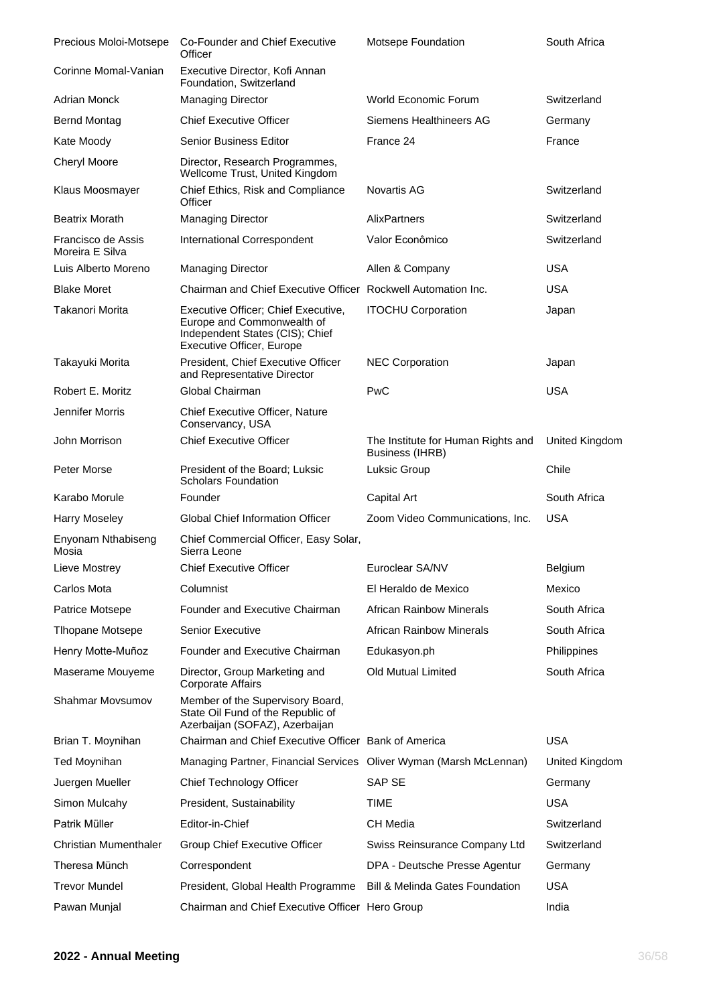| Precious Moloi-Motsepe                | Co-Founder and Chief Executive<br>Officer                                                                                                | Motsepe Foundation                                           | South Africa   |
|---------------------------------------|------------------------------------------------------------------------------------------------------------------------------------------|--------------------------------------------------------------|----------------|
| Corinne Momal-Vanian                  | Executive Director, Kofi Annan<br>Foundation, Switzerland                                                                                |                                                              |                |
| <b>Adrian Monck</b>                   | <b>Managing Director</b>                                                                                                                 | World Economic Forum                                         | Switzerland    |
| <b>Bernd Montag</b>                   | <b>Chief Executive Officer</b>                                                                                                           | Siemens Healthineers AG                                      | Germany        |
| Kate Moody                            | <b>Senior Business Editor</b>                                                                                                            | France 24                                                    | France         |
| <b>Cheryl Moore</b>                   | Director, Research Programmes,<br>Wellcome Trust, United Kingdom                                                                         |                                                              |                |
| Klaus Moosmayer                       | Chief Ethics, Risk and Compliance<br>Officer                                                                                             | Novartis AG                                                  | Switzerland    |
| <b>Beatrix Morath</b>                 | <b>Managing Director</b>                                                                                                                 | AlixPartners                                                 | Switzerland    |
| Francisco de Assis<br>Moreira E Silva | International Correspondent                                                                                                              | Valor Econômico                                              | Switzerland    |
| Luis Alberto Moreno                   | <b>Managing Director</b>                                                                                                                 | Allen & Company                                              | <b>USA</b>     |
| <b>Blake Moret</b>                    | Chairman and Chief Executive Officer Rockwell Automation Inc.                                                                            |                                                              | <b>USA</b>     |
| Takanori Morita                       | Executive Officer; Chief Executive,<br>Europe and Commonwealth of<br>Independent States (CIS); Chief<br><b>Executive Officer, Europe</b> | <b>ITOCHU Corporation</b>                                    | Japan          |
| Takayuki Morita                       | President, Chief Executive Officer<br>and Representative Director                                                                        | <b>NEC Corporation</b>                                       | Japan          |
| Robert E. Moritz                      | Global Chairman                                                                                                                          | PwC                                                          | <b>USA</b>     |
| Jennifer Morris                       | Chief Executive Officer, Nature<br>Conservancy, USA                                                                                      |                                                              |                |
| John Morrison                         | <b>Chief Executive Officer</b>                                                                                                           | The Institute for Human Rights and<br><b>Business (IHRB)</b> | United Kingdom |
| Peter Morse                           | President of the Board; Luksic<br><b>Scholars Foundation</b>                                                                             | Luksic Group                                                 | Chile          |
| Karabo Morule                         | Founder                                                                                                                                  | Capital Art                                                  | South Africa   |
| <b>Harry Moseley</b>                  | Global Chief Information Officer                                                                                                         | Zoom Video Communications, Inc.                              | <b>USA</b>     |
| Enyonam Nthabiseng<br>Mosia           | Chief Commercial Officer, Easy Solar,<br>Sierra Leone                                                                                    |                                                              |                |
| Lieve Mostrey                         | <b>Chief Executive Officer</b>                                                                                                           | Euroclear SA/NV                                              | Belgium        |
| Carlos Mota                           | Columnist                                                                                                                                | El Heraldo de Mexico                                         | Mexico         |
| Patrice Motsepe                       | Founder and Executive Chairman                                                                                                           | <b>African Rainbow Minerals</b>                              | South Africa   |
| <b>Tlhopane Motsepe</b>               | <b>Senior Executive</b>                                                                                                                  | <b>African Rainbow Minerals</b>                              | South Africa   |
| Henry Motte-Muñoz                     | Founder and Executive Chairman                                                                                                           | Edukasyon.ph                                                 | Philippines    |
| Maserame Mouyeme                      | Director, Group Marketing and<br><b>Corporate Affairs</b>                                                                                | Old Mutual Limited                                           | South Africa   |
| <b>Shahmar Movsumov</b>               | Member of the Supervisory Board,<br>State Oil Fund of the Republic of<br>Azerbaijan (SOFAZ), Azerbaijan                                  |                                                              |                |
| Brian T. Moynihan                     | Chairman and Chief Executive Officer Bank of America                                                                                     |                                                              | <b>USA</b>     |
| Ted Moynihan                          | Managing Partner, Financial Services Oliver Wyman (Marsh McLennan)                                                                       |                                                              | United Kingdom |
| Juergen Mueller                       | Chief Technology Officer                                                                                                                 | SAP SE                                                       | Germany        |
| Simon Mulcahy                         | President, Sustainability                                                                                                                | <b>TIME</b>                                                  | <b>USA</b>     |
| Patrik Müller                         | Editor-in-Chief                                                                                                                          | <b>CH Media</b>                                              | Switzerland    |
| <b>Christian Mumenthaler</b>          | Group Chief Executive Officer                                                                                                            | Swiss Reinsurance Company Ltd                                | Switzerland    |
| Theresa Münch                         | Correspondent                                                                                                                            | DPA - Deutsche Presse Agentur                                | Germany        |
| <b>Trevor Mundel</b>                  | President, Global Health Programme                                                                                                       | Bill & Melinda Gates Foundation                              | <b>USA</b>     |
| Pawan Munjal                          | Chairman and Chief Executive Officer Hero Group                                                                                          |                                                              | India          |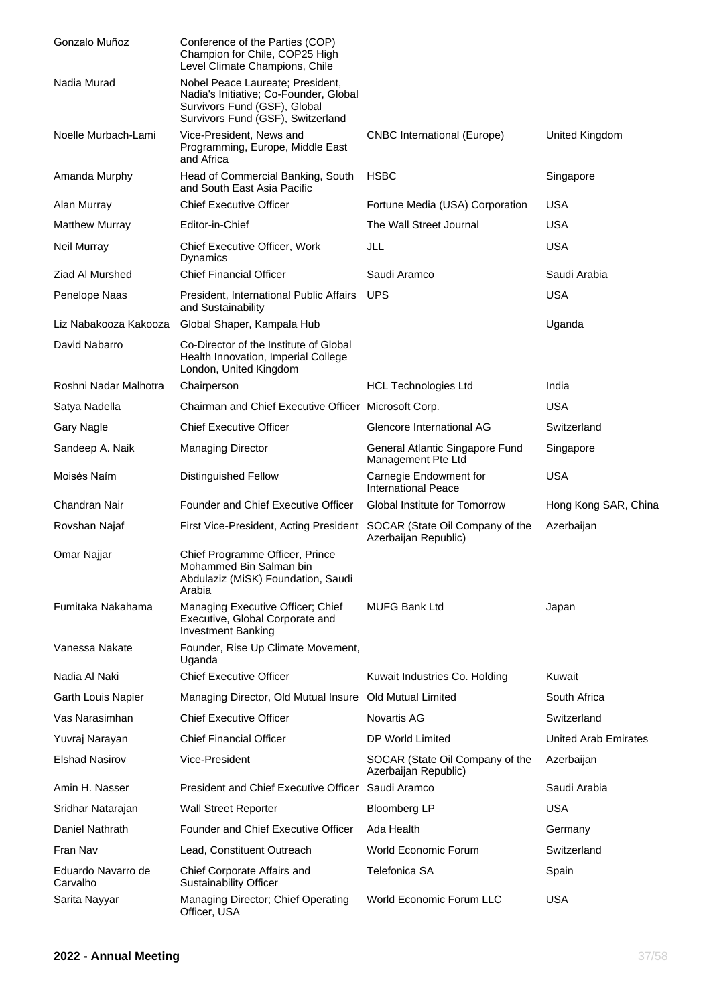| Gonzalo Muñoz                  | Conference of the Parties (COP)<br>Champion for Chile, COP25 High<br>Level Climate Champions, Chile                                             |                                                         |                      |
|--------------------------------|-------------------------------------------------------------------------------------------------------------------------------------------------|---------------------------------------------------------|----------------------|
| Nadia Murad                    | Nobel Peace Laureate; President,<br>Nadia's Initiative; Co-Founder, Global<br>Survivors Fund (GSF), Global<br>Survivors Fund (GSF), Switzerland |                                                         |                      |
| Noelle Murbach-Lami            | Vice-President, News and<br>Programming, Europe, Middle East<br>and Africa                                                                      | <b>CNBC</b> International (Europe)                      | United Kingdom       |
| Amanda Murphy                  | Head of Commercial Banking, South<br>and South East Asia Pacific                                                                                | <b>HSBC</b>                                             | Singapore            |
| Alan Murray                    | <b>Chief Executive Officer</b>                                                                                                                  | Fortune Media (USA) Corporation                         | <b>USA</b>           |
| <b>Matthew Murray</b>          | Editor-in-Chief                                                                                                                                 | The Wall Street Journal                                 | <b>USA</b>           |
| Neil Murray                    | Chief Executive Officer, Work<br>Dynamics                                                                                                       | JLL                                                     | <b>USA</b>           |
| Ziad Al Murshed                | <b>Chief Financial Officer</b>                                                                                                                  | Saudi Aramco                                            | Saudi Arabia         |
| Penelope Naas                  | President, International Public Affairs<br>and Sustainability                                                                                   | <b>UPS</b>                                              | <b>USA</b>           |
| Liz Nabakooza Kakooza          | Global Shaper, Kampala Hub                                                                                                                      |                                                         | Uganda               |
| David Nabarro                  | Co-Director of the Institute of Global<br>Health Innovation, Imperial College<br>London, United Kingdom                                         |                                                         |                      |
| Roshni Nadar Malhotra          | Chairperson                                                                                                                                     | <b>HCL Technologies Ltd</b>                             | India                |
| Satya Nadella                  | Chairman and Chief Executive Officer Microsoft Corp.                                                                                            |                                                         | <b>USA</b>           |
| <b>Gary Nagle</b>              | <b>Chief Executive Officer</b>                                                                                                                  | Glencore International AG                               | Switzerland          |
| Sandeep A. Naik                | <b>Managing Director</b>                                                                                                                        | General Atlantic Singapore Fund<br>Management Pte Ltd   | Singapore            |
| Moisés Naím                    | <b>Distinguished Fellow</b>                                                                                                                     | Carnegie Endowment for<br><b>International Peace</b>    | <b>USA</b>           |
| Chandran Nair                  | Founder and Chief Executive Officer                                                                                                             | Global Institute for Tomorrow                           | Hong Kong SAR, China |
| Rovshan Najaf                  | First Vice-President, Acting President SOCAR (State Oil Company of the                                                                          | Azerbaijan Republic)                                    | Azerbaijan           |
| Omar Najjar                    | Chief Programme Officer, Prince<br>Mohammed Bin Salman bin<br>Abdulaziz (MiSK) Foundation, Saudi<br>Arabia                                      |                                                         |                      |
| Fumitaka Nakahama              | Managing Executive Officer; Chief<br>Executive, Global Corporate and<br><b>Investment Banking</b>                                               | <b>MUFG Bank Ltd</b>                                    | Japan                |
| Vanessa Nakate                 | Founder, Rise Up Climate Movement,<br>Uganda                                                                                                    |                                                         |                      |
| Nadia Al Naki                  | <b>Chief Executive Officer</b>                                                                                                                  | Kuwait Industries Co. Holding                           | Kuwait               |
| Garth Louis Napier             | Managing Director, Old Mutual Insure Old Mutual Limited                                                                                         |                                                         | South Africa         |
| Vas Narasimhan                 | <b>Chief Executive Officer</b>                                                                                                                  | <b>Novartis AG</b>                                      | Switzerland          |
| Yuvraj Narayan                 | <b>Chief Financial Officer</b>                                                                                                                  | DP World Limited                                        | United Arab Emirates |
| <b>Elshad Nasirov</b>          | Vice-President                                                                                                                                  | SOCAR (State Oil Company of the<br>Azerbaijan Republic) | Azerbaijan           |
| Amin H. Nasser                 | <b>President and Chief Executive Officer</b>                                                                                                    | Saudi Aramco                                            | Saudi Arabia         |
| Sridhar Natarajan              | <b>Wall Street Reporter</b>                                                                                                                     | <b>Bloomberg LP</b>                                     | <b>USA</b>           |
| Daniel Nathrath                | Founder and Chief Executive Officer                                                                                                             | Ada Health                                              | Germany              |
| Fran Nav                       | Lead, Constituent Outreach                                                                                                                      | World Economic Forum                                    | Switzerland          |
| Eduardo Navarro de<br>Carvalho | Chief Corporate Affairs and<br><b>Sustainability Officer</b>                                                                                    | Telefonica SA                                           | Spain                |
| Sarita Nayyar                  | Managing Director; Chief Operating<br>Officer, USA                                                                                              | <b>World Economic Forum LLC</b>                         | <b>USA</b>           |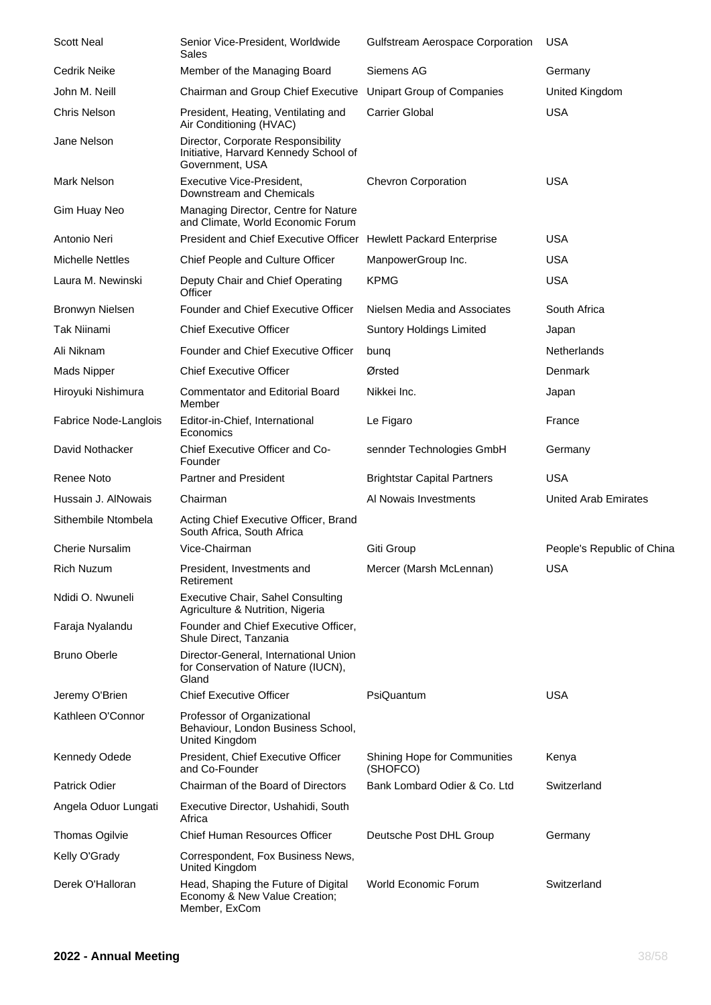| <b>Scott Neal</b>       | Senior Vice-President, Worldwide<br>Sales                                                      | <b>Gulfstream Aerospace Corporation</b>         | <b>USA</b>                 |
|-------------------------|------------------------------------------------------------------------------------------------|-------------------------------------------------|----------------------------|
| Cedrik Neike            | Member of the Managing Board                                                                   | Siemens AG                                      | Germany                    |
| John M. Neill           | Chairman and Group Chief Executive                                                             | Unipart Group of Companies                      | United Kingdom             |
| <b>Chris Nelson</b>     | President, Heating, Ventilating and<br>Air Conditioning (HVAC)                                 | <b>Carrier Global</b>                           | <b>USA</b>                 |
| Jane Nelson             | Director, Corporate Responsibility<br>Initiative, Harvard Kennedy School of<br>Government, USA |                                                 |                            |
| Mark Nelson             | Executive Vice-President,<br>Downstream and Chemicals                                          | <b>Chevron Corporation</b>                      | <b>USA</b>                 |
| Gim Huay Neo            | Managing Director, Centre for Nature<br>and Climate, World Economic Forum                      |                                                 |                            |
| Antonio Neri            | President and Chief Executive Officer Hewlett Packard Enterprise                               |                                                 | <b>USA</b>                 |
| <b>Michelle Nettles</b> | Chief People and Culture Officer                                                               | ManpowerGroup Inc.                              | <b>USA</b>                 |
| Laura M. Newinski       | Deputy Chair and Chief Operating<br>Officer                                                    | <b>KPMG</b>                                     | <b>USA</b>                 |
| Bronwyn Nielsen         | Founder and Chief Executive Officer                                                            | Nielsen Media and Associates                    | South Africa               |
| Tak Niinami             | <b>Chief Executive Officer</b>                                                                 | <b>Suntory Holdings Limited</b>                 | Japan                      |
| Ali Niknam              | Founder and Chief Executive Officer                                                            | bung                                            | <b>Netherlands</b>         |
| <b>Mads Nipper</b>      | <b>Chief Executive Officer</b>                                                                 | Ørsted                                          | Denmark                    |
| Hiroyuki Nishimura      | <b>Commentator and Editorial Board</b><br>Member                                               | Nikkei Inc.                                     | Japan                      |
| Fabrice Node-Langlois   | Editor-in-Chief, International<br>Economics                                                    | Le Figaro                                       | France                     |
| David Nothacker         | Chief Executive Officer and Co-<br>Founder                                                     | sennder Technologies GmbH                       | Germany                    |
| Renee Noto              | Partner and President                                                                          | <b>Brightstar Capital Partners</b>              | <b>USA</b>                 |
| Hussain J. AlNowais     | Chairman                                                                                       | Al Nowais Investments                           | United Arab Emirates       |
| Sithembile Ntombela     | Acting Chief Executive Officer, Brand<br>South Africa, South Africa                            |                                                 |                            |
| <b>Cherie Nursalim</b>  | Vice-Chairman                                                                                  | Giti Group                                      | People's Republic of China |
| <b>Rich Nuzum</b>       | President, Investments and<br>Retirement                                                       | Mercer (Marsh McLennan)                         | <b>USA</b>                 |
| Ndidi O. Nwuneli        | <b>Executive Chair, Sahel Consulting</b><br>Agriculture & Nutrition, Nigeria                   |                                                 |                            |
| Faraja Nyalandu         | Founder and Chief Executive Officer,<br>Shule Direct, Tanzania                                 |                                                 |                            |
| <b>Bruno Oberle</b>     | Director-General, International Union<br>for Conservation of Nature (IUCN),<br>Gland           |                                                 |                            |
| Jeremy O'Brien          | <b>Chief Executive Officer</b>                                                                 | PsiQuantum                                      | <b>USA</b>                 |
| Kathleen O'Connor       | Professor of Organizational<br>Behaviour, London Business School,<br>United Kingdom            |                                                 |                            |
| Kennedy Odede           | President, Chief Executive Officer<br>and Co-Founder                                           | <b>Shining Hope for Communities</b><br>(SHOFCO) | Kenya                      |
| Patrick Odier           | Chairman of the Board of Directors                                                             | Bank Lombard Odier & Co. Ltd                    | Switzerland                |
| Angela Oduor Lungati    | Executive Director, Ushahidi, South<br>Africa                                                  |                                                 |                            |
| <b>Thomas Ogilvie</b>   | <b>Chief Human Resources Officer</b>                                                           | Deutsche Post DHL Group                         | Germany                    |
| Kelly O'Grady           | Correspondent, Fox Business News,<br>United Kingdom                                            |                                                 |                            |
| Derek O'Halloran        | Head, Shaping the Future of Digital<br>Economy & New Value Creation;<br>Member, ExCom          | <b>World Economic Forum</b>                     | Switzerland                |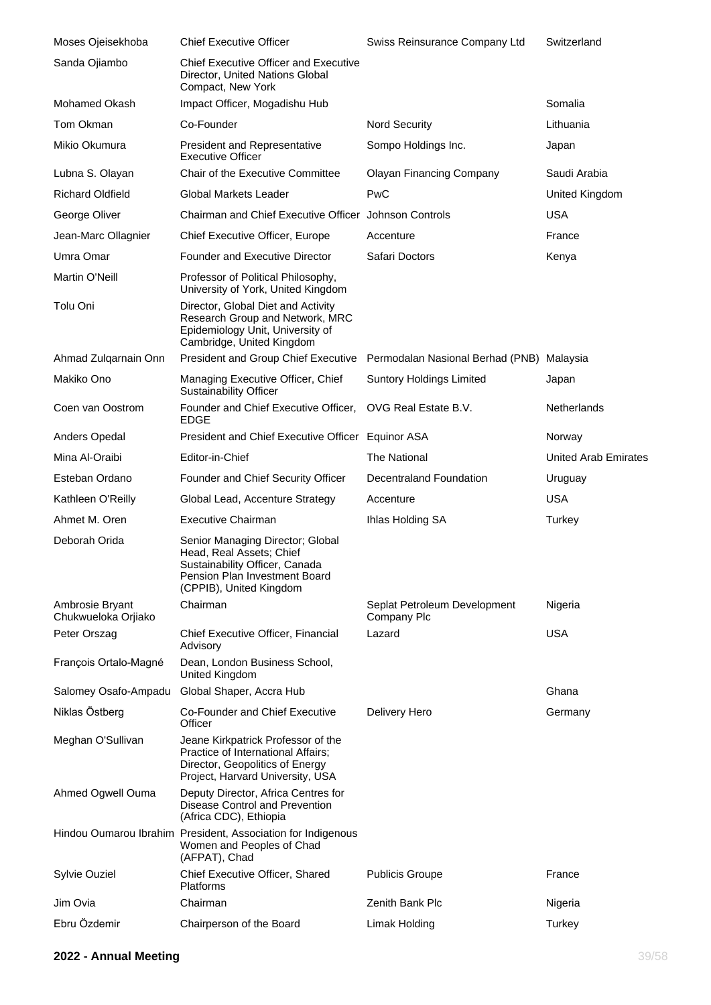| Moses Ojeisekhoba                      | <b>Chief Executive Officer</b>                                                                                                                             | Swiss Reinsurance Company Ltd               | Switzerland                 |
|----------------------------------------|------------------------------------------------------------------------------------------------------------------------------------------------------------|---------------------------------------------|-----------------------------|
| Sanda Ojiambo                          | <b>Chief Executive Officer and Executive</b><br>Director, United Nations Global<br>Compact, New York                                                       |                                             |                             |
| Mohamed Okash                          | Impact Officer, Mogadishu Hub                                                                                                                              |                                             | Somalia                     |
| Tom Okman                              | Co-Founder                                                                                                                                                 | <b>Nord Security</b>                        | Lithuania                   |
| Mikio Okumura                          | <b>President and Representative</b><br><b>Executive Officer</b>                                                                                            | Sompo Holdings Inc.                         | Japan                       |
| Lubna S. Olayan                        | <b>Chair of the Executive Committee</b>                                                                                                                    | <b>Olayan Financing Company</b>             | Saudi Arabia                |
| <b>Richard Oldfield</b>                | <b>Global Markets Leader</b>                                                                                                                               | PwC                                         | United Kingdom              |
| George Oliver                          | Chairman and Chief Executive Officer Johnson Controls                                                                                                      |                                             | <b>USA</b>                  |
| Jean-Marc Ollagnier                    | Chief Executive Officer, Europe                                                                                                                            | Accenture                                   | France                      |
| Umra Omar                              | <b>Founder and Executive Director</b>                                                                                                                      | Safari Doctors                              | Kenya                       |
| Martin O'Neill                         | Professor of Political Philosophy,<br>University of York, United Kingdom                                                                                   |                                             |                             |
| Tolu Oni                               | Director, Global Diet and Activity<br>Research Group and Network, MRC<br>Epidemiology Unit, University of<br>Cambridge, United Kingdom                     |                                             |                             |
| Ahmad Zulqarnain Onn                   | President and Group Chief Executive Permodalan Nasional Berhad (PNB) Malaysia                                                                              |                                             |                             |
| Makiko Ono                             | Managing Executive Officer, Chief<br><b>Sustainability Officer</b>                                                                                         | <b>Suntory Holdings Limited</b>             | Japan                       |
| Coen van Oostrom                       | Founder and Chief Executive Officer,<br><b>EDGE</b>                                                                                                        | OVG Real Estate B.V.                        | Netherlands                 |
| Anders Opedal                          | President and Chief Executive Officer Equinor ASA                                                                                                          |                                             | Norway                      |
| Mina Al-Oraibi                         | Editor-in-Chief                                                                                                                                            | The National                                | <b>United Arab Emirates</b> |
| Esteban Ordano                         | Founder and Chief Security Officer                                                                                                                         | Decentraland Foundation                     | Uruguay                     |
| Kathleen O'Reilly                      | Global Lead, Accenture Strategy                                                                                                                            | Accenture                                   | <b>USA</b>                  |
| Ahmet M. Oren                          | <b>Executive Chairman</b>                                                                                                                                  | Ihlas Holding SA                            | Turkey                      |
| Deborah Orida                          | Senior Managing Director; Global<br>Head, Real Assets; Chief<br>Sustainability Officer, Canada<br>Pension Plan Investment Board<br>(CPPIB), United Kingdom |                                             |                             |
| Ambrosie Bryant<br>Chukwueloka Orjiako | Chairman                                                                                                                                                   | Seplat Petroleum Development<br>Company Plc | Nigeria                     |
| Peter Orszag                           | Chief Executive Officer, Financial<br>Advisory                                                                                                             | Lazard                                      | USA                         |
| François Ortalo-Magné                  | Dean, London Business School,<br>United Kingdom                                                                                                            |                                             |                             |
| Salomey Osafo-Ampadu                   | Global Shaper, Accra Hub                                                                                                                                   |                                             | Ghana                       |
| Niklas Östberg                         | Co-Founder and Chief Executive<br>Officer                                                                                                                  | Delivery Hero                               | Germany                     |
| Meghan O'Sullivan                      | Jeane Kirkpatrick Professor of the<br>Practice of International Affairs;<br>Director, Geopolitics of Energy<br>Project, Harvard University, USA            |                                             |                             |
| Ahmed Ogwell Ouma                      | Deputy Director, Africa Centres for<br>Disease Control and Prevention<br>(Africa CDC), Ethiopia                                                            |                                             |                             |
|                                        | Hindou Oumarou Ibrahim President, Association for Indigenous<br>Women and Peoples of Chad<br>(AFPAT), Chad                                                 |                                             |                             |
| Sylvie Ouziel                          | Chief Executive Officer, Shared<br>Platforms                                                                                                               | <b>Publicis Groupe</b>                      | France                      |
| Jim Ovia                               | Chairman                                                                                                                                                   | Zenith Bank Plc                             | Nigeria                     |
| Ebru Özdemir                           | Chairperson of the Board                                                                                                                                   | Limak Holding                               | Turkey                      |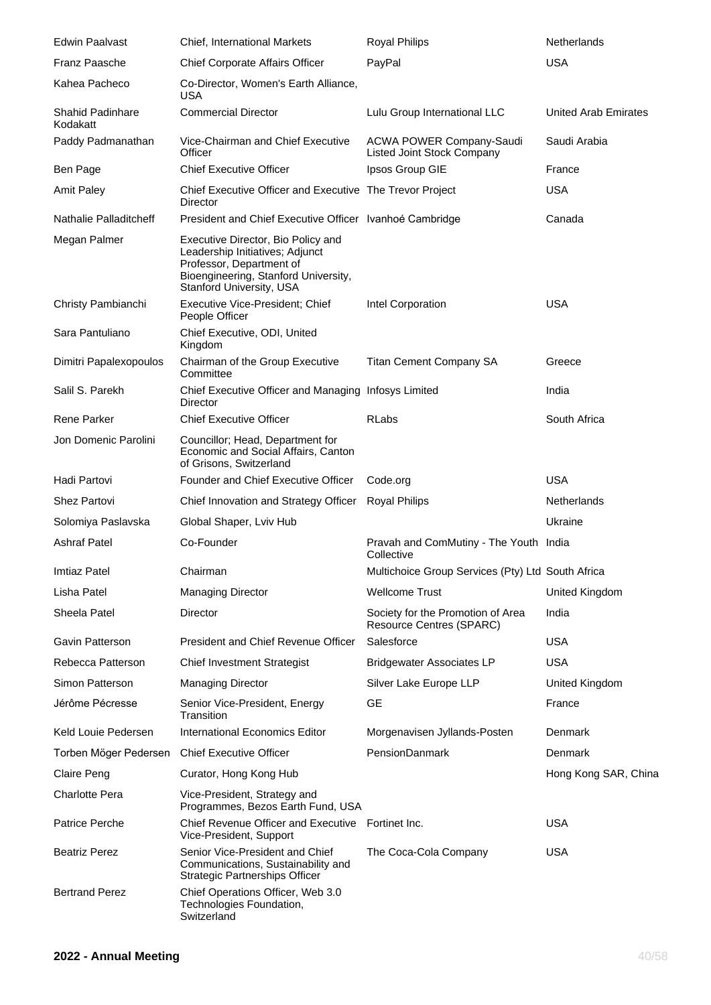| <b>Edwin Paalvast</b>               | Chief, International Markets                                                                                                                                                 | <b>Royal Philips</b>                                                 | <b>Netherlands</b>          |
|-------------------------------------|------------------------------------------------------------------------------------------------------------------------------------------------------------------------------|----------------------------------------------------------------------|-----------------------------|
| <b>Franz Paasche</b>                | <b>Chief Corporate Affairs Officer</b>                                                                                                                                       | PayPal                                                               | <b>USA</b>                  |
| Kahea Pacheco                       | Co-Director, Women's Earth Alliance,<br><b>USA</b>                                                                                                                           |                                                                      |                             |
| <b>Shahid Padinhare</b><br>Kodakatt | <b>Commercial Director</b>                                                                                                                                                   | Lulu Group International LLC                                         | <b>United Arab Emirates</b> |
| Paddy Padmanathan                   | Vice-Chairman and Chief Executive<br>Officer                                                                                                                                 | <b>ACWA POWER Company-Saudi</b><br><b>Listed Joint Stock Company</b> | Saudi Arabia                |
| Ben Page                            | <b>Chief Executive Officer</b>                                                                                                                                               | Ipsos Group GIE                                                      | France                      |
| <b>Amit Paley</b>                   | Chief Executive Officer and Executive The Trevor Project<br>Director                                                                                                         |                                                                      | <b>USA</b>                  |
| Nathalie Palladitcheff              | President and Chief Executive Officer Ivanhoé Cambridge                                                                                                                      |                                                                      | Canada                      |
| Megan Palmer                        | Executive Director, Bio Policy and<br>Leadership Initiatives; Adjunct<br>Professor, Department of<br>Bioengineering, Stanford University,<br><b>Stanford University, USA</b> |                                                                      |                             |
| Christy Pambianchi                  | Executive Vice-President; Chief<br>People Officer                                                                                                                            | Intel Corporation                                                    | <b>USA</b>                  |
| Sara Pantuliano                     | Chief Executive, ODI, United<br>Kingdom                                                                                                                                      |                                                                      |                             |
| Dimitri Papalexopoulos              | Chairman of the Group Executive<br>Committee                                                                                                                                 | <b>Titan Cement Company SA</b>                                       | Greece                      |
| Salil S. Parekh                     | Chief Executive Officer and Managing Infosys Limited<br>Director                                                                                                             |                                                                      | India                       |
| Rene Parker                         | <b>Chief Executive Officer</b>                                                                                                                                               | <b>RLabs</b>                                                         | South Africa                |
| Jon Domenic Parolini                | Councillor; Head, Department for<br>Economic and Social Affairs, Canton<br>of Grisons, Switzerland                                                                           |                                                                      |                             |
| Hadi Partovi                        | Founder and Chief Executive Officer                                                                                                                                          | Code.org                                                             | <b>USA</b>                  |
| <b>Shez Partovi</b>                 | Chief Innovation and Strategy Officer                                                                                                                                        | <b>Royal Philips</b>                                                 | <b>Netherlands</b>          |
| Solomiya Paslavska                  | Global Shaper, Lviv Hub                                                                                                                                                      |                                                                      | Ukraine                     |
| <b>Ashraf Patel</b>                 | Co-Founder                                                                                                                                                                   | Pravah and ComMutiny - The Youth India<br>Collective                 |                             |
| Imtiaz Patel                        | Chairman                                                                                                                                                                     | Multichoice Group Services (Pty) Ltd South Africa                    |                             |
| Lisha Patel                         | <b>Managing Director</b>                                                                                                                                                     | <b>Wellcome Trust</b>                                                | United Kingdom              |
| Sheela Patel                        | Director                                                                                                                                                                     | Society for the Promotion of Area<br><b>Resource Centres (SPARC)</b> | India                       |
| Gavin Patterson                     | President and Chief Revenue Officer                                                                                                                                          | Salesforce                                                           | <b>USA</b>                  |
| Rebecca Patterson                   | <b>Chief Investment Strategist</b>                                                                                                                                           | <b>Bridgewater Associates LP</b>                                     | <b>USA</b>                  |
| Simon Patterson                     | <b>Managing Director</b>                                                                                                                                                     | Silver Lake Europe LLP                                               | United Kingdom              |
| Jérôme Pécresse                     | Senior Vice-President, Energy<br>Transition                                                                                                                                  | GE                                                                   | France                      |
| Keld Louie Pedersen                 | <b>International Economics Editor</b>                                                                                                                                        | Morgenavisen Jyllands-Posten                                         | Denmark                     |
| Torben Möger Pedersen               | <b>Chief Executive Officer</b>                                                                                                                                               | PensionDanmark                                                       | Denmark                     |
| Claire Peng                         | Curator, Hong Kong Hub                                                                                                                                                       |                                                                      | Hong Kong SAR, China        |
| <b>Charlotte Pera</b>               | Vice-President, Strategy and<br>Programmes, Bezos Earth Fund, USA                                                                                                            |                                                                      |                             |
| Patrice Perche                      | Chief Revenue Officer and Executive Fortinet Inc.<br>Vice-President, Support                                                                                                 |                                                                      | <b>USA</b>                  |
| <b>Beatriz Perez</b>                | Senior Vice-President and Chief<br>Communications, Sustainability and<br><b>Strategic Partnerships Officer</b>                                                               | The Coca-Cola Company                                                | <b>USA</b>                  |
| <b>Bertrand Perez</b>               | Chief Operations Officer, Web 3.0<br>Technologies Foundation,<br>Switzerland                                                                                                 |                                                                      |                             |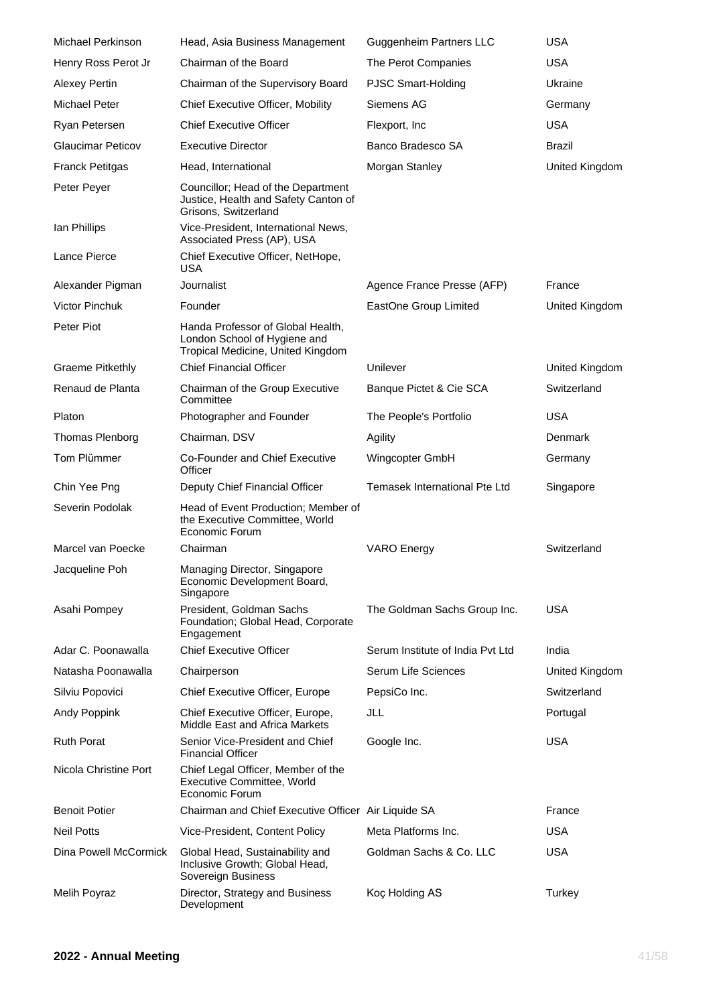| <b>Michael Perkinson</b> | Head, Asia Business Management                                                                         | <b>Guggenheim Partners LLC</b>   | <b>USA</b>     |
|--------------------------|--------------------------------------------------------------------------------------------------------|----------------------------------|----------------|
| Henry Ross Perot Jr      | Chairman of the Board                                                                                  | The Perot Companies              | <b>USA</b>     |
| <b>Alexey Pertin</b>     | Chairman of the Supervisory Board                                                                      | PJSC Smart-Holding               | Ukraine        |
| Michael Peter            | Chief Executive Officer, Mobility                                                                      | Siemens AG                       | Germany        |
| Ryan Petersen            | <b>Chief Executive Officer</b>                                                                         | Flexport, Inc.                   | <b>USA</b>     |
| <b>Glaucimar Peticov</b> | <b>Executive Director</b>                                                                              | Banco Bradesco SA                | Brazil         |
| <b>Franck Petitgas</b>   | Head, International                                                                                    | Morgan Stanley                   | United Kingdom |
| Peter Peyer              | Councillor; Head of the Department<br>Justice, Health and Safety Canton of<br>Grisons, Switzerland     |                                  |                |
| lan Phillips             | Vice-President, International News,<br>Associated Press (AP), USA                                      |                                  |                |
| Lance Pierce             | Chief Executive Officer, NetHope,<br>USA                                                               |                                  |                |
| Alexander Pigman         | Journalist                                                                                             | Agence France Presse (AFP)       | France         |
| <b>Victor Pinchuk</b>    | Founder                                                                                                | EastOne Group Limited            | United Kingdom |
| Peter Piot               | Handa Professor of Global Health,<br>London School of Hygiene and<br>Tropical Medicine, United Kingdom |                                  |                |
| <b>Graeme Pitkethly</b>  | <b>Chief Financial Officer</b>                                                                         | Unilever                         | United Kingdom |
| Renaud de Planta         | Chairman of the Group Executive<br>Committee                                                           | Banque Pictet & Cie SCA          | Switzerland    |
| Platon                   | Photographer and Founder                                                                               | The People's Portfolio           | <b>USA</b>     |
| Thomas Plenborg          | Chairman, DSV                                                                                          | Agility                          | Denmark        |
| Tom Plümmer              | Co-Founder and Chief Executive<br>Officer                                                              | Wingcopter GmbH                  | Germany        |
|                          |                                                                                                        |                                  |                |
| Chin Yee Png             | Deputy Chief Financial Officer                                                                         | Temasek International Pte Ltd    | Singapore      |
| Severin Podolak          | Head of Event Production; Member of<br>the Executive Committee, World<br>Economic Forum                |                                  |                |
| Marcel van Poecke        | Chairman                                                                                               | <b>VARO</b> Energy               | Switzerland    |
| Jacqueline Poh           | Managing Director, Singapore<br>Economic Development Board,<br>Singapore                               |                                  |                |
| Asahi Pompey             | President, Goldman Sachs<br>Foundation; Global Head, Corporate<br>Engagement                           | The Goldman Sachs Group Inc.     | <b>USA</b>     |
| Adar C. Poonawalla       | <b>Chief Executive Officer</b>                                                                         | Serum Institute of India Pvt Ltd | India          |
| Natasha Poonawalla       | Chairperson                                                                                            | Serum Life Sciences              | United Kingdom |
| Silviu Popovici          | Chief Executive Officer, Europe                                                                        | PepsiCo Inc.                     | Switzerland    |
| Andy Poppink             | Chief Executive Officer, Europe,<br>Middle East and Africa Markets                                     | JLL                              | Portugal       |
| <b>Ruth Porat</b>        | Senior Vice-President and Chief<br><b>Financial Officer</b>                                            | Google Inc.                      | <b>USA</b>     |
| Nicola Christine Port    | Chief Legal Officer, Member of the<br>Executive Committee, World<br>Economic Forum                     |                                  |                |
| <b>Benoit Potier</b>     | Chairman and Chief Executive Officer Air Liquide SA                                                    |                                  | France         |
| <b>Neil Potts</b>        | Vice-President, Content Policy                                                                         | Meta Platforms Inc.              | <b>USA</b>     |
| Dina Powell McCormick    | Global Head, Sustainability and<br>Inclusive Growth; Global Head,<br>Sovereign Business                | Goldman Sachs & Co. LLC          | <b>USA</b>     |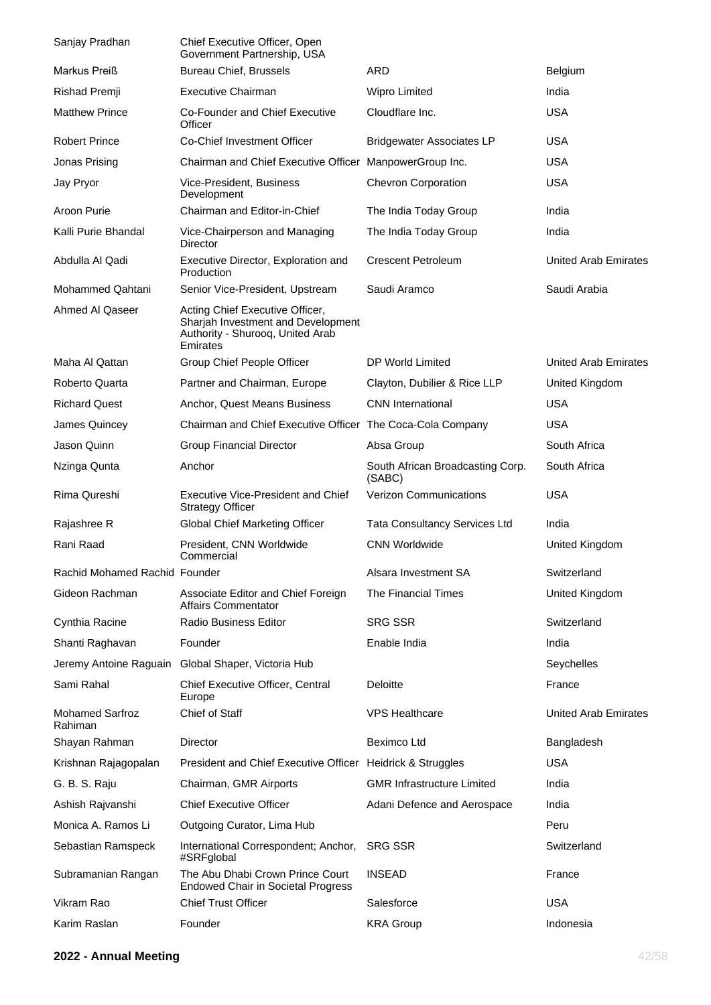| Sanjay Pradhan                    | <b>Chief Executive Officer, Open</b><br>Government Partnership, USA                                                   |                                            |                             |
|-----------------------------------|-----------------------------------------------------------------------------------------------------------------------|--------------------------------------------|-----------------------------|
| Markus Preiß                      | <b>Bureau Chief, Brussels</b>                                                                                         | ARD                                        | Belgium                     |
| Rishad Premji                     | <b>Executive Chairman</b>                                                                                             | <b>Wipro Limited</b>                       | India                       |
| <b>Matthew Prince</b>             | Co-Founder and Chief Executive<br>Officer                                                                             | Cloudflare Inc.                            | <b>USA</b>                  |
| <b>Robert Prince</b>              | Co-Chief Investment Officer                                                                                           | <b>Bridgewater Associates LP</b>           | <b>USA</b>                  |
| Jonas Prising                     | Chairman and Chief Executive Officer ManpowerGroup Inc.                                                               |                                            | <b>USA</b>                  |
| Jay Pryor                         | Vice-President, Business<br>Development                                                                               | <b>Chevron Corporation</b>                 | <b>USA</b>                  |
| Aroon Purie                       | Chairman and Editor-in-Chief                                                                                          | The India Today Group                      | India                       |
| Kalli Purie Bhandal               | Vice-Chairperson and Managing<br>Director                                                                             | The India Today Group                      | India                       |
| Abdulla Al Qadi                   | Executive Director, Exploration and<br>Production                                                                     | <b>Crescent Petroleum</b>                  | <b>United Arab Emirates</b> |
| <b>Mohammed Qahtani</b>           | Senior Vice-President, Upstream                                                                                       | Saudi Aramco                               | Saudi Arabia                |
| Ahmed Al Qaseer                   | Acting Chief Executive Officer,<br>Sharjah Investment and Development<br>Authority - Shurooq, United Arab<br>Emirates |                                            |                             |
| Maha Al Qattan                    | Group Chief People Officer                                                                                            | DP World Limited                           | United Arab Emirates        |
| Roberto Quarta                    | Partner and Chairman, Europe                                                                                          | Clayton, Dubilier & Rice LLP               | United Kingdom              |
| <b>Richard Quest</b>              | Anchor, Quest Means Business                                                                                          | <b>CNN</b> International                   | <b>USA</b>                  |
| James Quincey                     | Chairman and Chief Executive Officer The Coca-Cola Company                                                            |                                            | <b>USA</b>                  |
| Jason Quinn                       | <b>Group Financial Director</b>                                                                                       | Absa Group                                 | South Africa                |
| Nzinga Qunta                      | Anchor                                                                                                                | South African Broadcasting Corp.<br>(SABC) | South Africa                |
| Rima Qureshi                      | <b>Executive Vice-President and Chief</b><br><b>Strategy Officer</b>                                                  | <b>Verizon Communications</b>              | <b>USA</b>                  |
| Rajashree R                       | Global Chief Marketing Officer                                                                                        | <b>Tata Consultancy Services Ltd</b>       | India                       |
| Rani Raad                         | President, CNN Worldwide<br>Commercial                                                                                | <b>CNN Worldwide</b>                       | United Kingdom              |
| Rachid Mohamed Rachid Founder     |                                                                                                                       | Alsara Investment SA                       | Switzerland                 |
| Gideon Rachman                    | Associate Editor and Chief Foreign<br><b>Affairs Commentator</b>                                                      | The Financial Times                        | United Kingdom              |
| Cynthia Racine                    | <b>Radio Business Editor</b>                                                                                          | <b>SRG SSR</b>                             | Switzerland                 |
| Shanti Raghavan                   | Founder                                                                                                               | Enable India                               | India                       |
| Jeremy Antoine Raguain            | Global Shaper, Victoria Hub                                                                                           |                                            | Seychelles                  |
| Sami Rahal                        | Chief Executive Officer, Central<br>Europe                                                                            | Deloitte                                   | France                      |
| <b>Mohamed Sarfroz</b><br>Rahiman | Chief of Staff                                                                                                        | <b>VPS Healthcare</b>                      | <b>United Arab Emirates</b> |
| Shayan Rahman                     | Director                                                                                                              | Beximco Ltd                                | Bangladesh                  |
| Krishnan Rajagopalan              | President and Chief Executive Officer Heidrick & Struggles                                                            |                                            | <b>USA</b>                  |
| G. B. S. Raju                     | Chairman, GMR Airports                                                                                                | <b>GMR Infrastructure Limited</b>          | India                       |
| Ashish Rajvanshi                  | <b>Chief Executive Officer</b>                                                                                        | Adani Defence and Aerospace                | India                       |
| Monica A. Ramos Li                | Outgoing Curator, Lima Hub                                                                                            |                                            | Peru                        |
| Sebastian Ramspeck                | International Correspondent; Anchor,<br>#SRFglobal                                                                    | <b>SRG SSR</b>                             | Switzerland                 |
| Subramanian Rangan                | The Abu Dhabi Crown Prince Court<br><b>Endowed Chair in Societal Progress</b>                                         | <b>INSEAD</b>                              | France                      |
| Vikram Rao                        | <b>Chief Trust Officer</b>                                                                                            | Salesforce                                 | <b>USA</b>                  |
| Karim Raslan                      | Founder                                                                                                               | <b>KRA Group</b>                           | Indonesia                   |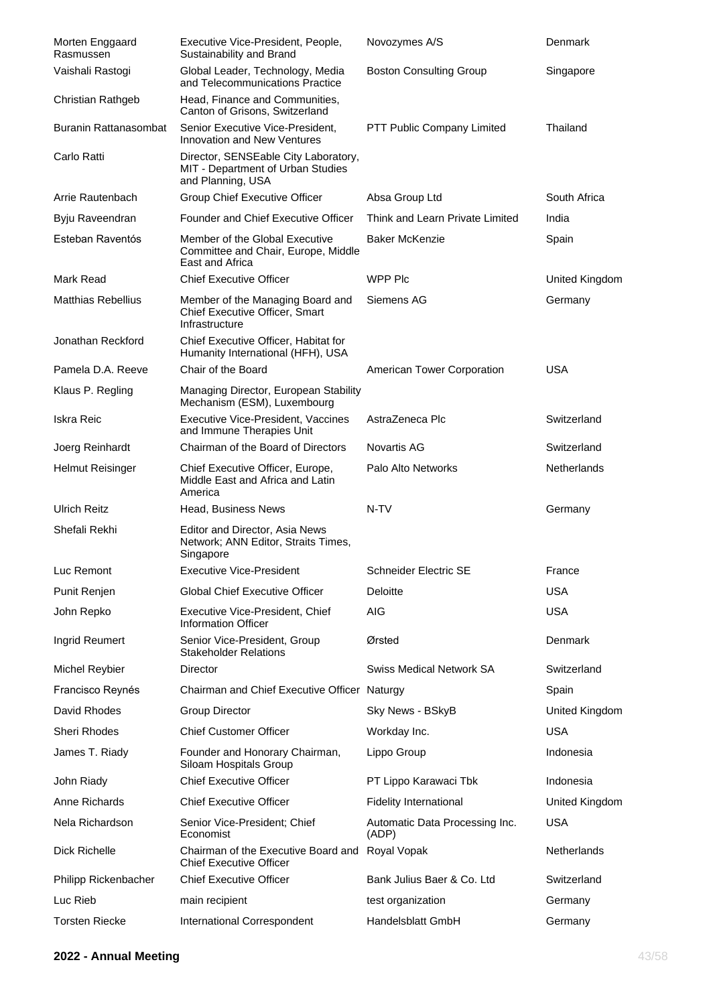| Morten Enggaard<br>Rasmussen | Executive Vice-President, People,<br>Sustainability and Brand                                  | Novozymes A/S                           | Denmark        |
|------------------------------|------------------------------------------------------------------------------------------------|-----------------------------------------|----------------|
| Vaishali Rastogi             | Global Leader, Technology, Media<br>and Telecommunications Practice                            | <b>Boston Consulting Group</b>          | Singapore      |
| Christian Rathgeb            | Head, Finance and Communities,<br>Canton of Grisons, Switzerland                               |                                         |                |
| Buranin Rattanasombat        | Senior Executive Vice-President,<br>Innovation and New Ventures                                | PTT Public Company Limited              | Thailand       |
| Carlo Ratti                  | Director, SENSEable City Laboratory,<br>MIT - Department of Urban Studies<br>and Planning, USA |                                         |                |
| Arrie Rautenbach             | <b>Group Chief Executive Officer</b>                                                           | Absa Group Ltd                          | South Africa   |
| Byju Raveendran              | Founder and Chief Executive Officer                                                            | Think and Learn Private Limited         | India          |
| Esteban Raventós             | Member of the Global Executive<br>Committee and Chair, Europe, Middle<br>East and Africa       | <b>Baker McKenzie</b>                   | Spain          |
| Mark Read                    | <b>Chief Executive Officer</b>                                                                 | WPP Plc                                 | United Kingdom |
| <b>Matthias Rebellius</b>    | Member of the Managing Board and<br>Chief Executive Officer, Smart<br>Infrastructure           | Siemens AG                              | Germany        |
| Jonathan Reckford            | Chief Executive Officer, Habitat for<br>Humanity International (HFH), USA                      |                                         |                |
| Pamela D.A. Reeve            | Chair of the Board                                                                             | American Tower Corporation              | <b>USA</b>     |
| Klaus P. Regling             | Managing Director, European Stability<br>Mechanism (ESM), Luxembourg                           |                                         |                |
| Iskra Reic                   | Executive Vice-President, Vaccines<br>and Immune Therapies Unit                                | AstraZeneca Plc                         | Switzerland    |
| Joerg Reinhardt              | Chairman of the Board of Directors                                                             | Novartis AG                             | Switzerland    |
| Helmut Reisinger             | Chief Executive Officer, Europe,<br>Middle East and Africa and Latin<br>America                | Palo Alto Networks                      | Netherlands    |
| <b>Ulrich Reitz</b>          | Head, Business News                                                                            | N-TV                                    | Germany        |
| Shefali Rekhi                | Editor and Director, Asia News<br>Network; ANN Editor, Straits Times,<br>Singapore             |                                         |                |
| Luc Remont                   | <b>Executive Vice-President</b>                                                                | Schneider Electric SE                   | France         |
| Punit Renjen                 | <b>Global Chief Executive Officer</b>                                                          | Deloitte                                | <b>USA</b>     |
| John Repko                   | Executive Vice-President, Chief<br><b>Information Officer</b>                                  | AIG                                     | <b>USA</b>     |
| Ingrid Reumert               | Senior Vice-President, Group<br><b>Stakeholder Relations</b>                                   | Ørsted                                  | Denmark        |
| Michel Reybier               | Director                                                                                       | <b>Swiss Medical Network SA</b>         | Switzerland    |
| Francisco Reynés             | Chairman and Chief Executive Officer Naturgy                                                   |                                         | Spain          |
| David Rhodes                 | <b>Group Director</b>                                                                          | Sky News - BSkyB                        | United Kingdom |
| Sheri Rhodes                 | <b>Chief Customer Officer</b>                                                                  | Workday Inc.                            | <b>USA</b>     |
| James T. Riady               | Founder and Honorary Chairman,<br>Siloam Hospitals Group                                       | Lippo Group                             | Indonesia      |
| John Riady                   | <b>Chief Executive Officer</b>                                                                 | PT Lippo Karawaci Tbk                   | Indonesia      |
| Anne Richards                | <b>Chief Executive Officer</b>                                                                 | <b>Fidelity International</b>           | United Kingdom |
| Nela Richardson              | Senior Vice-President; Chief<br>Economist                                                      | Automatic Data Processing Inc.<br>(ADP) | <b>USA</b>     |
| Dick Richelle                | Chairman of the Executive Board and Royal Vopak<br><b>Chief Executive Officer</b>              |                                         | Netherlands    |
| Philipp Rickenbacher         | <b>Chief Executive Officer</b>                                                                 | Bank Julius Baer & Co. Ltd              | Switzerland    |
| Luc Rieb                     | main recipient                                                                                 | test organization                       | Germany        |
| <b>Torsten Riecke</b>        | International Correspondent                                                                    | Handelsblatt GmbH                       | Germany        |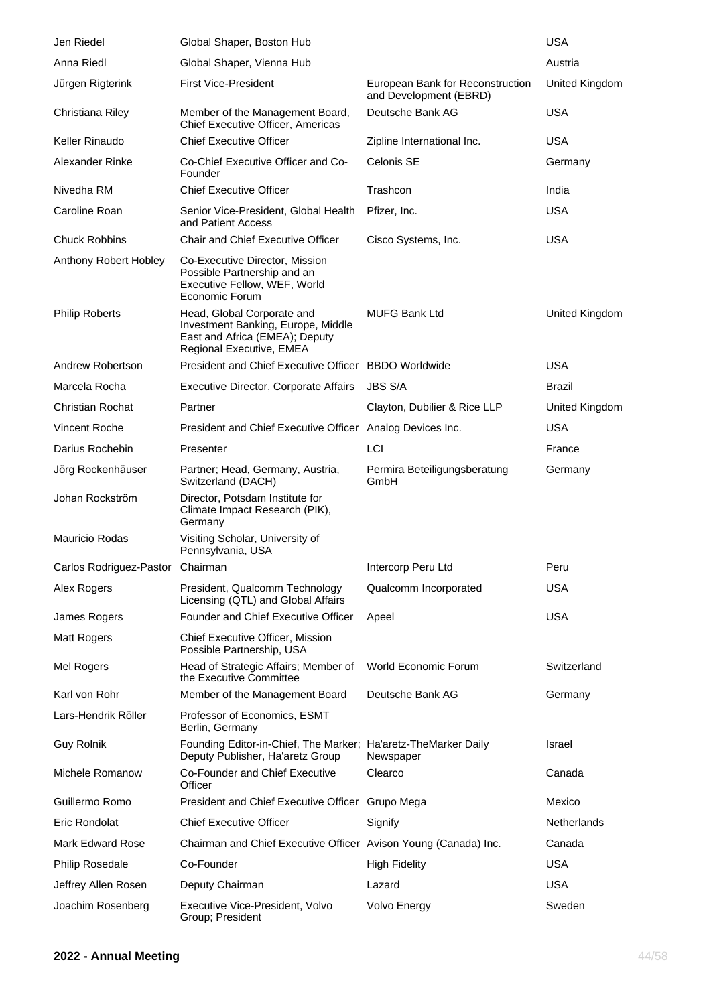| Jen Riedel                       | Global Shaper, Boston Hub                                                                                                      |                                                            | <b>USA</b>     |
|----------------------------------|--------------------------------------------------------------------------------------------------------------------------------|------------------------------------------------------------|----------------|
| Anna Riedl                       | Global Shaper, Vienna Hub                                                                                                      |                                                            | Austria        |
| Jürgen Rigterink                 | <b>First Vice-President</b>                                                                                                    | European Bank for Reconstruction<br>and Development (EBRD) | United Kingdom |
| Christiana Riley                 | Member of the Management Board,<br>Chief Executive Officer, Americas                                                           | Deutsche Bank AG                                           | <b>USA</b>     |
| Keller Rinaudo                   | <b>Chief Executive Officer</b>                                                                                                 | Zipline International Inc.                                 | USA            |
| Alexander Rinke                  | Co-Chief Executive Officer and Co-<br>Founder                                                                                  | Celonis SE                                                 | Germany        |
| Nivedha RM                       | <b>Chief Executive Officer</b>                                                                                                 | Trashcon                                                   | India          |
| Caroline Roan                    | Senior Vice-President, Global Health<br>and Patient Access                                                                     | Pfizer, Inc.                                               | <b>USA</b>     |
| <b>Chuck Robbins</b>             | <b>Chair and Chief Executive Officer</b>                                                                                       | Cisco Systems, Inc.                                        | <b>USA</b>     |
| Anthony Robert Hobley            | Co-Executive Director, Mission<br>Possible Partnership and an<br>Executive Fellow, WEF, World<br>Economic Forum                |                                                            |                |
| <b>Philip Roberts</b>            | Head, Global Corporate and<br>Investment Banking, Europe, Middle<br>East and Africa (EMEA); Deputy<br>Regional Executive, EMEA | <b>MUFG Bank Ltd</b>                                       | United Kingdom |
| Andrew Robertson                 | President and Chief Executive Officer BBDO Worldwide                                                                           |                                                            | <b>USA</b>     |
| Marcela Rocha                    | <b>Executive Director, Corporate Affairs</b>                                                                                   | <b>JBS S/A</b>                                             | Brazil         |
| <b>Christian Rochat</b>          | Partner                                                                                                                        | Clayton, Dubilier & Rice LLP                               | United Kingdom |
| Vincent Roche                    | President and Chief Executive Officer Analog Devices Inc.                                                                      |                                                            | <b>USA</b>     |
| Darius Rochebin                  | Presenter                                                                                                                      | LCI                                                        | France         |
| Jörg Rockenhäuser                | Partner; Head, Germany, Austria,<br>Switzerland (DACH)                                                                         | Permira Beteiligungsberatung<br>GmbH                       | Germany        |
| Johan Rockström                  | Director, Potsdam Institute for<br>Climate Impact Research (PIK),<br>Germany                                                   |                                                            |                |
| <b>Mauricio Rodas</b>            | Visiting Scholar, University of<br>Pennsylvania, USA                                                                           |                                                            |                |
| Carlos Rodriguez-Pastor Chairman |                                                                                                                                | Intercorp Peru Ltd                                         | Peru           |
| Alex Rogers                      | President, Qualcomm Technology<br>Licensing (QTL) and Global Affairs                                                           | Qualcomm Incorporated                                      | <b>USA</b>     |
| James Rogers                     | Founder and Chief Executive Officer                                                                                            | Apeel                                                      | <b>USA</b>     |
| Matt Rogers                      | Chief Executive Officer, Mission<br>Possible Partnership, USA                                                                  |                                                            |                |
| Mel Rogers                       | Head of Strategic Affairs; Member of<br>the Executive Committee                                                                | World Economic Forum                                       | Switzerland    |
| Karl von Rohr                    | Member of the Management Board                                                                                                 | Deutsche Bank AG                                           | Germany        |
| Lars-Hendrik Röller              | Professor of Economics, ESMT<br>Berlin, Germany                                                                                |                                                            |                |
| <b>Guy Rolnik</b>                | Founding Editor-in-Chief, The Marker; Ha'aretz-TheMarker Daily<br>Deputy Publisher, Ha'aretz Group                             | Newspaper                                                  | Israel         |
| Michele Romanow                  | Co-Founder and Chief Executive<br>Officer                                                                                      | Clearco                                                    | Canada         |
| Guillermo Romo                   | President and Chief Executive Officer Grupo Mega                                                                               |                                                            | Mexico         |
| Eric Rondolat                    | <b>Chief Executive Officer</b>                                                                                                 | Signify                                                    | Netherlands    |
| <b>Mark Edward Rose</b>          | Chairman and Chief Executive Officer Avison Young (Canada) Inc.                                                                |                                                            | Canada         |
| <b>Philip Rosedale</b>           | Co-Founder                                                                                                                     | <b>High Fidelity</b>                                       | <b>USA</b>     |
| Jeffrey Allen Rosen              | Deputy Chairman                                                                                                                | Lazard                                                     | <b>USA</b>     |
| Joachim Rosenberg                | Executive Vice-President, Volvo<br>Group; President                                                                            | Volvo Energy                                               | Sweden         |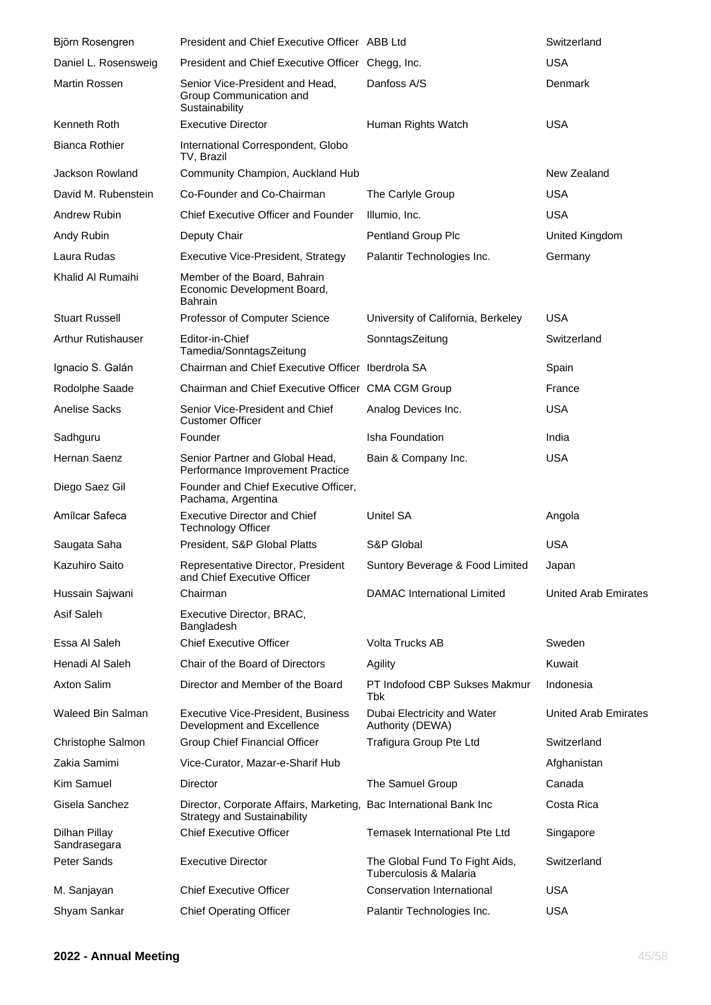| Björn Rosengren               | President and Chief Executive Officer ABB Ltd                                                            |                                                          | Switzerland                 |
|-------------------------------|----------------------------------------------------------------------------------------------------------|----------------------------------------------------------|-----------------------------|
| Daniel L. Rosensweig          | President and Chief Executive Officer Chegg, Inc.                                                        |                                                          | <b>USA</b>                  |
| <b>Martin Rossen</b>          | Senior Vice-President and Head,<br>Group Communication and<br>Sustainability                             | Danfoss A/S                                              | Denmark                     |
| Kenneth Roth                  | <b>Executive Director</b>                                                                                | Human Rights Watch                                       | <b>USA</b>                  |
| <b>Bianca Rothier</b>         | International Correspondent, Globo<br>TV, Brazil                                                         |                                                          |                             |
| Jackson Rowland               | Community Champion, Auckland Hub                                                                         |                                                          | New Zealand                 |
| David M. Rubenstein           | Co-Founder and Co-Chairman                                                                               | The Carlyle Group                                        | <b>USA</b>                  |
| Andrew Rubin                  | Chief Executive Officer and Founder                                                                      | Illumio, Inc.                                            | <b>USA</b>                  |
| Andy Rubin                    | Deputy Chair                                                                                             | Pentland Group Plc                                       | United Kingdom              |
| Laura Rudas                   | Executive Vice-President, Strategy                                                                       | Palantir Technologies Inc.                               | Germany                     |
| Khalid Al Rumaihi             | Member of the Board, Bahrain<br>Economic Development Board,<br>Bahrain                                   |                                                          |                             |
| <b>Stuart Russell</b>         | Professor of Computer Science                                                                            | University of California, Berkeley                       | <b>USA</b>                  |
| <b>Arthur Rutishauser</b>     | Editor-in-Chief<br>Tamedia/SonntagsZeitung                                                               | SonntagsZeitung                                          | Switzerland                 |
| Ignacio S. Galán              | Chairman and Chief Executive Officer Iberdrola SA                                                        |                                                          | Spain                       |
| Rodolphe Saade                | Chairman and Chief Executive Officer CMA CGM Group                                                       |                                                          | France                      |
| <b>Anelise Sacks</b>          | Senior Vice-President and Chief<br><b>Customer Officer</b>                                               | Analog Devices Inc.                                      | <b>USA</b>                  |
| Sadhguru                      | Founder                                                                                                  | Isha Foundation                                          | India                       |
| Hernan Saenz                  | Senior Partner and Global Head,<br>Performance Improvement Practice                                      | Bain & Company Inc.                                      | <b>USA</b>                  |
| Diego Saez Gil                | Founder and Chief Executive Officer,<br>Pachama, Argentina                                               |                                                          |                             |
| Amílcar Safeca                | <b>Executive Director and Chief</b><br><b>Technology Officer</b>                                         | <b>Unitel SA</b>                                         | Angola                      |
| Saugata Saha                  | President, S&P Global Platts                                                                             | S&P Global                                               | <b>USA</b>                  |
| Kazuhiro Saito                | Representative Director, President<br>and Chief Executive Officer                                        | Suntory Beverage & Food Limited                          | Japan                       |
| Hussain Sajwani               | Chairman                                                                                                 | DAMAC International Limited                              | <b>United Arab Emirates</b> |
| Asif Saleh                    | Executive Director, BRAC,<br>Bangladesh                                                                  |                                                          |                             |
| Essa Al Saleh                 | <b>Chief Executive Officer</b>                                                                           | Volta Trucks AB                                          | Sweden                      |
| Henadi Al Saleh               | Chair of the Board of Directors                                                                          | Agility                                                  | Kuwait                      |
| Axton Salim                   | Director and Member of the Board                                                                         | PT Indofood CBP Sukses Makmur<br>Tbk                     | Indonesia                   |
| Waleed Bin Salman             | <b>Executive Vice-President, Business</b><br>Development and Excellence                                  | Dubai Electricity and Water<br>Authority (DEWA)          | <b>United Arab Emirates</b> |
| Christophe Salmon             | Group Chief Financial Officer                                                                            | Trafigura Group Pte Ltd                                  | Switzerland                 |
| Zakia Samimi                  | Vice-Curator, Mazar-e-Sharif Hub                                                                         |                                                          | Afghanistan                 |
| Kim Samuel                    | Director                                                                                                 | The Samuel Group                                         | Canada                      |
| Gisela Sanchez                | Director, Corporate Affairs, Marketing, Bac International Bank Inc<br><b>Strategy and Sustainability</b> |                                                          | Costa Rica                  |
| Dilhan Pillay<br>Sandrasegara | <b>Chief Executive Officer</b>                                                                           | Temasek International Pte Ltd                            | Singapore                   |
| Peter Sands                   | <b>Executive Director</b>                                                                                | The Global Fund To Fight Aids,<br>Tuberculosis & Malaria | Switzerland                 |
| M. Sanjayan                   | <b>Chief Executive Officer</b>                                                                           | Conservation International                               | <b>USA</b>                  |
| Shyam Sankar                  | <b>Chief Operating Officer</b>                                                                           | Palantir Technologies Inc.                               | <b>USA</b>                  |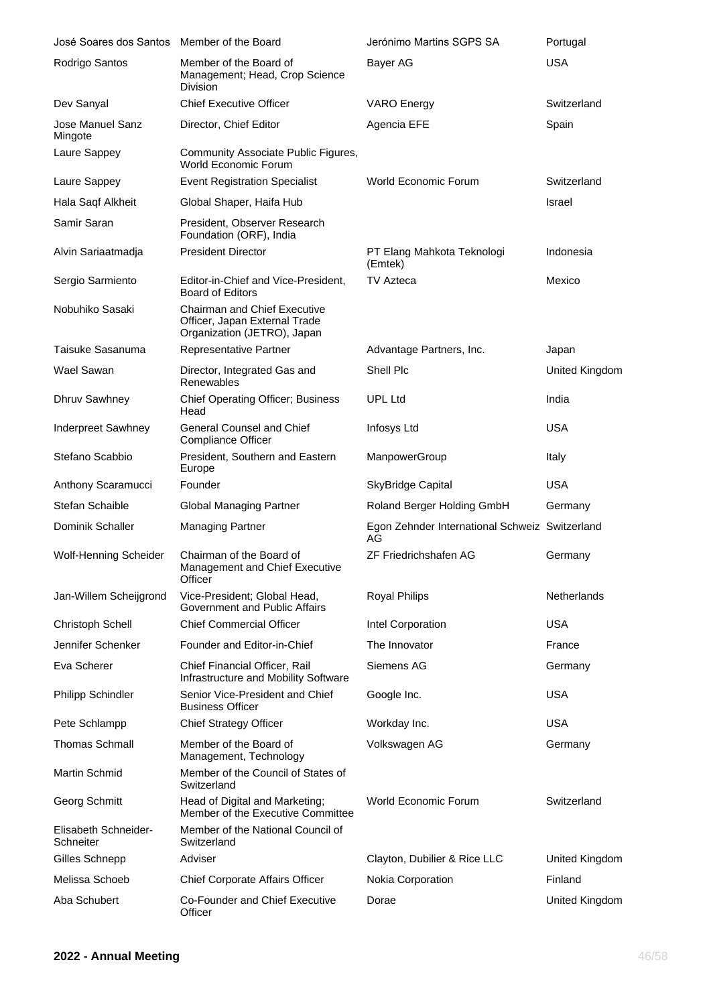| José Soares dos Santos            | Member of the Board                                                                                 | Jerónimo Martins SGPS SA                             | Portugal       |
|-----------------------------------|-----------------------------------------------------------------------------------------------------|------------------------------------------------------|----------------|
| Rodrigo Santos                    | Member of the Board of<br>Management; Head, Crop Science<br>Division                                | Bayer AG                                             | <b>USA</b>     |
| Dev Sanyal                        | <b>Chief Executive Officer</b>                                                                      | <b>VARO</b> Energy                                   | Switzerland    |
| Jose Manuel Sanz<br>Mingote       | Director, Chief Editor                                                                              | Agencia EFE                                          | Spain          |
| Laure Sappey                      | Community Associate Public Figures,<br>World Economic Forum                                         |                                                      |                |
| Laure Sappey                      | <b>Event Registration Specialist</b>                                                                | World Economic Forum                                 | Switzerland    |
| Hala Saqf Alkheit                 | Global Shaper, Haifa Hub                                                                            |                                                      | Israel         |
| Samir Saran                       | President, Observer Research<br>Foundation (ORF), India                                             |                                                      |                |
| Alvin Sariaatmadja                | <b>President Director</b>                                                                           | PT Elang Mahkota Teknologi<br>(Emtek)                | Indonesia      |
| Sergio Sarmiento                  | Editor-in-Chief and Vice-President,<br><b>Board of Editors</b>                                      | TV Azteca                                            | Mexico         |
| Nobuhiko Sasaki                   | <b>Chairman and Chief Executive</b><br>Officer, Japan External Trade<br>Organization (JETRO), Japan |                                                      |                |
| Taisuke Sasanuma                  | Representative Partner                                                                              | Advantage Partners, Inc.                             | Japan          |
| Wael Sawan                        | Director, Integrated Gas and<br>Renewables                                                          | Shell Plc                                            | United Kingdom |
| Dhruv Sawhney                     | <b>Chief Operating Officer; Business</b><br>Head                                                    | <b>UPL Ltd</b>                                       | India          |
| Inderpreet Sawhney                | <b>General Counsel and Chief</b><br><b>Compliance Officer</b>                                       | Infosys Ltd                                          | <b>USA</b>     |
| Stefano Scabbio                   | President, Southern and Eastern<br>Europe                                                           | ManpowerGroup                                        | Italy          |
| Anthony Scaramucci                | Founder                                                                                             | <b>SkyBridge Capital</b>                             | <b>USA</b>     |
| <b>Stefan Schaible</b>            | <b>Global Managing Partner</b>                                                                      | Roland Berger Holding GmbH                           | Germany        |
| Dominik Schaller                  | <b>Managing Partner</b>                                                                             | Egon Zehnder International Schweiz Switzerland<br>AG |                |
| <b>Wolf-Henning Scheider</b>      | Chairman of the Board of<br>Management and Chief Executive<br>Officer                               | <b>ZF Friedrichshafen AG</b>                         | Germany        |
| Jan-Willem Scheijgrond            | Vice-President; Global Head,<br>Government and Public Affairs                                       | <b>Royal Philips</b>                                 | Netherlands    |
| Christoph Schell                  | <b>Chief Commercial Officer</b>                                                                     | Intel Corporation                                    | <b>USA</b>     |
| Jennifer Schenker                 | Founder and Editor-in-Chief                                                                         | The Innovator                                        | France         |
| Eva Scherer                       | Chief Financial Officer, Rail<br>Infrastructure and Mobility Software                               | Siemens AG                                           | Germany        |
| <b>Philipp Schindler</b>          | Senior Vice-President and Chief<br><b>Business Officer</b>                                          | Google Inc.                                          | <b>USA</b>     |
| Pete Schlampp                     | <b>Chief Strategy Officer</b>                                                                       | Workday Inc.                                         | <b>USA</b>     |
| <b>Thomas Schmall</b>             | Member of the Board of<br>Management, Technology                                                    | Volkswagen AG                                        | Germany        |
| <b>Martin Schmid</b>              | Member of the Council of States of<br>Switzerland                                                   |                                                      |                |
| Georg Schmitt                     | Head of Digital and Marketing;<br>Member of the Executive Committee                                 | <b>World Economic Forum</b>                          | Switzerland    |
| Elisabeth Schneider-<br>Schneiter | Member of the National Council of<br>Switzerland                                                    |                                                      |                |
| Gilles Schnepp                    | Adviser                                                                                             | Clayton, Dubilier & Rice LLC                         | United Kingdom |
| Melissa Schoeb                    | <b>Chief Corporate Affairs Officer</b>                                                              | Nokia Corporation                                    | Finland        |
| Aba Schubert                      | Co-Founder and Chief Executive<br>Officer                                                           | Dorae                                                | United Kingdom |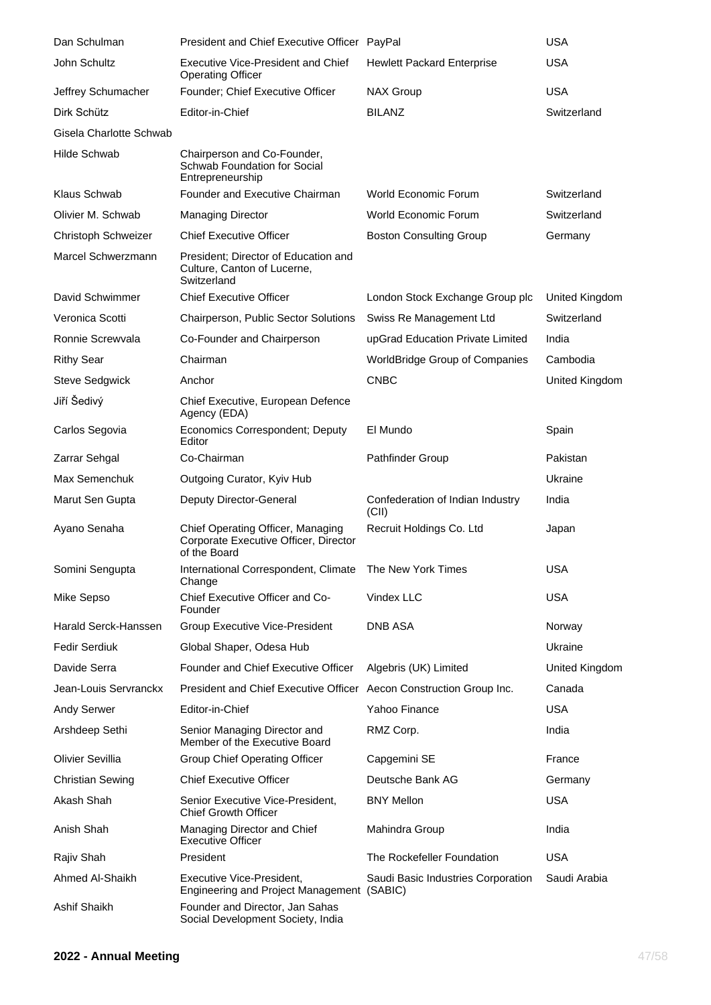| Dan Schulman            | President and Chief Executive Officer PayPal                                               |                                           | <b>USA</b>     |
|-------------------------|--------------------------------------------------------------------------------------------|-------------------------------------------|----------------|
| John Schultz            | Executive Vice-President and Chief<br><b>Operating Officer</b>                             | <b>Hewlett Packard Enterprise</b>         | <b>USA</b>     |
| Jeffrey Schumacher      | Founder; Chief Executive Officer                                                           | <b>NAX Group</b>                          | <b>USA</b>     |
| Dirk Schütz             | Editor-in-Chief                                                                            | <b>BILANZ</b>                             | Switzerland    |
| Gisela Charlotte Schwab |                                                                                            |                                           |                |
| Hilde Schwab            | Chairperson and Co-Founder,<br>Schwab Foundation for Social<br>Entrepreneurship            |                                           |                |
| Klaus Schwab            | Founder and Executive Chairman                                                             | World Economic Forum                      | Switzerland    |
| Olivier M. Schwab       | <b>Managing Director</b>                                                                   | World Economic Forum                      | Switzerland    |
| Christoph Schweizer     | <b>Chief Executive Officer</b>                                                             | <b>Boston Consulting Group</b>            | Germany        |
| Marcel Schwerzmann      | President: Director of Education and<br>Culture, Canton of Lucerne,<br>Switzerland         |                                           |                |
| David Schwimmer         | <b>Chief Executive Officer</b>                                                             | London Stock Exchange Group plc           | United Kingdom |
| Veronica Scotti         | Chairperson, Public Sector Solutions                                                       | Swiss Re Management Ltd                   | Switzerland    |
| Ronnie Screwyala        | Co-Founder and Chairperson                                                                 | upGrad Education Private Limited          | India          |
| <b>Rithy Sear</b>       | Chairman                                                                                   | WorldBridge Group of Companies            | Cambodia       |
| <b>Steve Sedgwick</b>   | Anchor                                                                                     | <b>CNBC</b>                               | United Kingdom |
| Jiří Šedivý             | Chief Executive, European Defence<br>Agency (EDA)                                          |                                           |                |
| Carlos Segovia          | Economics Correspondent; Deputy<br>Editor                                                  | El Mundo                                  | Spain          |
| Zarrar Sehgal           | Co-Chairman                                                                                | <b>Pathfinder Group</b>                   | Pakistan       |
| Max Semenchuk           | Outgoing Curator, Kyiv Hub                                                                 |                                           | Ukraine        |
| Marut Sen Gupta         | Deputy Director-General                                                                    | Confederation of Indian Industry<br>(CII) | India          |
| Ayano Senaha            | Chief Operating Officer, Managing<br>Corporate Executive Officer, Director<br>of the Board | Recruit Holdings Co. Ltd                  | Japan          |
| Somini Sengupta         | International Correspondent, Climate  The New York Times<br>Change                         |                                           | <b>USA</b>     |
| Mike Sepso              | Chief Executive Officer and Co-<br>Founder                                                 | Vindex LLC                                | <b>USA</b>     |
| Harald Serck-Hanssen    | <b>Group Executive Vice-President</b>                                                      | DNB ASA                                   | Norway         |
| <b>Fedir Serdiuk</b>    | Global Shaper, Odesa Hub                                                                   |                                           | Ukraine        |
| Davide Serra            | <b>Founder and Chief Executive Officer</b>                                                 | Algebris (UK) Limited                     | United Kingdom |
| Jean-Louis Servranckx   | President and Chief Executive Officer Aecon Construction Group Inc.                        |                                           | Canada         |
| <b>Andy Serwer</b>      | Editor-in-Chief                                                                            | Yahoo Finance                             | <b>USA</b>     |
| Arshdeep Sethi          | Senior Managing Director and<br>Member of the Executive Board                              | RMZ Corp.                                 | India          |
| <b>Olivier Sevillia</b> | <b>Group Chief Operating Officer</b>                                                       | Capgemini SE                              | France         |
| <b>Christian Sewing</b> | <b>Chief Executive Officer</b>                                                             | Deutsche Bank AG                          | Germany        |
| Akash Shah              | Senior Executive Vice-President,<br><b>Chief Growth Officer</b>                            | <b>BNY Mellon</b>                         | <b>USA</b>     |
| Anish Shah              | Managing Director and Chief<br><b>Executive Officer</b>                                    | Mahindra Group                            | India          |
| Rajiv Shah              | President                                                                                  | The Rockefeller Foundation                | <b>USA</b>     |
| Ahmed Al-Shaikh         | Executive Vice-President,<br>Engineering and Project Management (SABIC)                    | Saudi Basic Industries Corporation        | Saudi Arabia   |
| Ashif Shaikh            | Founder and Director, Jan Sahas<br>Social Development Society, India                       |                                           |                |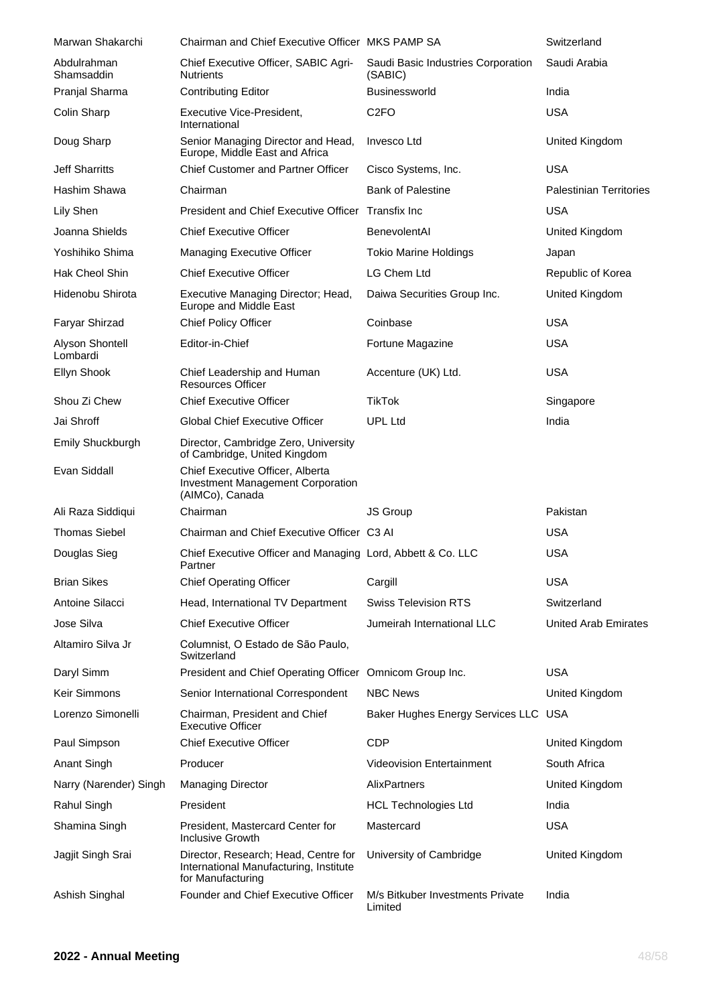| Marwan Shakarchi            | Chairman and Chief Executive Officer MKS PAMP SA                                                    |                                               | Switzerland                    |
|-----------------------------|-----------------------------------------------------------------------------------------------------|-----------------------------------------------|--------------------------------|
| Abdulrahman<br>Shamsaddin   | Chief Executive Officer, SABIC Agri-<br><b>Nutrients</b>                                            | Saudi Basic Industries Corporation<br>(SABIC) | Saudi Arabia                   |
| Pranjal Sharma              | <b>Contributing Editor</b>                                                                          | <b>Businessworld</b>                          | India                          |
| Colin Sharp                 | Executive Vice-President,<br>International                                                          | C <sub>2FO</sub>                              | <b>USA</b>                     |
| Doug Sharp                  | Senior Managing Director and Head,<br>Europe, Middle East and Africa                                | Invesco Ltd                                   | United Kingdom                 |
| Jeff Sharritts              | <b>Chief Customer and Partner Officer</b>                                                           | Cisco Systems, Inc.                           | <b>USA</b>                     |
| Hashim Shawa                | Chairman                                                                                            | <b>Bank of Palestine</b>                      | <b>Palestinian Territories</b> |
| Lily Shen                   | President and Chief Executive Officer Transfix Inc                                                  |                                               | <b>USA</b>                     |
| Joanna Shields              | <b>Chief Executive Officer</b>                                                                      | BenevolentAl                                  | United Kingdom                 |
| Yoshihiko Shima             | Managing Executive Officer                                                                          | <b>Tokio Marine Holdings</b>                  | Japan                          |
| <b>Hak Cheol Shin</b>       | <b>Chief Executive Officer</b>                                                                      | <b>LG Chem Ltd</b>                            | Republic of Korea              |
| Hidenobu Shirota            | Executive Managing Director; Head,<br>Europe and Middle East                                        | Daiwa Securities Group Inc.                   | United Kingdom                 |
| Faryar Shirzad              | <b>Chief Policy Officer</b>                                                                         | Coinbase                                      | <b>USA</b>                     |
| Alyson Shontell<br>Lombardi | Editor-in-Chief                                                                                     | Fortune Magazine                              | <b>USA</b>                     |
| Ellyn Shook                 | Chief Leadership and Human<br><b>Resources Officer</b>                                              | Accenture (UK) Ltd.                           | <b>USA</b>                     |
| Shou Zi Chew                | <b>Chief Executive Officer</b>                                                                      | <b>TikTok</b>                                 | Singapore                      |
| Jai Shroff                  | <b>Global Chief Executive Officer</b>                                                               | <b>UPL Ltd</b>                                | India                          |
| Emily Shuckburgh            | Director, Cambridge Zero, University<br>of Cambridge, United Kingdom                                |                                               |                                |
| Evan Siddall                | Chief Executive Officer, Alberta<br><b>Investment Management Corporation</b><br>(AIMCo), Canada     |                                               |                                |
| Ali Raza Siddiqui           | Chairman                                                                                            | <b>JS Group</b>                               | Pakistan                       |
| <b>Thomas Siebel</b>        | Chairman and Chief Executive Officer C3 AI                                                          |                                               | <b>USA</b>                     |
| Douglas Sieg                | Chief Executive Officer and Managing Lord, Abbett & Co. LLC<br>Partner                              |                                               | <b>USA</b>                     |
| <b>Brian Sikes</b>          | <b>Chief Operating Officer</b>                                                                      | Cargill                                       | <b>USA</b>                     |
| Antoine Silacci             | Head, International TV Department                                                                   | <b>Swiss Television RTS</b>                   | Switzerland                    |
| Jose Silva                  | <b>Chief Executive Officer</b>                                                                      | Jumeirah International LLC                    | <b>United Arab Emirates</b>    |
| Altamiro Silva Jr           | Columnist, O Estado de São Paulo,<br>Switzerland                                                    |                                               |                                |
| Daryl Simm                  | President and Chief Operating Officer Omnicom Group Inc.                                            |                                               | <b>USA</b>                     |
| Keir Simmons                | Senior International Correspondent                                                                  | <b>NBC News</b>                               | United Kingdom                 |
| Lorenzo Simonelli           | Chairman, President and Chief<br><b>Executive Officer</b>                                           | Baker Hughes Energy Services LLC USA          |                                |
| Paul Simpson                | <b>Chief Executive Officer</b>                                                                      | <b>CDP</b>                                    | United Kingdom                 |
| <b>Anant Singh</b>          | Producer                                                                                            | <b>Videovision Entertainment</b>              | South Africa                   |
| Narry (Narender) Singh      | <b>Managing Director</b>                                                                            | AlixPartners                                  | United Kingdom                 |
| Rahul Singh                 | President                                                                                           | <b>HCL Technologies Ltd</b>                   | India                          |
| Shamina Singh               | President, Mastercard Center for<br>Inclusive Growth                                                | Mastercard                                    | <b>USA</b>                     |
| Jagjit Singh Srai           | Director, Research; Head, Centre for<br>International Manufacturing, Institute<br>for Manufacturing | University of Cambridge                       | United Kingdom                 |
| Ashish Singhal              | Founder and Chief Executive Officer                                                                 | M/s Bitkuber Investments Private<br>Limited   | India                          |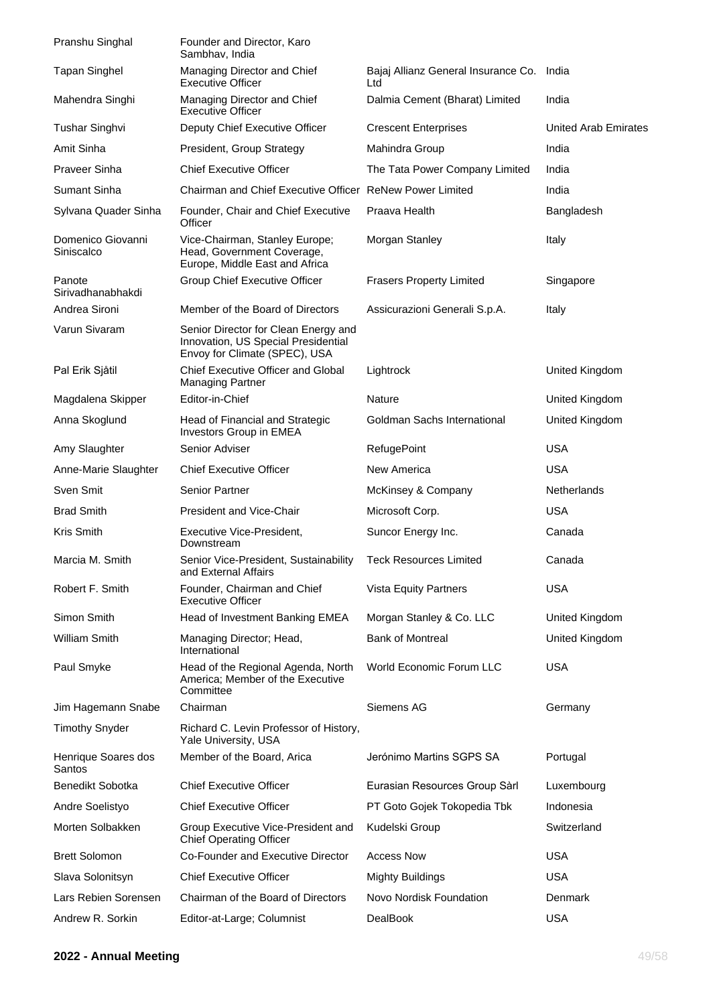| Pranshu Singhal                 | Founder and Director, Karo<br>Sambhav, India                                                                 |                                            |                             |
|---------------------------------|--------------------------------------------------------------------------------------------------------------|--------------------------------------------|-----------------------------|
| <b>Tapan Singhel</b>            | Managing Director and Chief<br><b>Executive Officer</b>                                                      | Bajaj Allianz General Insurance Co.<br>Ltd | India                       |
| Mahendra Singhi                 | Managing Director and Chief<br><b>Executive Officer</b>                                                      | Dalmia Cement (Bharat) Limited             | India                       |
| Tushar Singhvi                  | Deputy Chief Executive Officer                                                                               | <b>Crescent Enterprises</b>                | <b>United Arab Emirates</b> |
| Amit Sinha                      | President, Group Strategy                                                                                    | Mahindra Group                             | India                       |
| <b>Praveer Sinha</b>            | <b>Chief Executive Officer</b>                                                                               | The Tata Power Company Limited             | India                       |
| Sumant Sinha                    | Chairman and Chief Executive Officer ReNew Power Limited                                                     |                                            | India                       |
| Sylvana Quader Sinha            | Founder, Chair and Chief Executive<br>Officer                                                                | Praava Health                              | Bangladesh                  |
| Domenico Giovanni<br>Siniscalco | Vice-Chairman, Stanley Europe;<br>Head, Government Coverage,<br>Europe, Middle East and Africa               | Morgan Stanley                             | Italy                       |
| Panote<br>Sirivadhanabhakdi     | Group Chief Executive Officer                                                                                | <b>Frasers Property Limited</b>            | Singapore                   |
| Andrea Sironi                   | Member of the Board of Directors                                                                             | Assicurazioni Generali S.p.A.              | Italy                       |
| Varun Sivaram                   | Senior Director for Clean Energy and<br>Innovation, US Special Presidential<br>Envoy for Climate (SPEC), USA |                                            |                             |
| Pal Erik Sjåtil                 | Chief Executive Officer and Global<br><b>Managing Partner</b>                                                | Lightrock                                  | United Kingdom              |
| Magdalena Skipper               | Editor-in-Chief                                                                                              | <b>Nature</b>                              | United Kingdom              |
| Anna Skoglund                   | Head of Financial and Strategic<br>Investors Group in EMEA                                                   | Goldman Sachs International                | United Kingdom              |
| Amy Slaughter                   | Senior Adviser                                                                                               | RefugePoint                                | <b>USA</b>                  |
| Anne-Marie Slaughter            | <b>Chief Executive Officer</b>                                                                               | New America                                | <b>USA</b>                  |
| Sven Smit                       | <b>Senior Partner</b>                                                                                        | McKinsey & Company                         | Netherlands                 |
| <b>Brad Smith</b>               | <b>President and Vice-Chair</b>                                                                              | Microsoft Corp.                            | <b>USA</b>                  |
| Kris Smith                      | Executive Vice-President,<br>Downstream                                                                      | Suncor Energy Inc.                         | Canada                      |
| Marcia M. Smith                 | Senior Vice-President, Sustainability<br>and External Affairs                                                | <b>Teck Resources Limited</b>              | Canada                      |
| Robert F. Smith                 | Founder, Chairman and Chief<br><b>Executive Officer</b>                                                      | <b>Vista Equity Partners</b>               | <b>USA</b>                  |
| Simon Smith                     | Head of Investment Banking EMEA                                                                              | Morgan Stanley & Co. LLC                   | United Kingdom              |
| William Smith                   | Managing Director; Head,<br>International                                                                    | <b>Bank of Montreal</b>                    | United Kingdom              |
| Paul Smyke                      | Head of the Regional Agenda, North<br>America; Member of the Executive<br>Committee                          | World Economic Forum LLC                   | <b>USA</b>                  |
| Jim Hagemann Snabe              | Chairman                                                                                                     | Siemens AG                                 | Germany                     |
| <b>Timothy Snyder</b>           | Richard C. Levin Professor of History,<br>Yale University, USA                                               |                                            |                             |
| Henrique Soares dos<br>Santos   | Member of the Board, Arica                                                                                   | Jerónimo Martins SGPS SA                   | Portugal                    |
| Benedikt Sobotka                | <b>Chief Executive Officer</b>                                                                               | Eurasian Resources Group Sàrl              | Luxembourg                  |
| Andre Soelistyo                 | <b>Chief Executive Officer</b>                                                                               | PT Goto Gojek Tokopedia Tbk                | Indonesia                   |
| Morten Solbakken                | Group Executive Vice-President and<br><b>Chief Operating Officer</b>                                         | Kudelski Group                             | Switzerland                 |
| <b>Brett Solomon</b>            | Co-Founder and Executive Director                                                                            | <b>Access Now</b>                          | <b>USA</b>                  |
| Slava Solonitsyn                | <b>Chief Executive Officer</b>                                                                               | <b>Mighty Buildings</b>                    | <b>USA</b>                  |
| Lars Rebien Sorensen            | Chairman of the Board of Directors                                                                           | Novo Nordisk Foundation                    | Denmark                     |
| Andrew R. Sorkin                | Editor-at-Large; Columnist                                                                                   | <b>DealBook</b>                            | <b>USA</b>                  |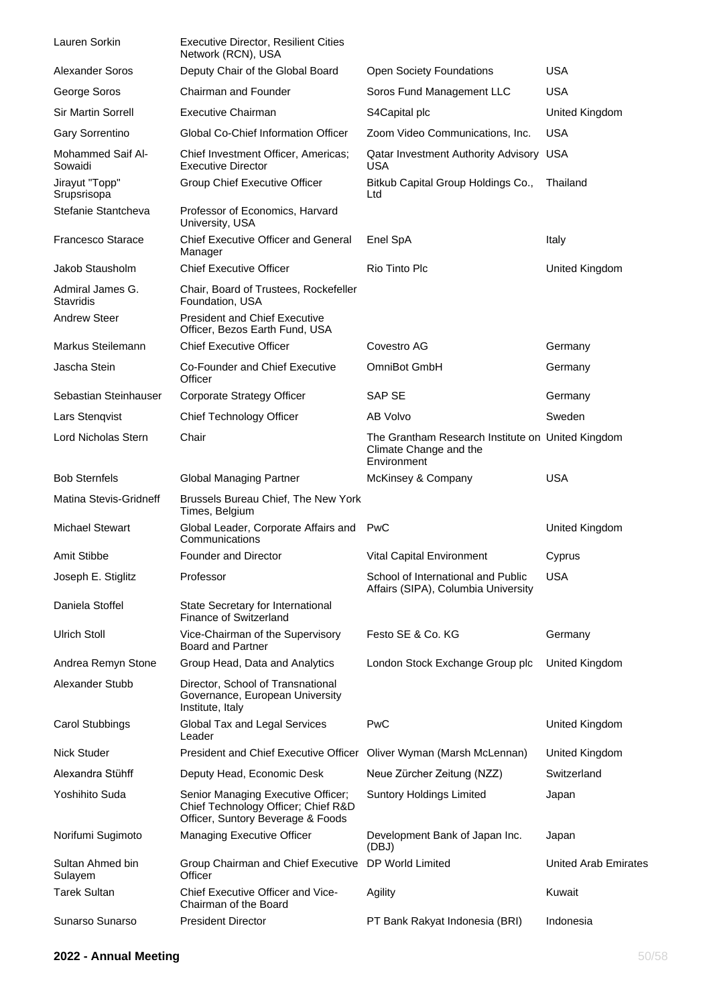| Lauren Sorkin                 | <b>Executive Director, Resilient Cities</b><br>Network (RCN), USA                                              |                                                                                            |                             |
|-------------------------------|----------------------------------------------------------------------------------------------------------------|--------------------------------------------------------------------------------------------|-----------------------------|
| <b>Alexander Soros</b>        | Deputy Chair of the Global Board                                                                               | <b>Open Society Foundations</b>                                                            | <b>USA</b>                  |
| George Soros                  | Chairman and Founder                                                                                           | Soros Fund Management LLC                                                                  | <b>USA</b>                  |
| <b>Sir Martin Sorrell</b>     | <b>Executive Chairman</b>                                                                                      | S4Capital plc                                                                              | United Kingdom              |
| Gary Sorrentino               | Global Co-Chief Information Officer                                                                            | Zoom Video Communications, Inc.                                                            | <b>USA</b>                  |
| Mohammed Saif Al-<br>Sowaidi  | Chief Investment Officer, Americas;<br><b>Executive Director</b>                                               | Qatar Investment Authority Advisory USA<br><b>USA</b>                                      |                             |
| Jirayut "Topp"<br>Srupsrisopa | Group Chief Executive Officer                                                                                  | Bitkub Capital Group Holdings Co.,<br>Ltd                                                  | Thailand                    |
| Stefanie Stantcheva           | Professor of Economics, Harvard<br>University, USA                                                             |                                                                                            |                             |
| <b>Francesco Starace</b>      | <b>Chief Executive Officer and General</b><br>Manager                                                          | Enel SpA                                                                                   | Italy                       |
| Jakob Stausholm               | <b>Chief Executive Officer</b>                                                                                 | Rio Tinto Plc                                                                              | United Kingdom              |
| Admiral James G.<br>Stavridis | Chair, Board of Trustees, Rockefeller<br>Foundation, USA                                                       |                                                                                            |                             |
| <b>Andrew Steer</b>           | <b>President and Chief Executive</b><br>Officer, Bezos Earth Fund, USA                                         |                                                                                            |                             |
| Markus Steilemann             | <b>Chief Executive Officer</b>                                                                                 | Covestro AG                                                                                | Germany                     |
| Jascha Stein                  | Co-Founder and Chief Executive<br>Officer                                                                      | OmniBot GmbH                                                                               | Germany                     |
| Sebastian Steinhauser         | Corporate Strategy Officer                                                                                     | SAP SE                                                                                     | Germany                     |
| Lars Stenqvist                | Chief Technology Officer                                                                                       | AB Volvo                                                                                   | Sweden                      |
| <b>Lord Nicholas Stern</b>    | Chair                                                                                                          | The Grantham Research Institute on United Kingdom<br>Climate Change and the<br>Environment |                             |
| <b>Bob Sternfels</b>          | <b>Global Managing Partner</b>                                                                                 | McKinsey & Company                                                                         | <b>USA</b>                  |
| Matina Stevis-Gridneff        | Brussels Bureau Chief, The New York<br>Times, Belgium                                                          |                                                                                            |                             |
| <b>Michael Stewart</b>        | Global Leader, Corporate Affairs and PwC<br>Communications                                                     |                                                                                            | United Kingdom              |
| Amit Stibbe                   | <b>Founder and Director</b>                                                                                    | Vital Capital Environment                                                                  | Cyprus                      |
| Joseph E. Stiglitz            | Professor                                                                                                      | School of International and Public<br>Affairs (SIPA), Columbia University                  | <b>USA</b>                  |
| Daniela Stoffel               | State Secretary for International<br>Finance of Switzerland                                                    |                                                                                            |                             |
| <b>Ulrich Stoll</b>           | Vice-Chairman of the Supervisory<br><b>Board and Partner</b>                                                   | Festo SE & Co. KG                                                                          | Germany                     |
| Andrea Remyn Stone            | Group Head, Data and Analytics                                                                                 | London Stock Exchange Group plc                                                            | United Kingdom              |
| Alexander Stubb               | Director, School of Transnational<br>Governance, European University<br>Institute, Italy                       |                                                                                            |                             |
| <b>Carol Stubbings</b>        | Global Tax and Legal Services<br>Leader                                                                        | <b>PwC</b>                                                                                 | United Kingdom              |
| <b>Nick Studer</b>            | President and Chief Executive Officer Oliver Wyman (Marsh McLennan)                                            |                                                                                            | United Kingdom              |
| Alexandra Stühff              | Deputy Head, Economic Desk                                                                                     | Neue Zürcher Zeitung (NZZ)                                                                 | Switzerland                 |
| Yoshihito Suda                | Senior Managing Executive Officer;<br>Chief Technology Officer; Chief R&D<br>Officer, Suntory Beverage & Foods | <b>Suntory Holdings Limited</b>                                                            | Japan                       |
| Norifumi Sugimoto             | Managing Executive Officer                                                                                     | Development Bank of Japan Inc.<br>(DBJ)                                                    | Japan                       |
| Sultan Ahmed bin<br>Sulayem   | Group Chairman and Chief Executive<br>Officer                                                                  | DP World Limited                                                                           | <b>United Arab Emirates</b> |
| <b>Tarek Sultan</b>           | Chief Executive Officer and Vice-<br>Chairman of the Board                                                     | Agility                                                                                    | Kuwait                      |
| Sunarso Sunarso               | <b>President Director</b>                                                                                      | PT Bank Rakyat Indonesia (BRI)                                                             | Indonesia                   |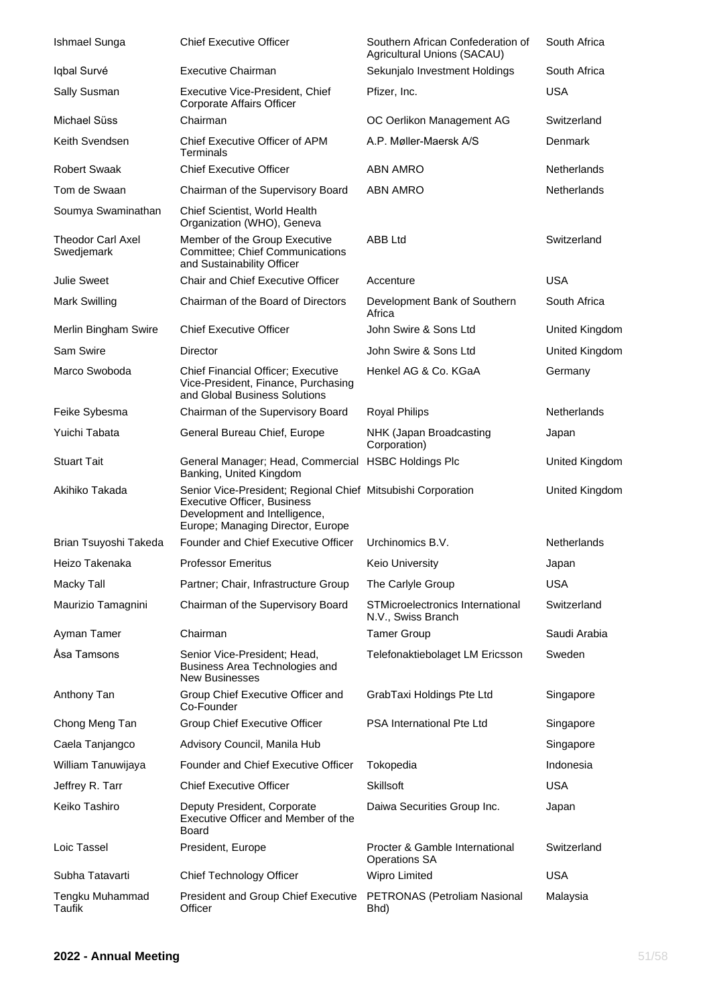| Ishmael Sunga                          | <b>Chief Executive Officer</b>                                                                                                                                           | Southern African Confederation of<br>Agricultural Unions (SACAU) | South Africa   |
|----------------------------------------|--------------------------------------------------------------------------------------------------------------------------------------------------------------------------|------------------------------------------------------------------|----------------|
| Iqbal Survé                            | <b>Executive Chairman</b>                                                                                                                                                | Sekunjalo Investment Holdings                                    | South Africa   |
| Sally Susman                           | Executive Vice-President, Chief<br>Corporate Affairs Officer                                                                                                             | Pfizer, Inc.                                                     | <b>USA</b>     |
| <b>Michael Süss</b>                    | Chairman                                                                                                                                                                 | OC Oerlikon Management AG                                        | Switzerland    |
| Keith Svendsen                         | Chief Executive Officer of APM<br>Terminals                                                                                                                              | A.P. Møller-Maersk A/S                                           | Denmark        |
| <b>Robert Swaak</b>                    | <b>Chief Executive Officer</b>                                                                                                                                           | <b>ABN AMRO</b>                                                  | Netherlands    |
| Tom de Swaan                           | Chairman of the Supervisory Board                                                                                                                                        | <b>ABN AMRO</b>                                                  | Netherlands    |
| Soumya Swaminathan                     | Chief Scientist, World Health<br>Organization (WHO), Geneva                                                                                                              |                                                                  |                |
| <b>Theodor Carl Axel</b><br>Swedjemark | Member of the Group Executive<br>Committee; Chief Communications<br>and Sustainability Officer                                                                           | ABB Ltd                                                          | Switzerland    |
| <b>Julie Sweet</b>                     | Chair and Chief Executive Officer                                                                                                                                        | Accenture                                                        | <b>USA</b>     |
| <b>Mark Swilling</b>                   | Chairman of the Board of Directors                                                                                                                                       | Development Bank of Southern<br>Africa                           | South Africa   |
| Merlin Bingham Swire                   | <b>Chief Executive Officer</b>                                                                                                                                           | John Swire & Sons Ltd                                            | United Kingdom |
| Sam Swire                              | Director                                                                                                                                                                 | John Swire & Sons Ltd                                            | United Kingdom |
| Marco Swoboda                          | <b>Chief Financial Officer: Executive</b><br>Vice-President, Finance, Purchasing<br>and Global Business Solutions                                                        | Henkel AG & Co. KGaA                                             | Germany        |
| Feike Sybesma                          | Chairman of the Supervisory Board                                                                                                                                        | <b>Royal Philips</b>                                             | Netherlands    |
| Yuichi Tabata                          | General Bureau Chief, Europe                                                                                                                                             | NHK (Japan Broadcasting<br>Corporation)                          | Japan          |
| <b>Stuart Tait</b>                     | General Manager; Head, Commercial HSBC Holdings Plc<br>Banking, United Kingdom                                                                                           |                                                                  | United Kingdom |
| Akihiko Takada                         | Senior Vice-President; Regional Chief Mitsubishi Corporation<br><b>Executive Officer, Business</b><br>Development and Intelligence,<br>Europe; Managing Director, Europe |                                                                  | United Kingdom |
| Brian Tsuyoshi Takeda                  | Founder and Chief Executive Officer                                                                                                                                      | Urchinomics B.V.                                                 | Netherlands    |
| Heizo Takenaka                         | <b>Professor Emeritus</b>                                                                                                                                                | <b>Keio University</b>                                           | Japan          |
| Macky Tall                             | Partner; Chair, Infrastructure Group                                                                                                                                     | The Carlyle Group                                                | <b>USA</b>     |
| Maurizio Tamagnini                     | Chairman of the Supervisory Board                                                                                                                                        | STMicroelectronics International<br>N.V., Swiss Branch           | Switzerland    |
| Ayman Tamer                            | Chairman                                                                                                                                                                 | <b>Tamer Group</b>                                               | Saudi Arabia   |
| Åsa Tamsons                            | Senior Vice-President; Head,<br>Business Area Technologies and<br><b>New Businesses</b>                                                                                  | Telefonaktiebolaget LM Ericsson                                  | Sweden         |
| Anthony Tan                            | Group Chief Executive Officer and<br>Co-Founder                                                                                                                          | GrabTaxi Holdings Pte Ltd                                        | Singapore      |
| Chong Meng Tan                         | Group Chief Executive Officer                                                                                                                                            | PSA International Pte Ltd                                        | Singapore      |
| Caela Tanjangco                        | Advisory Council, Manila Hub                                                                                                                                             |                                                                  | Singapore      |
| William Tanuwijaya                     | Founder and Chief Executive Officer                                                                                                                                      | Tokopedia                                                        | Indonesia      |
| Jeffrey R. Tarr                        | <b>Chief Executive Officer</b>                                                                                                                                           | <b>Skillsoft</b>                                                 | <b>USA</b>     |
| Keiko Tashiro                          | Deputy President, Corporate<br>Executive Officer and Member of the<br><b>Board</b>                                                                                       | Daiwa Securities Group Inc.                                      | Japan          |
| Loic Tassel                            | President, Europe                                                                                                                                                        | Procter & Gamble International<br><b>Operations SA</b>           | Switzerland    |
| Subha Tatavarti                        | Chief Technology Officer                                                                                                                                                 | <b>Wipro Limited</b>                                             | <b>USA</b>     |
| Tengku Muhammad<br>Taufik              | President and Group Chief Executive<br>Officer                                                                                                                           | PETRONAS (Petroliam Nasional<br>Bhd)                             | Malaysia       |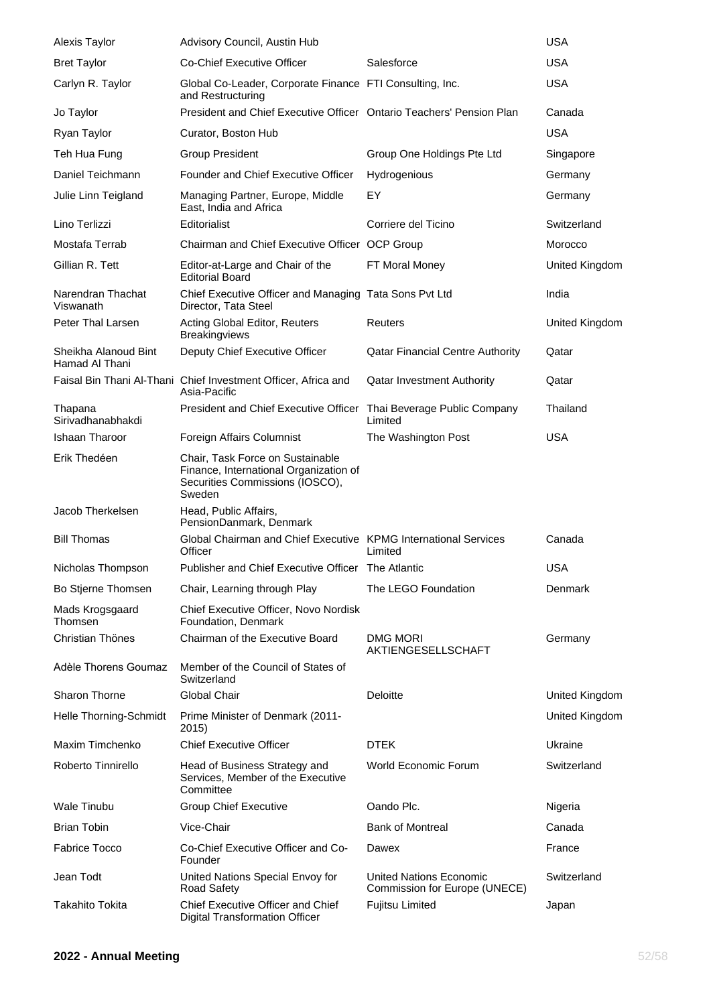| <b>Alexis Taylor</b>                   | Advisory Council, Austin Hub                                                                                            |                                                                 | <b>USA</b>     |
|----------------------------------------|-------------------------------------------------------------------------------------------------------------------------|-----------------------------------------------------------------|----------------|
| <b>Bret Taylor</b>                     | Co-Chief Executive Officer                                                                                              | Salesforce                                                      | <b>USA</b>     |
| Carlyn R. Taylor                       | Global Co-Leader, Corporate Finance FTI Consulting, Inc.<br>and Restructuring                                           |                                                                 | <b>USA</b>     |
| Jo Taylor                              | President and Chief Executive Officer Ontario Teachers' Pension Plan                                                    |                                                                 | Canada         |
| Ryan Taylor                            | Curator, Boston Hub                                                                                                     |                                                                 | <b>USA</b>     |
| Teh Hua Fung                           | <b>Group President</b>                                                                                                  | Group One Holdings Pte Ltd                                      | Singapore      |
| Daniel Teichmann                       | Founder and Chief Executive Officer                                                                                     | Hydrogenious                                                    | Germany        |
| Julie Linn Teigland                    | Managing Partner, Europe, Middle<br>East, India and Africa                                                              | EY                                                              | Germany        |
| Lino Terlizzi                          | Editorialist                                                                                                            | Corriere del Ticino                                             | Switzerland    |
| Mostafa Terrab                         | Chairman and Chief Executive Officer OCP Group                                                                          |                                                                 | Morocco        |
| Gillian R. Tett                        | Editor-at-Large and Chair of the<br><b>Editorial Board</b>                                                              | FT Moral Money                                                  | United Kingdom |
| Narendran Thachat<br>Viswanath         | Chief Executive Officer and Managing Tata Sons Pvt Ltd<br>Director, Tata Steel                                          |                                                                 | India          |
| Peter Thal Larsen                      | Acting Global Editor, Reuters<br><b>Breakingviews</b>                                                                   | Reuters                                                         | United Kingdom |
| Sheikha Alanoud Bint<br>Hamad Al Thani | Deputy Chief Executive Officer                                                                                          | <b>Qatar Financial Centre Authority</b>                         | Qatar          |
|                                        | Faisal Bin Thani Al-Thani Chief Investment Officer, Africa and<br>Asia-Pacific                                          | <b>Qatar Investment Authority</b>                               | Qatar          |
| Thapana<br>Sirivadhanabhakdi           | President and Chief Executive Officer Thai Beverage Public Company                                                      | Limited                                                         | Thailand       |
| <b>Ishaan Tharoor</b>                  | Foreign Affairs Columnist                                                                                               | The Washington Post                                             | <b>USA</b>     |
| Erik Thedéen                           | Chair, Task Force on Sustainable<br>Finance, International Organization of<br>Securities Commissions (IOSCO),<br>Sweden |                                                                 |                |
| Jacob Therkelsen                       | Head, Public Affairs,<br>PensionDanmark, Denmark                                                                        |                                                                 |                |
| <b>Bill Thomas</b>                     | Global Chairman and Chief Executive KPMG International Services<br>Officer                                              | Limited                                                         | Canada         |
| Nicholas Thompson                      | Publisher and Chief Executive Officer The Atlantic                                                                      |                                                                 | <b>USA</b>     |
| Bo Stjerne Thomsen                     | Chair, Learning through Play                                                                                            | The LEGO Foundation                                             | Denmark        |
| Mads Krogsgaard<br>Thomsen             | Chief Executive Officer, Novo Nordisk<br>Foundation, Denmark                                                            |                                                                 |                |
| Christian Thönes                       | Chairman of the Executive Board                                                                                         | <b>DMG MORI</b><br>AKTIENGESELLSCHAFT                           | Germany        |
| Adèle Thorens Goumaz                   | Member of the Council of States of<br>Switzerland                                                                       |                                                                 |                |
| Sharon Thorne                          | Global Chair                                                                                                            | Deloitte                                                        | United Kingdom |
| Helle Thorning-Schmidt                 | Prime Minister of Denmark (2011-<br>2015)                                                                               |                                                                 | United Kingdom |
| Maxim Timchenko                        | <b>Chief Executive Officer</b>                                                                                          | <b>DTEK</b>                                                     | Ukraine        |
| Roberto Tinnirello                     | Head of Business Strategy and<br>Services, Member of the Executive<br>Committee                                         | <b>World Economic Forum</b>                                     | Switzerland    |
| <b>Wale Tinubu</b>                     | <b>Group Chief Executive</b>                                                                                            | Oando Plc.                                                      | Nigeria        |
| <b>Brian Tobin</b>                     | Vice-Chair                                                                                                              | <b>Bank of Montreal</b>                                         | Canada         |
| <b>Fabrice Tocco</b>                   | Co-Chief Executive Officer and Co-<br>Founder                                                                           | Dawex                                                           | France         |
| Jean Todt                              | United Nations Special Envoy for<br>Road Safety                                                                         | <b>United Nations Economic</b><br>Commission for Europe (UNECE) | Switzerland    |
| <b>Takahito Tokita</b>                 | Chief Executive Officer and Chief<br><b>Digital Transformation Officer</b>                                              | <b>Fujitsu Limited</b>                                          | Japan          |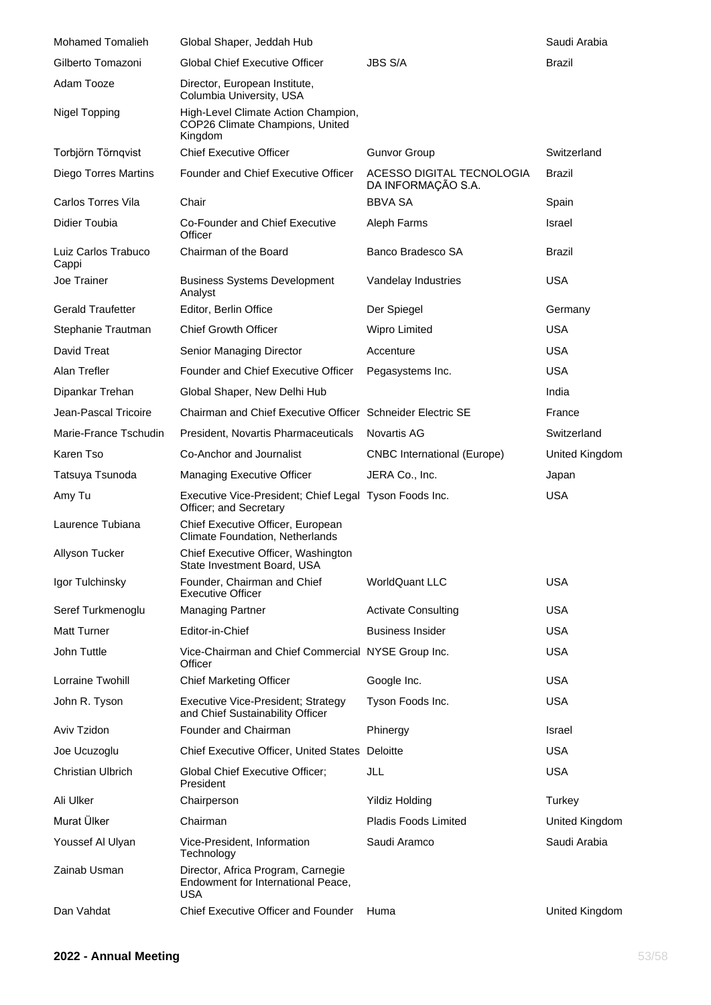| <b>Mohamed Tomalieh</b>      | Global Shaper, Jeddah Hub                                                              |                                                 | Saudi Arabia   |
|------------------------------|----------------------------------------------------------------------------------------|-------------------------------------------------|----------------|
| Gilberto Tomazoni            | <b>Global Chief Executive Officer</b>                                                  | <b>JBS S/A</b>                                  | Brazil         |
| Adam Tooze                   | Director, European Institute,<br>Columbia University, USA                              |                                                 |                |
| <b>Nigel Topping</b>         | High-Level Climate Action Champion,<br>COP26 Climate Champions, United<br>Kingdom      |                                                 |                |
| Torbjörn Törnqvist           | <b>Chief Executive Officer</b>                                                         | <b>Gunvor Group</b>                             | Switzerland    |
| Diego Torres Martins         | Founder and Chief Executive Officer                                                    | ACESSO DIGITAL TECNOLOGIA<br>DA INFORMAÇÃO S.A. | Brazil         |
| Carlos Torres Vila           | Chair                                                                                  | <b>BBVA SA</b>                                  | Spain          |
| Didier Toubia                | Co-Founder and Chief Executive<br>Officer                                              | Aleph Farms                                     | Israel         |
| Luiz Carlos Trabuco<br>Cappi | Chairman of the Board                                                                  | Banco Bradesco SA                               | Brazil         |
| Joe Trainer                  | <b>Business Systems Development</b><br>Analyst                                         | Vandelay Industries                             | <b>USA</b>     |
| <b>Gerald Traufetter</b>     | Editor, Berlin Office                                                                  | Der Spiegel                                     | Germany        |
| Stephanie Trautman           | <b>Chief Growth Officer</b>                                                            | Wipro Limited                                   | <b>USA</b>     |
| David Treat                  | Senior Managing Director                                                               | Accenture                                       | <b>USA</b>     |
| Alan Trefler                 | Founder and Chief Executive Officer                                                    | Pegasystems Inc.                                | <b>USA</b>     |
| Dipankar Trehan              | Global Shaper, New Delhi Hub                                                           |                                                 | India          |
| Jean-Pascal Tricoire         | Chairman and Chief Executive Officer Schneider Electric SE                             |                                                 | France         |
| Marie-France Tschudin        | President, Novartis Pharmaceuticals                                                    | Novartis AG                                     | Switzerland    |
| Karen Tso                    | Co-Anchor and Journalist                                                               | <b>CNBC</b> International (Europe)              | United Kingdom |
| Tatsuya Tsunoda              | Managing Executive Officer                                                             | JERA Co., Inc.                                  | Japan          |
| Amy Tu                       | Executive Vice-President; Chief Legal Tyson Foods Inc.<br>Officer; and Secretary       |                                                 | <b>USA</b>     |
| Laurence Tubiana             | Chief Executive Officer, European<br>Climate Foundation, Netherlands                   |                                                 |                |
| Allyson Tucker               | Chief Executive Officer, Washington<br>State Investment Board, USA                     |                                                 |                |
| Igor Tulchinsky              | Founder, Chairman and Chief<br><b>Executive Officer</b>                                | <b>WorldQuant LLC</b>                           | <b>USA</b>     |
| Seref Turkmenoglu            | <b>Managing Partner</b>                                                                | <b>Activate Consulting</b>                      | <b>USA</b>     |
| <b>Matt Turner</b>           | Editor-in-Chief                                                                        | <b>Business Insider</b>                         | <b>USA</b>     |
| John Tuttle                  | Vice-Chairman and Chief Commercial NYSE Group Inc.<br>Officer                          |                                                 | <b>USA</b>     |
| Lorraine Twohill             | <b>Chief Marketing Officer</b>                                                         | Google Inc.                                     | <b>USA</b>     |
| John R. Tyson                | Executive Vice-President; Strategy<br>and Chief Sustainability Officer                 | Tyson Foods Inc.                                | <b>USA</b>     |
| Aviv Tzidon                  | Founder and Chairman                                                                   | Phinergy                                        | Israel         |
| Joe Ucuzoglu                 | Chief Executive Officer, United States Deloitte                                        |                                                 | <b>USA</b>     |
| <b>Christian Ulbrich</b>     | Global Chief Executive Officer;<br>President                                           | JLL                                             | <b>USA</b>     |
| Ali Ulker                    | Chairperson                                                                            | <b>Yildiz Holding</b>                           | Turkey         |
| Murat Ülker                  | Chairman                                                                               | <b>Pladis Foods Limited</b>                     | United Kingdom |
| Youssef Al Ulyan             | Vice-President, Information<br>Technology                                              | Saudi Aramco                                    | Saudi Arabia   |
| Zainab Usman                 | Director, Africa Program, Carnegie<br>Endowment for International Peace,<br><b>USA</b> |                                                 |                |
| Dan Vahdat                   | Chief Executive Officer and Founder                                                    | Huma                                            | United Kingdom |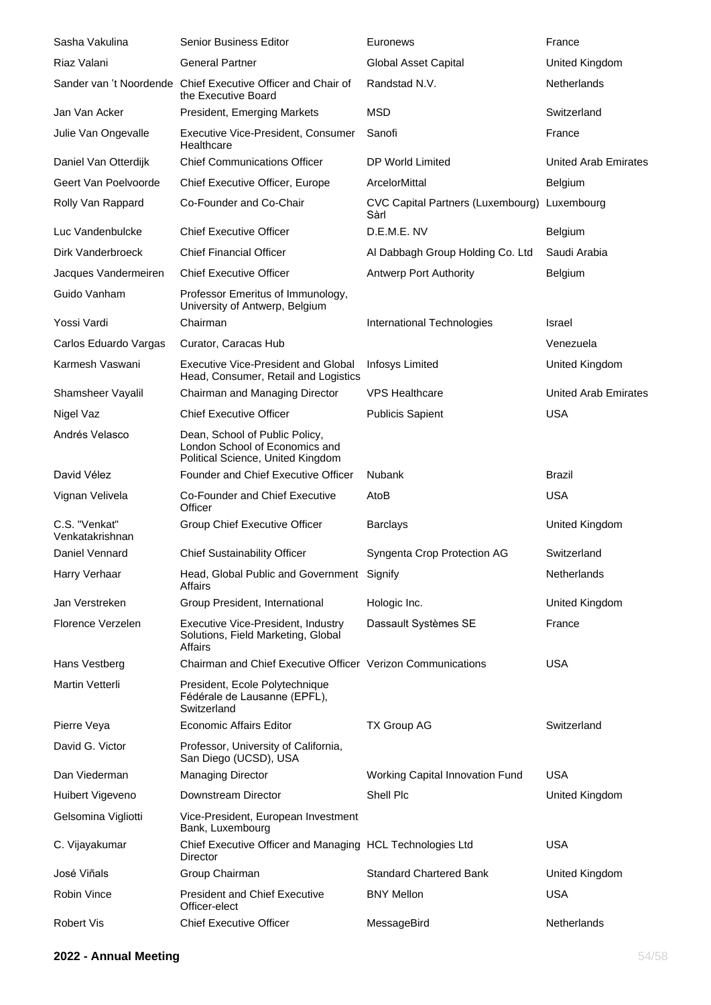| Sasha Vakulina                   | <b>Senior Business Editor</b>                                                                         | Euronews                                  | France                      |
|----------------------------------|-------------------------------------------------------------------------------------------------------|-------------------------------------------|-----------------------------|
| Riaz Valani                      | <b>General Partner</b>                                                                                | Global Asset Capital                      | United Kingdom              |
|                                  | Sander van 't Noordende Chief Executive Officer and Chair of<br>the Executive Board                   | Randstad N.V.                             | Netherlands                 |
| Jan Van Acker                    | President, Emerging Markets                                                                           | <b>MSD</b>                                | Switzerland                 |
| Julie Van Ongevalle              | Executive Vice-President, Consumer<br>Healthcare                                                      | Sanofi                                    | France                      |
| Daniel Van Otterdijk             | <b>Chief Communications Officer</b>                                                                   | DP World Limited                          | United Arab Emirates        |
| Geert Van Poelvoorde             | <b>Chief Executive Officer, Europe</b>                                                                | ArcelorMittal                             | <b>Belgium</b>              |
| Rolly Van Rappard                | Co-Founder and Co-Chair                                                                               | CVC Capital Partners (Luxembourg)<br>Sàrl | Luxembourg                  |
| Luc Vandenbulcke                 | <b>Chief Executive Officer</b>                                                                        | D.E.M.E. NV                               | Belgium                     |
| Dirk Vanderbroeck                | <b>Chief Financial Officer</b>                                                                        | Al Dabbagh Group Holding Co. Ltd          | Saudi Arabia                |
| Jacques Vandermeiren             | <b>Chief Executive Officer</b>                                                                        | <b>Antwerp Port Authority</b>             | Belgium                     |
| Guido Vanham                     | Professor Emeritus of Immunology,<br>University of Antwerp, Belgium                                   |                                           |                             |
| Yossi Vardi                      | Chairman                                                                                              | International Technologies                | Israel                      |
| Carlos Eduardo Vargas            | Curator, Caracas Hub                                                                                  |                                           | Venezuela                   |
| Karmesh Vaswani                  | <b>Executive Vice-President and Global</b><br>Head, Consumer, Retail and Logistics                    | <b>Infosys Limited</b>                    | United Kingdom              |
| Shamsheer Vayalil                | Chairman and Managing Director                                                                        | <b>VPS Healthcare</b>                     | <b>United Arab Emirates</b> |
| Nigel Vaz                        | <b>Chief Executive Officer</b>                                                                        | <b>Publicis Sapient</b>                   | <b>USA</b>                  |
| Andrés Velasco                   | Dean, School of Public Policy,<br>London School of Economics and<br>Political Science, United Kingdom |                                           |                             |
| David Vélez                      | Founder and Chief Executive Officer                                                                   | <b>Nubank</b>                             | Brazil                      |
| Vignan Velivela                  | Co-Founder and Chief Executive<br>Officer                                                             | AtoB                                      | <b>USA</b>                  |
| C.S. "Venkat"<br>Venkatakrishnan | Group Chief Executive Officer                                                                         | <b>Barclays</b>                           | United Kingdom              |
| Daniel Vennard                   | <b>Chief Sustainability Officer</b>                                                                   | Syngenta Crop Protection AG               | Switzerland                 |
| Harry Verhaar                    | Head, Global Public and Government Signify<br>Affairs                                                 |                                           | Netherlands                 |
| Jan Verstreken                   | Group President, International                                                                        | Hologic Inc.                              | United Kingdom              |
| Florence Verzelen                | Executive Vice-President, Industry<br>Solutions, Field Marketing, Global<br>Affairs                   | Dassault Systèmes SE                      | France                      |
| Hans Vestberg                    | Chairman and Chief Executive Officer Verizon Communications                                           |                                           | <b>USA</b>                  |
| Martin Vetterli                  | President, Ecole Polytechnique<br>Fédérale de Lausanne (EPFL),<br>Switzerland                         |                                           |                             |
| Pierre Veya                      | <b>Economic Affairs Editor</b>                                                                        | <b>TX Group AG</b>                        | Switzerland                 |
| David G. Victor                  | Professor, University of California,<br>San Diego (UCSD), USA                                         |                                           |                             |
| Dan Viederman                    | <b>Managing Director</b>                                                                              | Working Capital Innovation Fund           | <b>USA</b>                  |
| Huibert Vigeveno                 | Downstream Director                                                                                   | Shell Plc                                 | United Kingdom              |
| Gelsomina Vigliotti              | Vice-President, European Investment<br>Bank, Luxembourg                                               |                                           |                             |
| C. Vijayakumar                   | Chief Executive Officer and Managing HCL Technologies Ltd<br>Director                                 |                                           | <b>USA</b>                  |
| José Viñals                      | Group Chairman                                                                                        | <b>Standard Chartered Bank</b>            | United Kingdom              |
| Robin Vince                      | <b>President and Chief Executive</b><br>Officer-elect                                                 | <b>BNY Mellon</b>                         | <b>USA</b>                  |
| <b>Robert Vis</b>                | <b>Chief Executive Officer</b>                                                                        | MessageBird                               | Netherlands                 |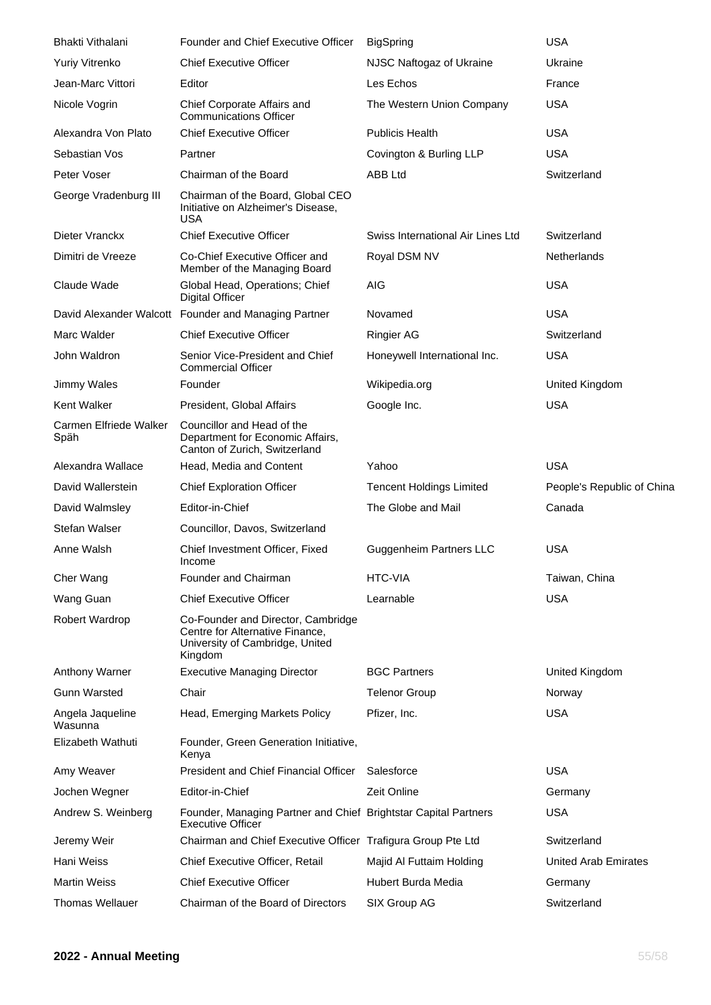| Bhakti Vithalani               | Founder and Chief Executive Officer                                                                                 | <b>BigSpring</b>                  | <b>USA</b>                  |
|--------------------------------|---------------------------------------------------------------------------------------------------------------------|-----------------------------------|-----------------------------|
| Yuriy Vitrenko                 | <b>Chief Executive Officer</b>                                                                                      | NJSC Naftogaz of Ukraine          | Ukraine                     |
| Jean-Marc Vittori              | Editor                                                                                                              | Les Echos                         | France                      |
| Nicole Vogrin                  | Chief Corporate Affairs and<br><b>Communications Officer</b>                                                        | The Western Union Company         | <b>USA</b>                  |
| Alexandra Von Plato            | <b>Chief Executive Officer</b>                                                                                      | <b>Publicis Health</b>            | <b>USA</b>                  |
| Sebastian Vos                  | Partner                                                                                                             | Covington & Burling LLP           | <b>USA</b>                  |
| Peter Voser                    | Chairman of the Board                                                                                               | ABB Ltd                           | Switzerland                 |
| George Vradenburg III          | Chairman of the Board, Global CEO<br>Initiative on Alzheimer's Disease,<br><b>USA</b>                               |                                   |                             |
| Dieter Vranckx                 | <b>Chief Executive Officer</b>                                                                                      | Swiss International Air Lines Ltd | Switzerland                 |
| Dimitri de Vreeze              | Co-Chief Executive Officer and<br>Member of the Managing Board                                                      | Royal DSM NV                      | Netherlands                 |
| Claude Wade                    | Global Head, Operations; Chief<br><b>Digital Officer</b>                                                            | <b>AIG</b>                        | <b>USA</b>                  |
|                                | David Alexander Walcott Founder and Managing Partner                                                                | Novamed                           | <b>USA</b>                  |
| Marc Walder                    | <b>Chief Executive Officer</b>                                                                                      | <b>Ringier AG</b>                 | Switzerland                 |
| John Waldron                   | Senior Vice-President and Chief<br><b>Commercial Officer</b>                                                        | Honeywell International Inc.      | <b>USA</b>                  |
| Jimmy Wales                    | Founder                                                                                                             | Wikipedia.org                     | United Kingdom              |
| <b>Kent Walker</b>             | President, Global Affairs                                                                                           | Google Inc.                       | <b>USA</b>                  |
| Carmen Elfriede Walker<br>Späh | Councillor and Head of the<br>Department for Economic Affairs,<br>Canton of Zurich, Switzerland                     |                                   |                             |
| Alexandra Wallace              | Head, Media and Content                                                                                             | Yahoo                             | <b>USA</b>                  |
| David Wallerstein              | <b>Chief Exploration Officer</b>                                                                                    | <b>Tencent Holdings Limited</b>   | People's Republic of China  |
| David Walmsley                 | Editor-in-Chief                                                                                                     | The Globe and Mail                | Canada                      |
| Stefan Walser                  | Councillor, Davos, Switzerland                                                                                      |                                   |                             |
| Anne Walsh                     | Chief Investment Officer, Fixed<br>Income                                                                           | <b>Guggenheim Partners LLC</b>    | <b>USA</b>                  |
| Cher Wang                      | Founder and Chairman                                                                                                | HTC-VIA                           | Taiwan, China               |
| Wang Guan                      | <b>Chief Executive Officer</b>                                                                                      | Learnable                         | <b>USA</b>                  |
| Robert Wardrop                 | Co-Founder and Director, Cambridge<br>Centre for Alternative Finance,<br>University of Cambridge, United<br>Kingdom |                                   |                             |
| Anthony Warner                 | <b>Executive Managing Director</b>                                                                                  | <b>BGC Partners</b>               | United Kingdom              |
| <b>Gunn Warsted</b>            | Chair                                                                                                               | <b>Telenor Group</b>              | Norway                      |
| Angela Jaqueline<br>Wasunna    | Head, Emerging Markets Policy                                                                                       | Pfizer, Inc.                      | <b>USA</b>                  |
| Elizabeth Wathuti              | Founder, Green Generation Initiative,<br>Kenya                                                                      |                                   |                             |
| Amy Weaver                     | <b>President and Chief Financial Officer</b>                                                                        | Salesforce                        | <b>USA</b>                  |
| Jochen Wegner                  | Editor-in-Chief                                                                                                     | Zeit Online                       | Germany                     |
| Andrew S. Weinberg             | Founder, Managing Partner and Chief Brightstar Capital Partners<br><b>Executive Officer</b>                         |                                   | <b>USA</b>                  |
| Jeremy Weir                    | Chairman and Chief Executive Officer Trafigura Group Pte Ltd                                                        |                                   | Switzerland                 |
| Hani Weiss                     | Chief Executive Officer, Retail                                                                                     | Majid Al Futtaim Holding          | <b>United Arab Emirates</b> |
| <b>Martin Weiss</b>            | <b>Chief Executive Officer</b>                                                                                      | Hubert Burda Media                | Germany                     |
| <b>Thomas Wellauer</b>         | Chairman of the Board of Directors                                                                                  | SIX Group AG                      | Switzerland                 |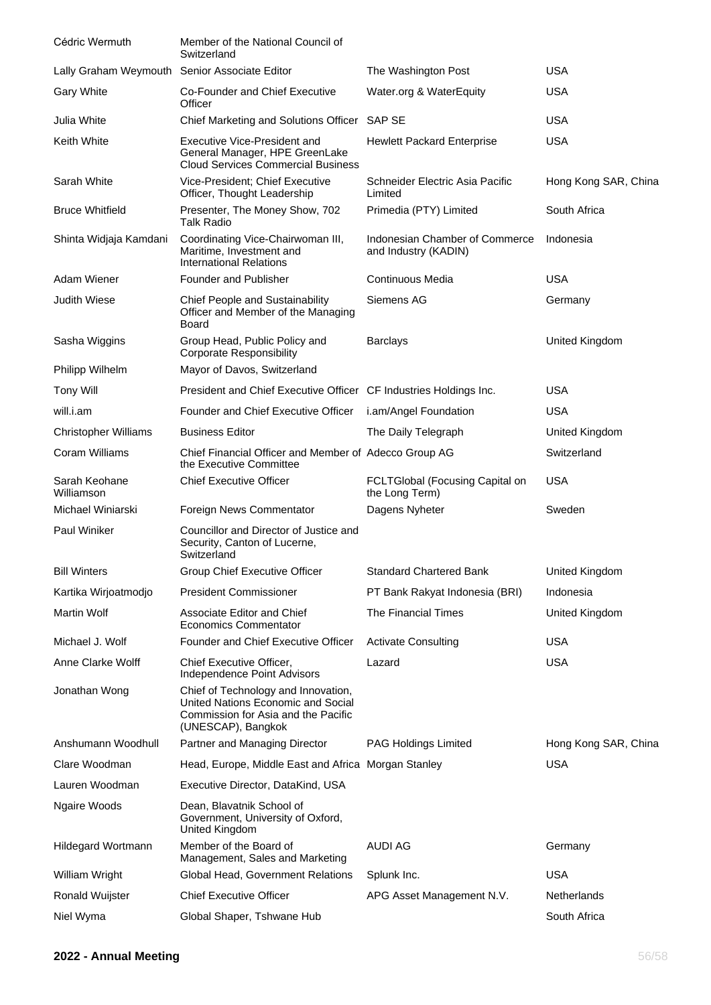| Cédric Wermuth                                | Member of the National Council of<br>Switzerland                                                                                       |                                                        |                      |
|-----------------------------------------------|----------------------------------------------------------------------------------------------------------------------------------------|--------------------------------------------------------|----------------------|
| Lally Graham Weymouth Senior Associate Editor |                                                                                                                                        | The Washington Post                                    | <b>USA</b>           |
| <b>Gary White</b>                             | Co-Founder and Chief Executive<br>Officer                                                                                              | Water.org & WaterEquity                                | <b>USA</b>           |
| Julia White                                   | Chief Marketing and Solutions Officer SAP SE                                                                                           |                                                        | <b>USA</b>           |
| Keith White                                   | Executive Vice-President and<br>General Manager, HPE GreenLake<br><b>Cloud Services Commercial Business</b>                            | <b>Hewlett Packard Enterprise</b>                      | <b>USA</b>           |
| Sarah White                                   | Vice-President; Chief Executive<br>Officer, Thought Leadership                                                                         | Schneider Electric Asia Pacific<br>Limited             | Hong Kong SAR, China |
| <b>Bruce Whitfield</b>                        | Presenter, The Money Show, 702<br><b>Talk Radio</b>                                                                                    | Primedia (PTY) Limited                                 | South Africa         |
| Shinta Widjaja Kamdani                        | Coordinating Vice-Chairwoman III,<br>Maritime, Investment and<br><b>International Relations</b>                                        | Indonesian Chamber of Commerce<br>and Industry (KADIN) | Indonesia            |
| Adam Wiener                                   | Founder and Publisher                                                                                                                  | Continuous Media                                       | <b>USA</b>           |
| <b>Judith Wiese</b>                           | <b>Chief People and Sustainability</b><br>Officer and Member of the Managing<br>Board                                                  | Siemens AG                                             | Germany              |
| Sasha Wiggins                                 | Group Head, Public Policy and<br><b>Corporate Responsibility</b>                                                                       | <b>Barclays</b>                                        | United Kingdom       |
| Philipp Wilhelm                               | Mayor of Davos, Switzerland                                                                                                            |                                                        |                      |
| <b>Tony Will</b>                              | President and Chief Executive Officer CF Industries Holdings Inc.                                                                      |                                                        | <b>USA</b>           |
| will.i.am                                     | Founder and Chief Executive Officer                                                                                                    | i.am/Angel Foundation                                  | <b>USA</b>           |
| <b>Christopher Williams</b>                   | <b>Business Editor</b>                                                                                                                 | The Daily Telegraph                                    | United Kingdom       |
| Coram Williams                                | Chief Financial Officer and Member of Adecco Group AG<br>the Executive Committee                                                       |                                                        | Switzerland          |
| Sarah Keohane<br>Williamson                   | <b>Chief Executive Officer</b>                                                                                                         | FCLTGlobal (Focusing Capital on<br>the Long Term)      | <b>USA</b>           |
| Michael Winiarski                             | Foreign News Commentator                                                                                                               | Dagens Nyheter                                         | Sweden               |
| Paul Winiker                                  | Councillor and Director of Justice and<br>Security, Canton of Lucerne,<br>Switzerland                                                  |                                                        |                      |
| <b>Bill Winters</b>                           | Group Chief Executive Officer                                                                                                          | <b>Standard Chartered Bank</b>                         | United Kingdom       |
| Kartika Wirjoatmodjo                          | <b>President Commissioner</b>                                                                                                          | PT Bank Rakyat Indonesia (BRI)                         | Indonesia            |
| <b>Martin Wolf</b>                            | Associate Editor and Chief<br><b>Economics Commentator</b>                                                                             | The Financial Times                                    | United Kingdom       |
| Michael J. Wolf                               | <b>Founder and Chief Executive Officer</b>                                                                                             | <b>Activate Consulting</b>                             | <b>USA</b>           |
| Anne Clarke Wolff                             | Chief Executive Officer,<br>Independence Point Advisors                                                                                | Lazard                                                 | <b>USA</b>           |
| Jonathan Wong                                 | Chief of Technology and Innovation,<br>United Nations Economic and Social<br>Commission for Asia and the Pacific<br>(UNESCAP), Bangkok |                                                        |                      |
| Anshumann Woodhull                            | Partner and Managing Director                                                                                                          | <b>PAG Holdings Limited</b>                            | Hong Kong SAR, China |
| Clare Woodman                                 | Head, Europe, Middle East and Africa Morgan Stanley                                                                                    |                                                        | <b>USA</b>           |
| Lauren Woodman                                | Executive Director, DataKind, USA                                                                                                      |                                                        |                      |
| Ngaire Woods                                  | Dean, Blavatnik School of<br>Government, University of Oxford,<br>United Kingdom                                                       |                                                        |                      |
| Hildegard Wortmann                            | Member of the Board of<br>Management, Sales and Marketing                                                                              | <b>AUDI AG</b>                                         | Germany              |
| William Wright                                | Global Head, Government Relations                                                                                                      | Splunk Inc.                                            | <b>USA</b>           |
| <b>Ronald Wuijster</b>                        | <b>Chief Executive Officer</b>                                                                                                         | APG Asset Management N.V.                              | Netherlands          |
| Niel Wyma                                     | Global Shaper, Tshwane Hub                                                                                                             |                                                        | South Africa         |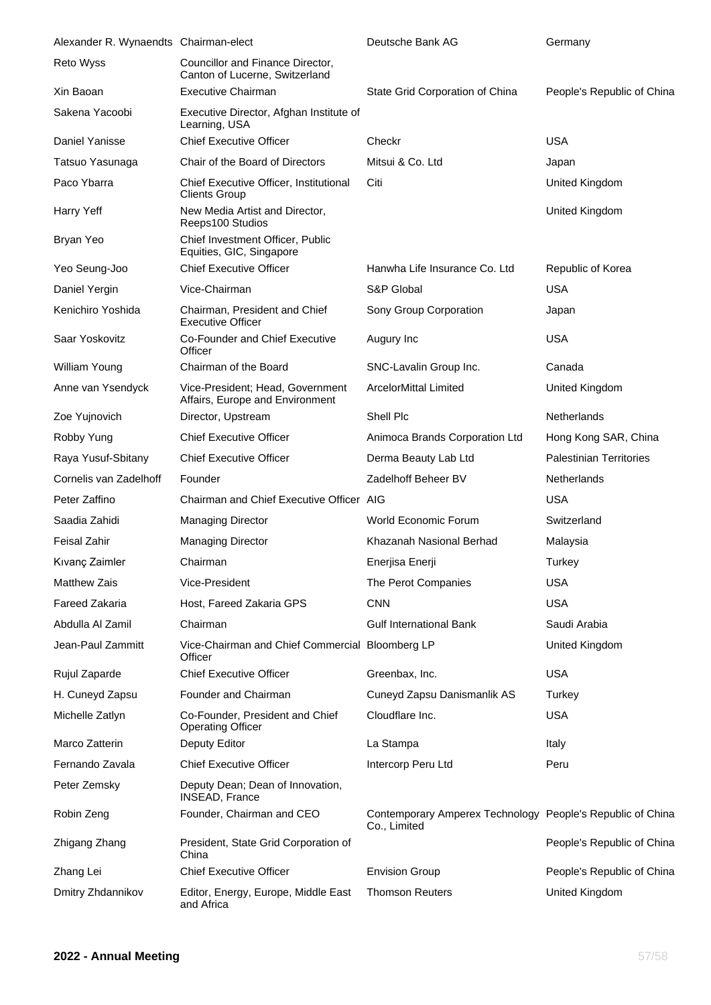| Alexander R. Wynaendts Chairman-elect |                                                                     | Deutsche Bank AG                                                           | Germany                        |
|---------------------------------------|---------------------------------------------------------------------|----------------------------------------------------------------------------|--------------------------------|
| Reto Wyss                             | Councillor and Finance Director,<br>Canton of Lucerne, Switzerland  |                                                                            |                                |
| Xin Baoan                             | <b>Executive Chairman</b>                                           | State Grid Corporation of China                                            | People's Republic of China     |
| Sakena Yacoobi                        | Executive Director, Afghan Institute of<br>Learning, USA            |                                                                            |                                |
| Daniel Yanisse                        | <b>Chief Executive Officer</b>                                      | Checkr                                                                     | <b>USA</b>                     |
| Tatsuo Yasunaga                       | Chair of the Board of Directors                                     | Mitsui & Co. Ltd                                                           | Japan                          |
| Paco Ybarra                           | Chief Executive Officer, Institutional<br><b>Clients Group</b>      | Citi                                                                       | United Kingdom                 |
| Harry Yeff                            | New Media Artist and Director,<br>Reeps100 Studios                  |                                                                            | United Kingdom                 |
| Bryan Yeo                             | Chief Investment Officer, Public<br>Equities, GIC, Singapore        |                                                                            |                                |
| Yeo Seung-Joo                         | <b>Chief Executive Officer</b>                                      | Hanwha Life Insurance Co. Ltd                                              | Republic of Korea              |
| Daniel Yergin                         | Vice-Chairman                                                       | S&P Global                                                                 | <b>USA</b>                     |
| Kenichiro Yoshida                     | Chairman, President and Chief<br><b>Executive Officer</b>           | Sony Group Corporation                                                     | Japan                          |
| Saar Yoskovitz                        | Co-Founder and Chief Executive<br>Officer                           | Augury Inc                                                                 | <b>USA</b>                     |
| William Young                         | Chairman of the Board                                               | SNC-Lavalin Group Inc.                                                     | Canada                         |
| Anne van Ysendyck                     | Vice-President; Head, Government<br>Affairs, Europe and Environment | ArcelorMittal Limited                                                      | United Kingdom                 |
| Zoe Yujnovich                         | Director, Upstream                                                  | Shell Plc                                                                  | Netherlands                    |
| Robby Yung                            | <b>Chief Executive Officer</b>                                      | Animoca Brands Corporation Ltd                                             | Hong Kong SAR, China           |
| Raya Yusuf-Sbitany                    | <b>Chief Executive Officer</b>                                      | Derma Beauty Lab Ltd                                                       | <b>Palestinian Territories</b> |
| Cornelis van Zadelhoff                | Founder                                                             | Zadelhoff Beheer BV                                                        | Netherlands                    |
| Peter Zaffino                         | Chairman and Chief Executive Officer AIG                            |                                                                            | <b>USA</b>                     |
| Saadia Zahidi                         | <b>Managing Director</b>                                            | World Economic Forum                                                       | Switzerland                    |
| <b>Feisal Zahir</b>                   | <b>Managing Director</b>                                            | Khazanah Nasional Berhad                                                   | Malaysia                       |
| Kıvanç Zaimler                        | Chairman                                                            | Enerjisa Enerji                                                            | Turkey                         |
| <b>Matthew Zais</b>                   | Vice-President                                                      | The Perot Companies                                                        | <b>USA</b>                     |
| <b>Fareed Zakaria</b>                 | Host, Fareed Zakaria GPS                                            | <b>CNN</b>                                                                 | <b>USA</b>                     |
| Abdulla Al Zamil                      | Chairman                                                            | <b>Gulf International Bank</b>                                             | Saudi Arabia                   |
| Jean-Paul Zammitt                     | Vice-Chairman and Chief Commercial Bloomberg LP<br>Officer          |                                                                            | United Kingdom                 |
| Rujul Zaparde                         | <b>Chief Executive Officer</b>                                      | Greenbax, Inc.                                                             | <b>USA</b>                     |
| H. Cuneyd Zapsu                       | Founder and Chairman                                                | Cuneyd Zapsu Danismanlik AS                                                | Turkey                         |
| Michelle Zatlyn                       | Co-Founder, President and Chief<br><b>Operating Officer</b>         | Cloudflare Inc.                                                            | <b>USA</b>                     |
| Marco Zatterin                        | Deputy Editor                                                       | La Stampa                                                                  | Italy                          |
| Fernando Zavala                       | <b>Chief Executive Officer</b>                                      | Intercorp Peru Ltd                                                         | Peru                           |
| Peter Zemsky                          | Deputy Dean; Dean of Innovation,<br><b>INSEAD, France</b>           |                                                                            |                                |
| Robin Zeng                            | Founder, Chairman and CEO                                           | Contemporary Amperex Technology People's Republic of China<br>Co., Limited |                                |
| Zhigang Zhang                         | President, State Grid Corporation of<br>China                       |                                                                            | People's Republic of China     |
| Zhang Lei                             | <b>Chief Executive Officer</b>                                      | <b>Envision Group</b>                                                      | People's Republic of China     |
| Dmitry Zhdannikov                     | Editor, Energy, Europe, Middle East<br>and Africa                   | <b>Thomson Reuters</b>                                                     | United Kingdom                 |